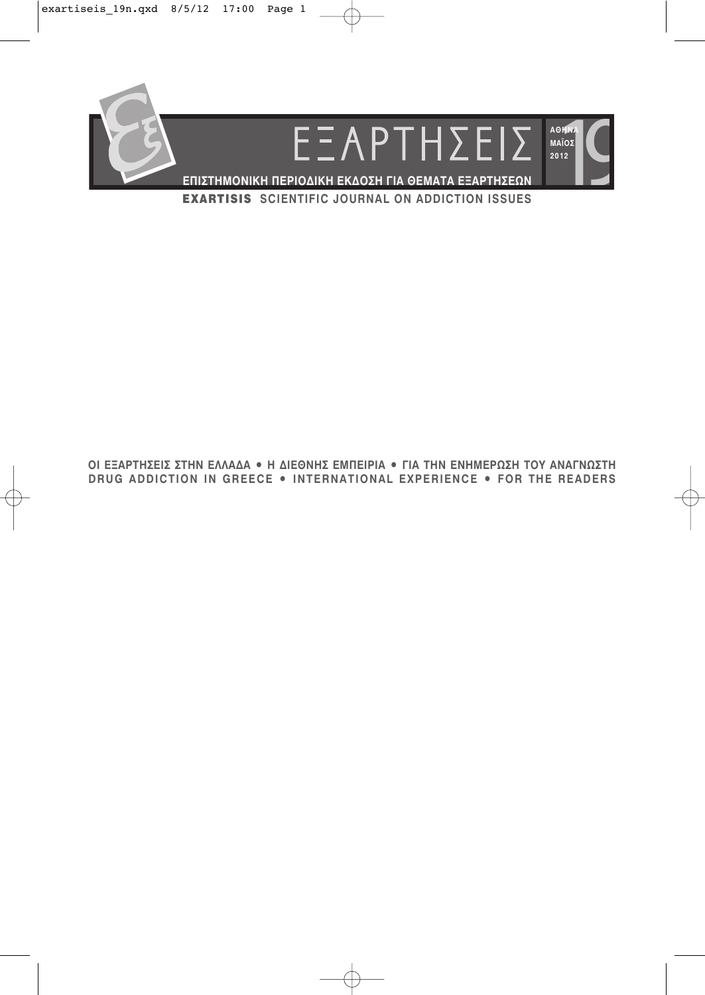

exartiseis\_19n.qxd 8/5/12 17:00 Page 1

ΟΙ ΕΞΑΡΤΗΣΕΙΣ ΣΤΗΝ ΕΛΛΑΔΑ • Η ΔΙΕΘΝΗΣ ΕΜΠΕΙΡΙΑ • ΓΙΑ ΤΗΝ ΕΝΗΜΕΡΩΣΗ ΤΟΥ ΑΝΑΓΝΩΣΤΗ DRUG ADDICTION IN GREECE . INTERNATIONAL EXPERIENCE . FOR THE READERS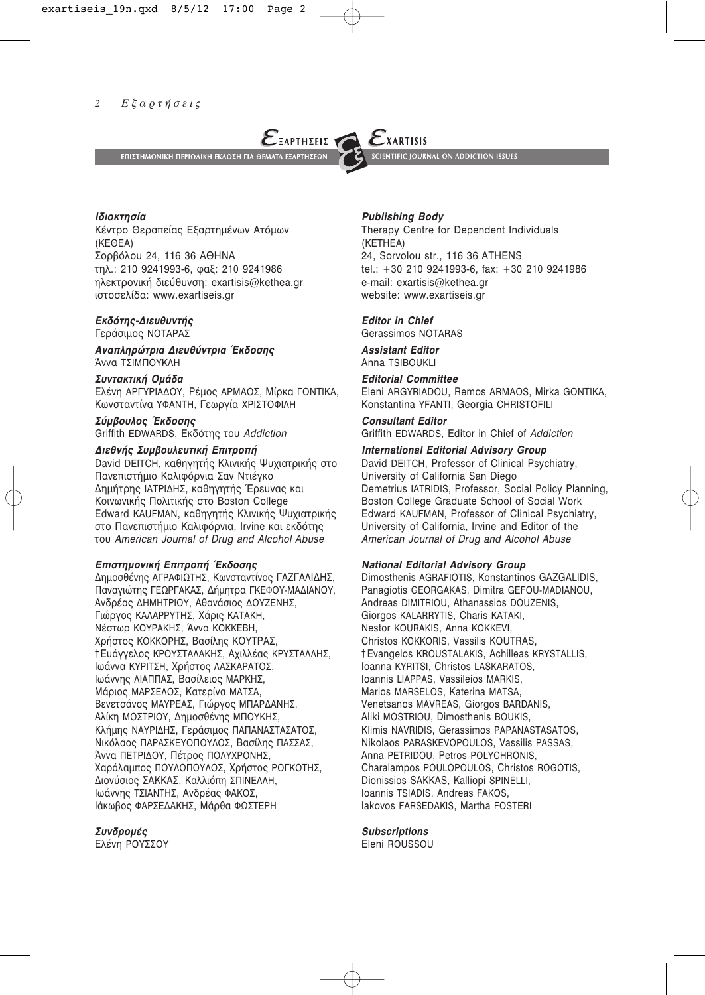

NTIFIC JOURNAL ON ADDICTION ISSUES

#### *Ιδιοκτησία*

Κέντρο Θεραπείας Εξαρτημένων Ατόμων (∫∂£∂∞) Σορβόλου 24, 116 36 ΑΘΗΝΑ τηλ.: 210 9241993-6, φαξ: 210 9241986 ηλεκτρονική διεύθυνση: exartisis@kethea.gr ιστοσελίδα: www.exartiseis.gr

#### *<i>Eκδότης-Διευθυντής*

Γεράσιμος ΝΟΤΑΡΑΣ

 $A$ ναπληρώτρια Διευθύντρια Έκδοσης Άννα ΤΣΙΜΠΟΥΚΛΗ

#### Συντακτική Ομάδα

Ελένη ΑΡΓΥΡΙΑΔΟΥ, Ρέμος ΑΡΜΑΟΣ, Μίρκα ΓΟΝΤΙΚΑ, Κωνσταντίνα ΥΦΑΝΤΗ, Γεωργία ΧΡΙΣΤΟΦΙΛΗ

 $\Sigma$ ύμβουλος Έκδοσης Griffith EDWARDS, Εκδότης του Addiction

#### $Διεθνής Συμβουλευτική Επιτροπή$

David DEITCH, καθηγητής Κλινικής Ψυχιατρικής στο Πανεπιστήμιο Καλιφόρνια Σαν Ντιέγκο Δημήτρης ΙΑΤΡΙΔΗΣ, καθηγητής Έρευνας και Κοινωνικής Πολιτικής στο Boston College Edward KAUFMAN, καθηγητής Κλινικής Ψυχιατρικής στο Πανεπιστήμιο Καλιφόρνια, Irvine και εκδότης ÙÔ˘ *∞merican Journal of Drug and Alcohol Abuse*

#### *<i><del>Ēπιστημονική Επιτροπή Έκδοσης</del>*

Δημοσθένης ΑΓΡΑΦΙΩΤΗΣ, Κωνσταντίνος ΓΑΖΓΑΛΙΔΗΣ, Παναγιώτης ΓΕΩΡΓΑΚΑΣ, Δήμητρα ΓΚΕΦΟΥ-ΜΑΔΙΑΝΟΥ, Ανδρέας ΔΗΜΗΤΡΙΟΥ, Αθανάσιος ΔΟΥΖΕΝΗΣ, Γιώργος ΚΑΛΑΡΡΥΤΗΣ, Χάρις ΚΑΤΑΚΗ, Νέστωρ ΚΟΥΡΑΚΗΣ, Άννα ΚΟΚΚΕΒΗ, Χρήστος ΚΟΚΚΟΡΗΣ, Βασίλης ΚΟΥΤΡΑΣ, †Ευάγγελος ΚΡΟΥΣΤΑΛΑΚΗΣ, Αχιλλέας ΚΡΥΣΤΑΛΛΗΣ, Ιωάννα ΚΥΡΙΤΣΗ, Χρήστος ΛΑΣΚΑΡΑΤΟΣ, Ιωάννης ΛΙΑΠΠΑΣ, Βασίλειος ΜΑΡΚΗΣ, Μάριος ΜΑΡΣΕΛΟΣ, Κατερίνα ΜΑΤΣΑ, Βενετσάνος ΜΑΥΡΕΑΣ, Γιώργος ΜΠΑΡΔΑΝΗΣ, Αλίκη ΜΟΣΤΡΙΟΥ, Δημοσθένης ΜΠΟΥΚΗΣ, Κλήμης ΝΑΥΡΙΔΗΣ, Γεράσιμος ΠΑΠΑΝΑΣΤΑΣΑΤΟΣ, Νικόλαος ΠΑΡΑΣΚΕΥΟΠΟΥΛΟΣ, Βασίλης ΠΑΣΣΑΣ, Άννα ΠΕΤΡΙΔΟΥ, Πέτρος ΠΟΛΥΧΡΟΝΗΣ, Χαράλαμπος ΠΟΥΛΟΠΟΥΛΟΣ, Χρήστος ΡΟΓΚΟΤΗΣ, Διονύσιος ΣΑΚΚΑΣ, Καλλιόπη ΣΠΙΝΕΛΛΗ, Ιωάννης ΤΣΙΑΝΤΗΣ, Ανδρέας ΦΑΚΟΣ, Ιάκωβος ΦΑΡΣΕΔΑΚΗΣ, Μάρθα ΦΩΣΤΕΡΗ

#### Συνδρομές

Ελένη ΡΟΥΣΣΟΥ

#### *Publishing Body*

Therapy Centre for Dependent Individuals (KETHEA) 24, Sorvolou str., 116 36 ATHENS tel.: +30 210 9241993-6, fax: +30 210 9241986 e-mail: exartisis@kethea.gr website: www.exartiseis.gr

#### *Editor in Chief*

Gerassimos NOTARAS

*Assistant Editor* Anna TSIBOUKLI

#### *Editorial Committee*

Eleni ARGYRIADOU, Remos ARMAOS, Mirka GONTIKA, Konstantina YFANTI, Georgia CHRISTOFILI

*Consultant Editor*  Griffith EDWARDS, Editor in Chief of *Addiction* 

#### *International Editorial Advisory Group*

David DEITCH, Professor of Clinical Psychiatry, University of California San Diego Demetrius IATRIDIS, Professor, Social Policy Planning, Boston College Graduate School of Social Work Edward KAUFMAN, Professor of Clinical Psychiatry, University of California, Irvine and Editor of the *∞merican Journal of Drug and Alcohol Abuse*

#### *National Editorial Advisory Group*

Dimosthenis AGRAFIOTIS, Konstantinos GAZGALIDIS, Panagiotis GEORGAKAS, Dimitra GEFOU-MADIANOU, Andreas DIMITRIOU, Athanassios DOUZENIS, Giorgos KALARRYTIS, Charis KATAKI, Nestor KOURAKIS, Anna KOKKEVI, Christos KOKKORIS, Vassilis KOUTRAS, †Evangelos KROUSTALAKIS, Achilleas KRYSTALLIS, Ioanna KYRITSI, Christos LASKARATOS, Ioannis LIAPPAS, Vassileios MARKIS, Marios MARSELOS, Katerina MATSA, Venetsanos MAVREAS, Giorgos BARDANIS, Aliki MOSTRIOU, Dimosthenis BOUKIS, Klimis NAVRIDIS, Gerassimos PAPANASTASATOS, Nikolaos PARASKEVOPOULOS, Vassilis PASSAS, Anna PETRIDOU, Petros POLYCHRONIS, Charalampos POULOPOULOS, Christos ROGOTIS, Dionissios SAKKAS, Kalliopi SPINELLI, Ioannis TSIADIS, Andreas FAKOS, Iakovos FARSEDAKIS, Martha FOSTERI

#### *Subscriptions*

Eleni ROUSSOU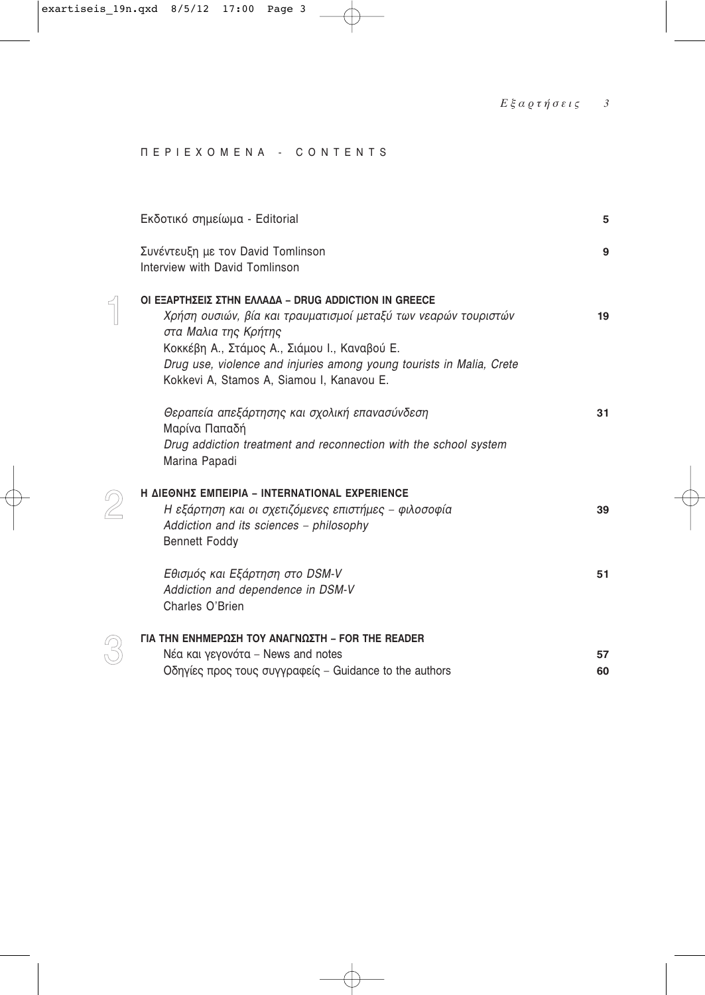## $E \xi a \varrho \tau \eta \sigma \varepsilon \iota \varsigma$  3

## $\vert$ exartiseis\_19n.qxd 8/5/12 17:00 Page 3

## **ΠΕΡΙΕΧΟΜΕΝΑ - CONTENTS**

| Εκδοτικό σημείωμα - Editorial                                                                                                                                                                                                                                                                                       | 5        |
|---------------------------------------------------------------------------------------------------------------------------------------------------------------------------------------------------------------------------------------------------------------------------------------------------------------------|----------|
| Συνέντευξη με τον David Tomlinson<br>Interview with David Tomlinson                                                                                                                                                                                                                                                 | 9        |
| OI ΕΞΑΡΤΗΣΕΙΣ ΣΤΗΝ ΕΛΛΑΔΑ – DRUG ADDICTION IN GREECE<br>Χρήση ουσιών, βία και τραυματισμοί μεταξύ των νεαρών τουριστών<br>στα Μαλια της Κρήτης<br>Κοκκέβη Α., Στάμος Α., Σιάμου Ι., Καναβού Ε.<br>Drug use, violence and injuries among young tourists in Malia, Crete<br>Kokkevi A, Stamos A, Siamou I, Kanavou E. | 19       |
| Θεραπεία απεξάρτησης και σχολική επανασύνδεση<br>Μαρίνα Παπαδή<br>Drug addiction treatment and reconnection with the school system<br>Marina Papadi                                                                                                                                                                 | 31       |
| Η ΔΙΕΘΝΗΣ ΕΜΠΕΙΡΙΑ - INTERNATIONAL EXPERIENCE<br>Η εξάρτηση και οι σχετιζόμενες επιστήμες – φιλοσοφία<br>Addiction and its sciences - philosophy<br><b>Bennett Foddy</b>                                                                                                                                            | 39       |
| Εθισμός και Εξάρτηση στο DSM-V<br>Addiction and dependence in DSM-V<br>Charles O'Brien                                                                                                                                                                                                                              | 51       |
| ΓΙΑ ΤΗΝ ΕΝΗΜΕΡΩΣΗ ΤΟΥ ΑΝΑΓΝΩΣΤΗ – FOR THE READER                                                                                                                                                                                                                                                                    |          |
| Νέα και γεγονότα - News and notes<br>$O\delta$ ηνίες προς τους συννραφείς – Guidance to the authors                                                                                                                                                                                                                 | 57<br>60 |
|                                                                                                                                                                                                                                                                                                                     |          |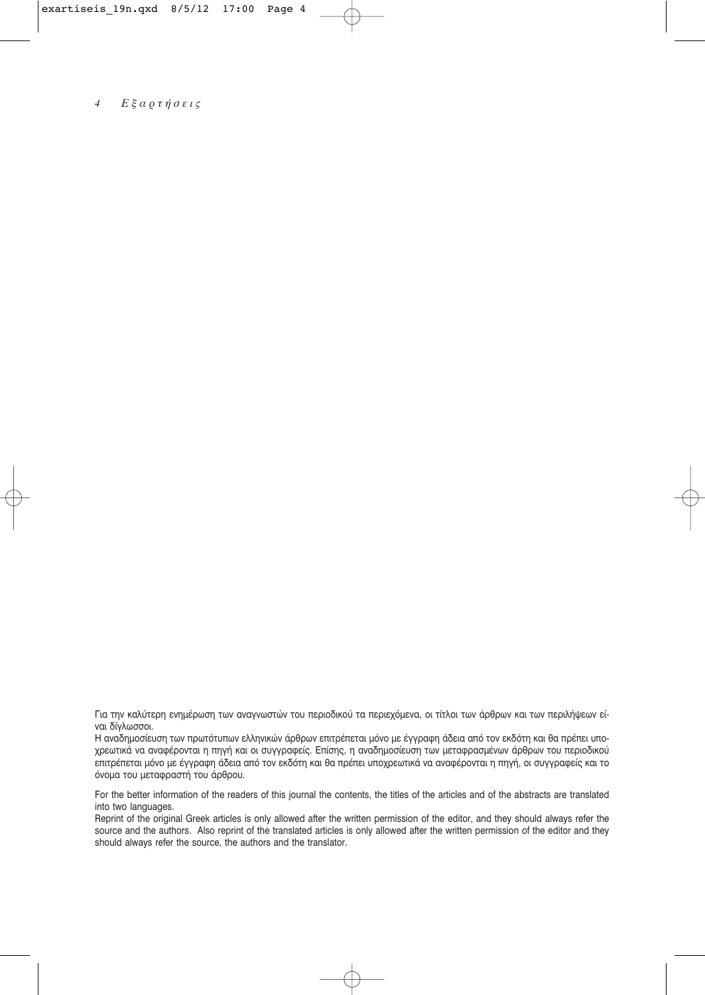$\overline{4}$ Εξαρτήσεις

Για την καλύτερη ενημέρωση των αναγνωστών του περιοδικού τα περιεχόμενα, οι τίτλοι των άρθρων και των περιλήψεων είναι δίγλωσσοι.

Η αναδημοσίευση των πρωτότυπων ελληνικών άρθρων επιτρέπεται μόνο με έγγραφη άδεια από τον εκδότη και θα πρέπει υποχρεωτικά να αναφέρονται η πηγή και οι συγγραφείς. Επίσης, η αναδημοσίευση των μεταφρασμένων άρθρων του περιοδικού επιτρέπεται μόνο με έγγραφη άδεια από τον εκδότη και θα πρέπει υποχρεωτικά να αναφέρονται η πηγή, οι συγγραφείς και το όνομα του μεταφραστή του άρθρου.

For the better information of the readers of this journal the contents, the titles of the articles and of the abstracts are translated into two languages.

Reprint of the original Greek articles is only allowed after the written permission of the editor, and they should always refer the source and the authors. Also reprint of the translated articles is only allowed after the written permission of the editor and they should always refer the source, the authors and the translator.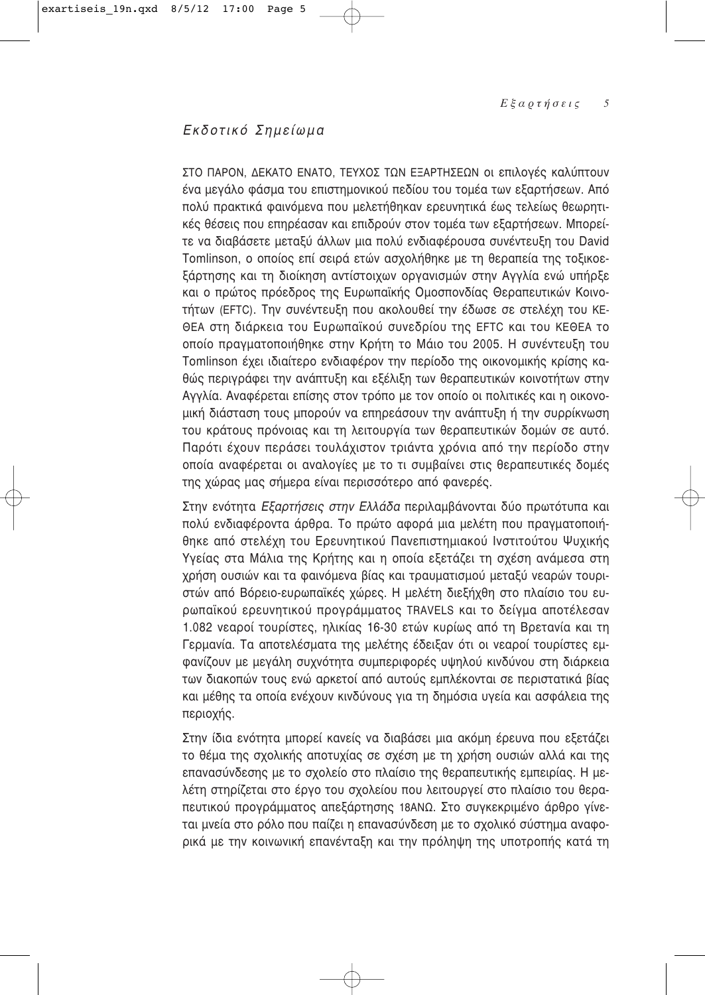#### *EΚδοτικό Σημείωμα*

ΣΤΟ ΠΑΡΟΝ, ΔΕΚΑΤΟ ΕΝΑΤΟ, ΤΕΥΧΟΣ ΤΩΝ ΕΞΑΡΤΗΣΕΩΝ ΟΙ επιλογές καλύπτουν ένα μεγάλο φάσμα του επιστημονικού πεδίου του τομέα των εξαρτήσεων. Από πολύ πρακτικά φαινόμενα που μελετήθηκαν ερευνητικά έως τελείως θεωρητικές θέσεις που επηρέασαν και επιδρούν στον τομέα των εξαρτήσεων. Μπορείτε να διαβάσετε μεταξύ άλλων μια πολύ ενδιαφέρουσα συνέντευξη του David Tomlinson, ο οποίος επί σειρά ετών ασχολήθηκε με τη θεραπεία της τοξικοεξάρτησης και τη διοίκηση αντίστοιχων οργανισμών στην Αγγλία ενώ υπήρξε και ο πρώτος πρόεδρος της Ευρωπαϊκής Ομοσπονδίας Θεραπευτικών Κοινοτήτων (EFTC). Την συνέντευξη που ακολουθεί την έδωσε σε στελέχη του ΚΕ-ΘΕΑ στη διάρκεια του Ευρωπαϊκού συνεδρίου της ΕFTC και του ΚΕΘΕΑ το οποίο πραγματοποιήθηκε στην Κρήτη το Μάιο του 2005. Η συνέντευξη του Tomlinson έχει ιδιαίτερο ενδιαφέρον την περίοδο της οικονομικής κρίσης καθώς περιγράφει την ανάπτυξη και εξέλιξη των θεραπευτικών κοινοτήτων στην Αγγλία. Αναφέρεται επίσης στον τρόπο με τον οποίο οι πολιτικές και η οικονομική διάσταση τους μπορούν να επηρεάσουν την ανάπτυξη ή την συρρίκνωση του κράτους πρόνοιας και τη λειτουργία των θεραπευτικών δομών σε αυτό. Παρότι έχουν περάσει τουλάχιστον τριάντα χρόνια από την περίοδο στην οποία αναφέρεται οι αναλογίες με το τι συμβαίνει στις θεραπευτικές δομές της χώρας μας σήμερα είναι περισσότερο από φανερές.

Στην ενότητα *Εξαρτήσεις στην Ελλάδα* περιλαμβάνονται δύο πρωτότυπα και πολύ ενδιαφέροντα άρθρα. Το πρώτο αφορά μια μελέτη που πραγματοποιήθηκε από στελέχη του Ερευνητικού Πανεπιστημιακού Ινστιτούτου Ψυχικής Υγείας στα Μάλια της Κρήτης και η οποία εξετάζει τη σχέση ανάμεσα στη χρήση ουσιών και τα φαινόμενα βίας και τραυματισμού μεταξύ νεαρών τουριστών από Βόρειο-ευρωπαϊκές χώρες. Η μελέτη διεξήχθη στο πλαίσιο του ευρωπαϊκού ερευνητικού προγράμματος TRAVELS και το δείγμα αποτέλεσαν 1.082 νεαροί τουρίστες, ηλικίας 16-30 ετών κυρίως από τη Βρετανία και τη Γερμανία. Τα αποτελέσματα της μελέτης έδειξαν ότι οι νεαροί τουρίστες εμφανίζουν με μεγάλη συχνότητα συμπεριφορές υψηλού κινδύνου στη διάρκεια των διακοπών τους ενώ αρκετοί από αυτούς εμπλέκονται σε περιστατικά βίας και μέθης τα οποία ενέχουν κινδύνους για τη δημόσια υγεία και ασφάλεια της περιοχής.

Στην ίδια ενότητα μπορεί κανείς να διαβάσει μια ακόμη έρευνα που εξετάζει το θέμα της σχολικής αποτυχίας σε σχέση με τη χρήση ουσιών αλλά και της επανασύνδεσης με το σχολείο στο πλαίσιο της θεραπευτικής εμπειρίας. Η μελέτη στηρίζεται στο έργο του σχολείου που λειτουργεί στο πλαίσιο του θεραπευτικού προγράμματος απεξάρτησης 18ANΩ. Στο συγκεκριμένο άρθρο γίνεται μνεία στο ρόλο που παίζει η επανασύνδεση με το σχολικό σύστημα αναφορικά με την κοινωνική επανένταξη και την πρόληψη της υποτροπής κατά τη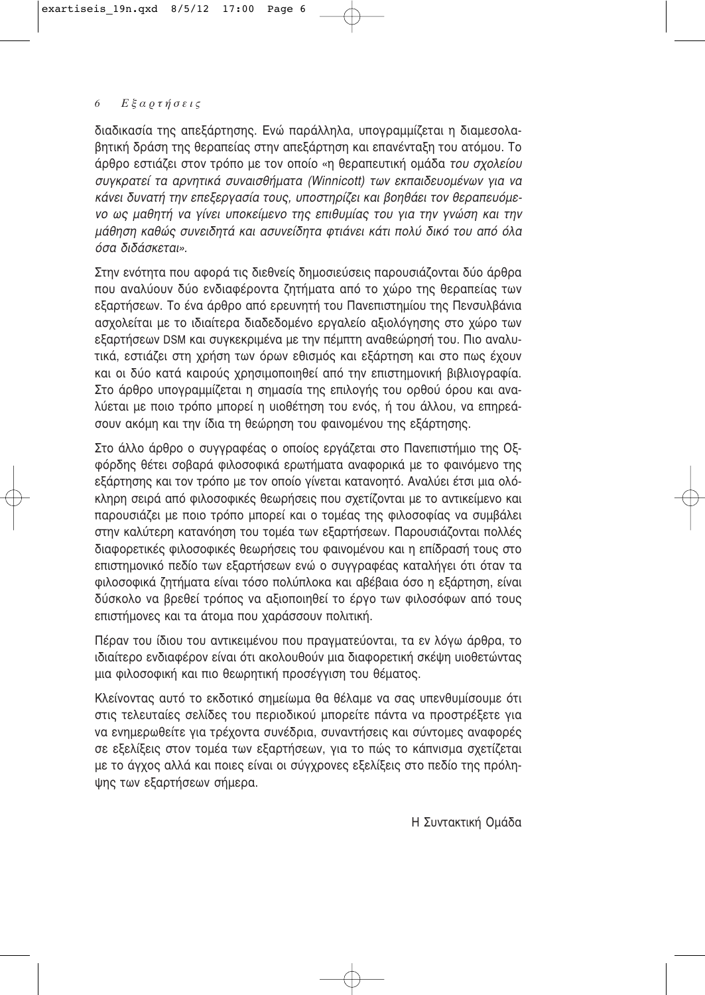διαδικασία της απεξάρτησης. Ενώ παράλληλα, υπογραμμίζεται η διαμεσολαβητική δράση της θεραπείας στην απεξάρτηση και επανένταξη του ατόμου. Το άρθρο εστιάζει στον τρόπο με τον οποίο «η θεραπευτική ομάδα του σχολείου συγκρατεί τα αρνητικά συναισθήματα (Winnicott) των εκπαιδευομένων για να κάνει δυνατή την επεξεργασία τους, υποστηρίζει και βοηθάει τον θεραπευόμενο ως μαθητή να γίνει υποκείμενο της επιθυμίας του για την γνώση και την μάθηση καθώς συνειδητά και ασυνείδητα φτιάνει κάτι πολύ δικό του από όλα όσα διδάσκεται».

Στην ενότητα που αφορά τις διεθνείς δημοσιεύσεις παρουσιάζονται δύο άρθρα που αναλύουν δύο ενδιαφέροντα ζητήματα από το χώρο της θεραπείας των εξαρτήσεων. Το ένα άρθρο από ερευνητή του Πανεπιστημίου της Πενσυλβάνια ασχολείται με το ιδιαίτερα διαδεδομένο εργαλείο αξιολόγησης στο χώρο των εξαρτήσεων DSM και συγκεκριμένα με την πέμπτη αναθεώρησή του. Πιο αναλυτικά, εστιάζει στη χρήση των όρων εθισμός και εξάρτηση και στο πως έχουν και οι δύο κατά καιρούς χρησιμοποιηθεί από την επιστημονική βιβλιογραφία. Στο άρθρο υπογραμμίζεται η σημασία της επιλογής του ορθού όρου και αναλύεται με ποιο τρόπο μπορεί η υιοθέτηση του ενός, ή του άλλου, να επηρεάσουν ακόμη και την ίδια τη θεώρηση του φαινομένου της εξάρτησης.

Στο άλλο άρθρο ο συγγραφέας ο οποίος εργάζεται στο Πανεπιστήμιο της Οξφόρδης θέτει σοβαρά φιλοσοφικά ερωτήματα αναφορικά με το φαινόμενο της εξάρτησης και τον τρόπο με τον οποίο γίνεται κατανοητό. Αναλύει έτσι μια ολόκληρη σειρά από φιλοσοφικές θεωρήσεις που σχετίζονται με το αντικείμενο και παρουσιάζει με ποιο τρόπο μπορεί και ο τομέας της φιλοσοφίας να συμβάλει στην καλύτερη κατανόηση του τομέα των εξαρτήσεων. Παρουσιάζονται πολλές διαφορετικές φιλοσοφικές θεωρήσεις του φαινομένου και η επίδρασή τους στο επιστημονικό πεδίο των εξαρτήσεων ενώ ο συγγραφέας καταλήγει ότι όταν τα φιλοσοφικά ζητήματα είναι τόσο πολύπλοκα και αβέβαια όσο η εξάρτηση, είναι δύσκολο να βρεθεί τρόπος να αξιοποιηθεί το έργο των φιλοσόφων από τους επιστήμονες και τα άτομα που χαράσσουν πολιτική.

Πέραν του ίδιου του αντικειμένου που πραγματεύονται, τα εν λόγω άρθρα, το ιδιαίτερο ενδιαφέρον είναι ότι ακολουθούν μια διαφορετική σκέψη υιοθετώντας μια φιλοσοφική και πιο θεωρητική προσέγγιση του θέματος.

Κλείνοντας αυτό το εκδοτικό σημείωμα θα θέλαμε να σας υπενθυμίσουμε ότι στις τελευταίες σελίδες του περιοδικού μπορείτε πάντα να προστρέξετε για να ενημερωθείτε για τρέχοντα συνέδρια, συναντήσεις και σύντομες αναφορές σε εξελίξεις στον τομέα των εξαρτήσεων, για το πώς το κάπνισμα σχετίζεται με το άγχος αλλά και ποιες είναι οι σύγχρονες εξελίξεις στο πεδίο της πρόληψης των εξαρτήσεων σήμερα.

Η Συντακτική Ομάδα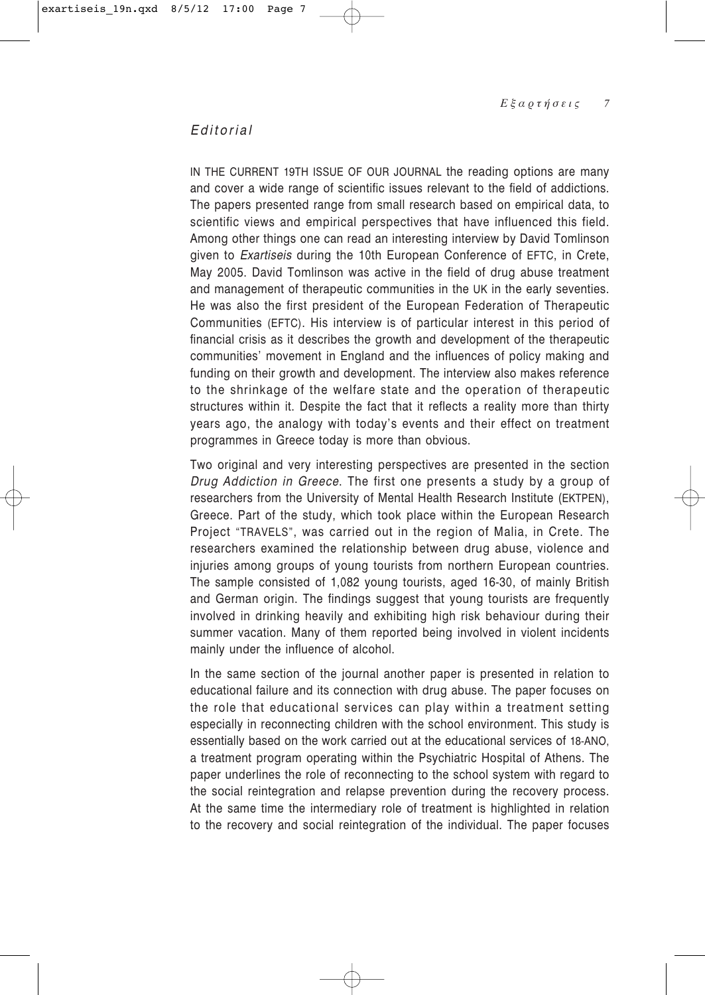#### *Editorial*

IN THE CURRENT 19TH ISSUE OF OUR JOURNAL the reading options are many and cover a wide range of scientific issues relevant to the field of addictions. The papers presented range from small research based on empirical data, to scientific views and empirical perspectives that have influenced this field. Among other things one can read an interesting interview by David Tomlinson given to *Exartiseis* during the 10th European Conference of EFTC, in Crete, May 2005. David Tomlinson was active in the field of drug abuse treatment and management of therapeutic communities in the UK in the early seventies. He was also the first president of the European Federation of Therapeutic Communities (EFTC). His interview is of particular interest in this period of financial crisis as it describes the growth and development of the therapeutic communities' movement in England and the influences of policy making and funding on their growth and development. The interview also makes reference to the shrinkage of the welfare state and the operation of therapeutic structures within it. Despite the fact that it reflects a reality more than thirty years ago, the analogy with today's events and their effect on treatment programmes in Greece today is more than obvious.

Two original and very interesting perspectives are presented in the section *Drug Addiction in Greece*. The first one presents a study by a group of researchers from the University of Mental Health Research Institute (EKTPEN), Greece. Part of the study, which took place within the European Research Project "TRAVELS", was carried out in the region of Malia, in Crete. The researchers examined the relationship between drug abuse, violence and injuries among groups of young tourists from northern European countries. The sample consisted of 1,082 young tourists, aged 16-30, of mainly British and German origin. The findings suggest that young tourists are frequently involved in drinking heavily and exhibiting high risk behaviour during their summer vacation. Many of them reported being involved in violent incidents mainly under the influence of alcohol.

In the same section of the journal another paper is presented in relation to educational failure and its connection with drug abuse. The paper focuses on the role that educational services can play within a treatment setting especially in reconnecting children with the school environment. This study is essentially based on the work carried out at the educational services of 18-ANO, a treatment program operating within the Psychiatric Hospital of Athens. The paper underlines the role of reconnecting to the school system with regard to the social reintegration and relapse prevention during the recovery process. At the same time the intermediary role of treatment is highlighted in relation to the recovery and social reintegration of the individual. The paper focuses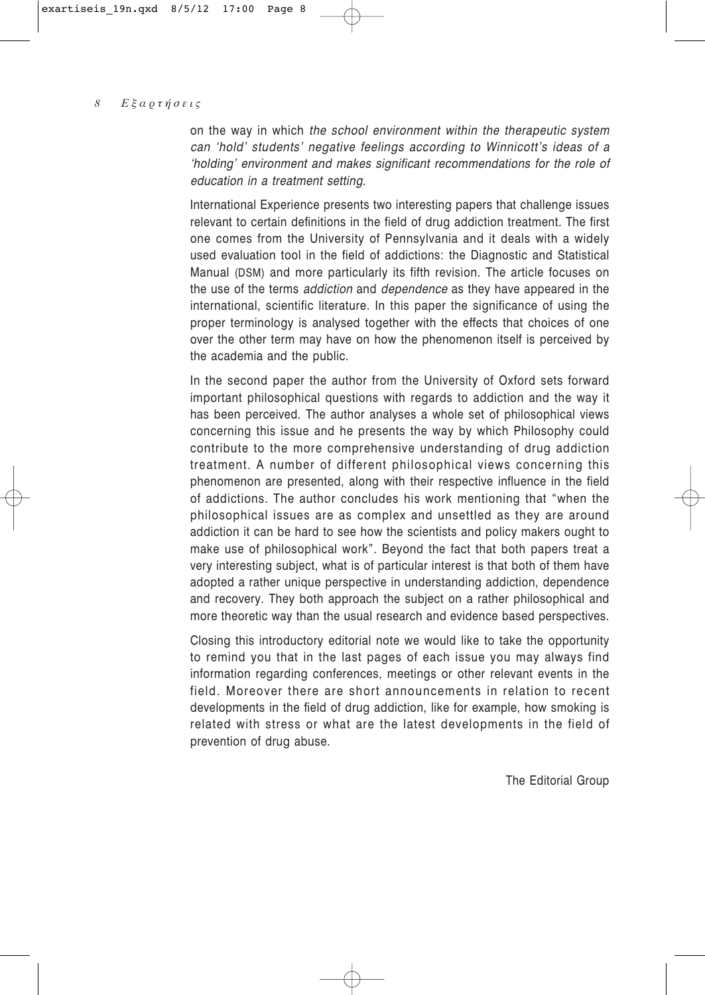on the way in which *the school environment within the therapeutic system can 'hold' students' negative feelings according to Winnicott's ideas of a 'holding' environment and makes significant recommendations for the role of education in a treatment setting.* 

International Experience presents two interesting papers that challenge issues relevant to certain definitions in the field of drug addiction treatment. The first one comes from the University of Pennsylvania and it deals with a widely used evaluation tool in the field of addictions: the Diagnostic and Statistical Manual (DSM) and more particularly its fifth revision. The article focuses on the use of the terms *addiction* and *dependence* as they have appeared in the international, scientific literature. In this paper the significance of using the proper terminology is analysed together with the effects that choices of one over the other term may have on how the phenomenon itself is perceived by the academia and the public.

In the second paper the author from the University of Oxford sets forward important philosophical questions with regards to addiction and the way it has been perceived. The author analyses a whole set of philosophical views concerning this issue and he presents the way by which Philosophy could contribute to the more comprehensive understanding of drug addiction treatment. A number of different philosophical views concerning this phenomenon are presented, along with their respective influence in the field of addictions. The author concludes his work mentioning that "when the philosophical issues are as complex and unsettled as they are around addiction it can be hard to see how the scientists and policy makers ought to make use of philosophical work". Beyond the fact that both papers treat a very interesting subject, what is of particular interest is that both of them have adopted a rather unique perspective in understanding addiction, dependence and recovery. They both approach the subject on a rather philosophical and more theoretic way than the usual research and evidence based perspectives.

Closing this introductory editorial note we would like to take the opportunity to remind you that in the last pages of each issue you may always find information regarding conferences, meetings or other relevant events in the field. Moreover there are short announcements in relation to recent developments in the field of drug addiction, like for example, how smoking is related with stress or what are the latest developments in the field of prevention of drug abuse.

The Editorial Group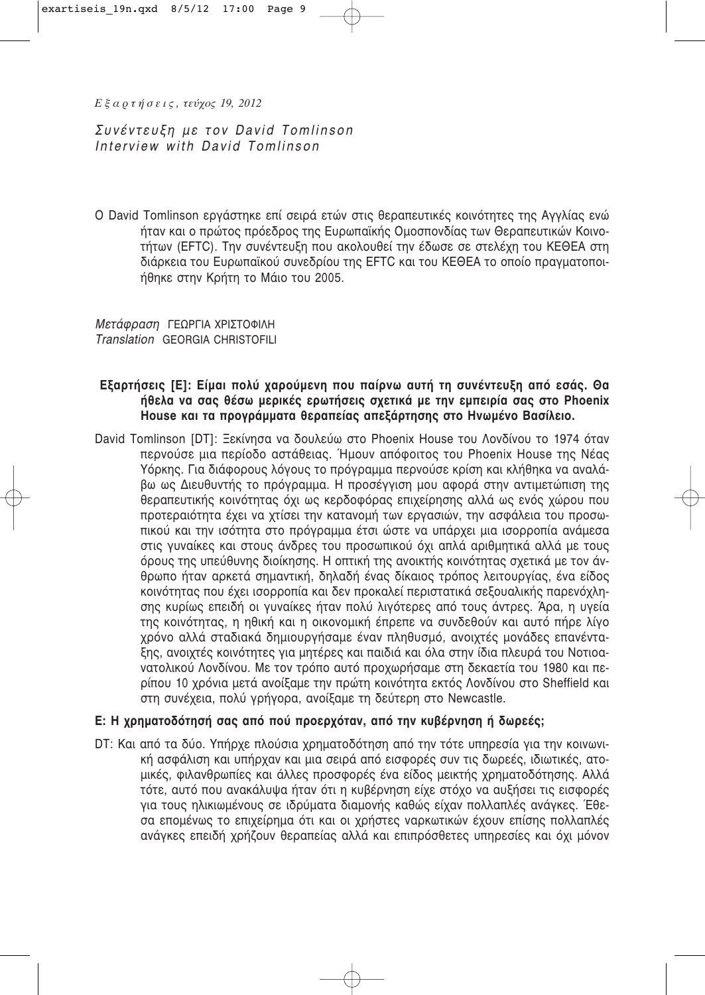*Ε ξ α ρ τ ή σ ε ι ς , τεύχος 19, 2012*

 $\Sigma$ *UV*έντευξη με τον David Tomlinson *Interview with David Tomlinson* 

Ο David Tomlinson εργάστηκε επί σειρά ετών στις θεραπευτικές κοινότητες της Αγγλίας ενώ ήταν και ο πρώτος πρόεδρος της Ευρωπαϊκής Ομοσπονδίας των Θεραπευτικών Κοινοτήτων (EFTC). Την συνέντευξη που ακολουθεί την έδωσε σε στελέχη του ΚΕΘΕΑ στη διάρκεια του Ευρωπαϊκού συνεδρίου της ΕFTC και του ΚΕΘΕΑ το οποίο πραγματοποιήθηκε στην Κρήτη το Μάιο του 2005.

*Μετάφραση* ΓΕΩΡΓΙΑ ΧΡΙΣΤΟΦΙΛΗ *Translation* GEORGIA CHRISTOFILI

#### **Εξαρτήσεις [E]: Είμαι πολύ χαρούμενη που παίρνω αυτή τη συνέντευξη από εσάς. Θα ‹ıÂÏ· Ó· Û·˜ ı¤Ûˆ ÌÂÚÈΤ˜ ÂÚˆÙ‹ÛÂȘ Û¯ÂÙÈο Ì ÙËÓ ÂÌÂÈÚ›· Û·˜ ÛÙÔ Phoenix** House και τα προγράμματα θεραπείας απεξάρτησης στο Ηνωμένο Βασίλειο.

David Tomlinson [DT]: Ξεκίνησα να δουλεύω στο Phoenix House του Λονδίνου το 1974 όταν περνούσε μια περίοδο αστάθειας. Ήμουν απόφοιτος του Phoenix House της Νέας Υόρκης. Για διάφορους λόγους το πρόγραμμα περνούσε κρίση και κλήθηκα να αναλάβω ως Διευθυντής το πρόγραμμα. Η προσέγγιση μου αφορά στην αντιμετώπιση της θεραπευτικής κοινότητας όχι ως κερδοφόρας επιχείρησης αλλά ως ενός χώρου που προτεραιότητα έχει να χτίσει την κατανομή των εργασιών, την ασφάλεια του προσωπικού και την ισότητα στο πρόγραμμα έτσι ώστε να υπάρχει μια ισορροπία ανάμεσα στις γυναίκες και στους άνδρες του προσωπικού όχι απλά αριθμητικά αλλά με τους όρους της υπεύθυνης διοίκησης. Η οπτική της ανοικτής κοινότητας σχετικά με τον άνθρωπο ήταν αρκετά σημαντική, δηλαδή ένας δίκαιος τρόπος λειτουρνίας, ένα είδος κοινότητας που έχει ισορροπία και δεν προκαλεί περιστατικά σεξουαλικής παρενόχλησης κυρίως επειδή οι γυναίκες ήταν πολύ λιγότερες από τους άντρες. Άρα, η υγεία της κοινότητας, η ηθική και η οικονομική έπρεπε να συνδεθούν και αυτό πήρε λίγο χρόνο αλλά σταδιακά δημιουργήσαμε έναν πληθυσμό, ανοιχτές μονάδες επανέντα-Enς, ανοιχτές κοινότητες για μητέρες και παιδιά και όλα στην ίδια πλευρά του Νοτιοανατολικού Λονδίνου. Με τον τρόπο αυτό προχωρήσαμε στη δεκαετία του 1980 και περίπου 10 χρόνια μετά ανοίξαμε την πρώτη κοινότητα εκτός Λονδίνου στο Sheffield και στη συνέχεια, πολύ γρήγορα, ανοίξαμε τη δεύτερη στο Newcastle.

#### Ε: Η χρηματοδότησή σας από πού προερχόταν, από την κυβέρνηση ή δωρεές;

DT: Και από τα δύο. Υπήρχε πλούσια χρηματοδότηση από την τότε υπηρεσία για την κοινωνική ασφάλιση και υπήρχαν και μια σειρά από εισφορές συν τις δωρεές, ιδιωτικές, ατομικές, φιλανθρωπίες και άλλες προσφορές ένα είδος μεικτής χρηματοδότησης. Αλλά τότε, αυτό που ανακάλυψα ήταν ότι η κυβέρνηση είχε στόχο να αυξήσει τις εισφορές για τους ηλικιωμένους σε ιδρύματα διαμονής καθώς είχαν πολλαπλές ανάγκες. Έθεσα επομένως το επιχείρημα ότι και οι χρήστες ναρκωτικών έχουν επίσης πολλαπλές ανάγκες επειδή χρήζουν θεραπείας αλλά και επιπρόσθετες υπηρεσίες και όχι μόνον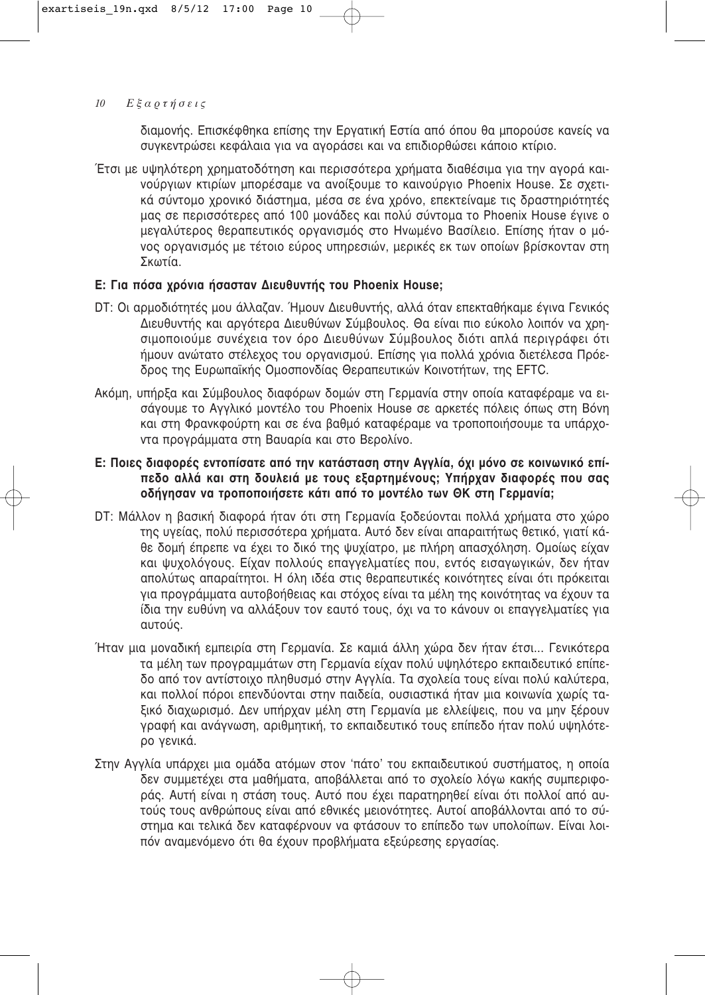διαμονής. Επισκέφθηκα επίσης την Εργατική Εστία από όπου θα μπορούσε κανείς να συγκεντρώσει κεφάλαια για να αγοράσει και να επιδιορθώσει κάποιο κτίριο.

Έτσι με υψηλότερη χρηματοδότηση και περισσότερα χρήματα διαθέσιμα για την αγορά καινούργιων κτιρίων μπορέσαμε να ανοίξουμε το καινούργιο Phoenix House. Σε σχετικά σύντομο χρονικό διάστημα, μέσα σε ένα χρόνο, επεκτείναμε τις δραστηριότητές μας σε περισσότερες από 100 μονάδες και πολύ σύντομα το Phoenix House έγινε ο μεγαλύτερος θεραπευτικός οργανισμός στο Ηνωμένο Βασίλειο. Επίσης ήταν ο μό-VOC Οργανισμός με τέτοιο εύρος υπηρεσιών, μερικές εκ των οποίων βρίσκονταν στη Σκωτία.

#### $E: \Gamma$ ια πόσα χρόνια ήσασταν Διευθυντής του Phoenix House;

- DT: Οι αρμοδιότητές μου άλλαζαν. Ήμουν Διευθυντής, αλλά όταν επεκταθήκαμε έγινα Γενικός Διευθυντής και αργότερα Διευθύνων Σύμβουλος. Θα είναι πιο εύκολο λοιπόν να χρησιμοποιούμε συνέχεια τον όρο Διευθύνων Σύμβουλος διότι απλά περιγράφει ότι ήμουν ανώτατο στέλεχος του οργανισμού. Επίσης για πολλά χρόνια διετέλεσα Πρόεδρος της Ευρωπαϊκής Ομοσπονδίας Θεραπευτικών Κοινοτήτων, της ΕFTC.
- Aκόμη, υπήρξα και Σύμβουλος διαφόρων δομών στη Γερμανία στην οποία καταφέραμε να εισάγουμε το Αγγλικό μοντέλο του Phoenix House σε αρκετές πόλεις όπως στη Βόνη και στη Φρανκφούρτη και σε ένα βαθμό καταφέραμε να τροποποιήσουμε τα υπάρχοντα προγράμματα στη Βαυαρία και στο Βερολίνο.
- Ε: Ποιες διαφορές εντοπίσατε από την κατάσταση στην Αγγλία, όχι μόνο σε κοινωνικό επί-·<br>πεδο αλλά και στη δουλειά με τους εξαρτημένους; Υπήρχαν διαφορές που σας **οδήγησαν να τροποποιήσετε κάτι από το μοντέλο των ΘΚ στη Γερμανία;**
- DT: Μάλλον η βασική διαφορά ήταν ότι στη Γερμανία ξοδεύονται πολλά χρήματα στο χώρο της υγείας, πολύ περισσότερα χρήματα. Αυτό δεν είναι απαραιτήτως θετικό, γιατί κάθε δομή έπρεπε να έχει το δικό της ψυχίατρο, με πλήρη απασχόληση. Ομοίως είχαν και ψυχολόγους. Είχαν πολλούς επαγγελματίες που, εντός εισαγωγικών, δεν ήταν απολύτως απαραίτητοι. Η όλη ιδέα στις θεραπευτικές κοινότητες είναι ότι πρόκειται για προγράμματα αυτοβοήθειας και στόχος είναι τα μέλη της κοινότητας να έχουν τα ίδια την ευθύνη να αλλάξουν τον εαυτό τους, όχι να το κάνουν οι επαννελματίες για αυτούς.
- Ήταν μια μοναδική εμπειρία στη Γερμανία. Σε καμιά άλλη χώρα δεν ήταν έτσι... Γενικότερα τα μέλη των προγραμμάτων στη Γερμανία είχαν πολύ υψηλότερο εκπαιδευτικό επίπεδο από τον αντίστοιχο πληθυσμό στην Αγγλία. Τα σχολεία τους είναι πολύ καλύτερα, και πολλοί πόροι επενδύονται στην παιδεία, ουσιαστικά ήταν μια κοινωνία χωρίς ταξικό διαχωρισμό. Δεν υπήρχαν μέλη στη Γερμανία με ελλείψεις, που να μην ξέρουν γραφή και ανάγνωση, αριθμητική, το εκπαιδευτικό τους επίπεδο ήταν πολύ υψηλότερο γενικά.
- Στην Αγγλία υπάρχει μια ομάδα ατόμων στον 'πάτο' του εκπαιδευτικού συστήματος, η οποία δεν συμμετέχει στα μαθήματα, αποβάλλεται από το σχολείο λόγω κακής συμπεριφοράς. Αυτή είναι η στάση τους. Αυτό που έχει παρατηρηθεί είναι ότι πολλοί από αυτούς τους ανθρώπους είναι από εθνικές μειονότητες. Αυτοί αποβάλλονται από το σύστημα και τελικά δεν καταφέρνουν να φτάσουν το επίπεδο των υπολοίπων. Είναι λοιπόν αναμενόμενο ότι θα έχουν προβλήματα εξεύρεσης εργασίας.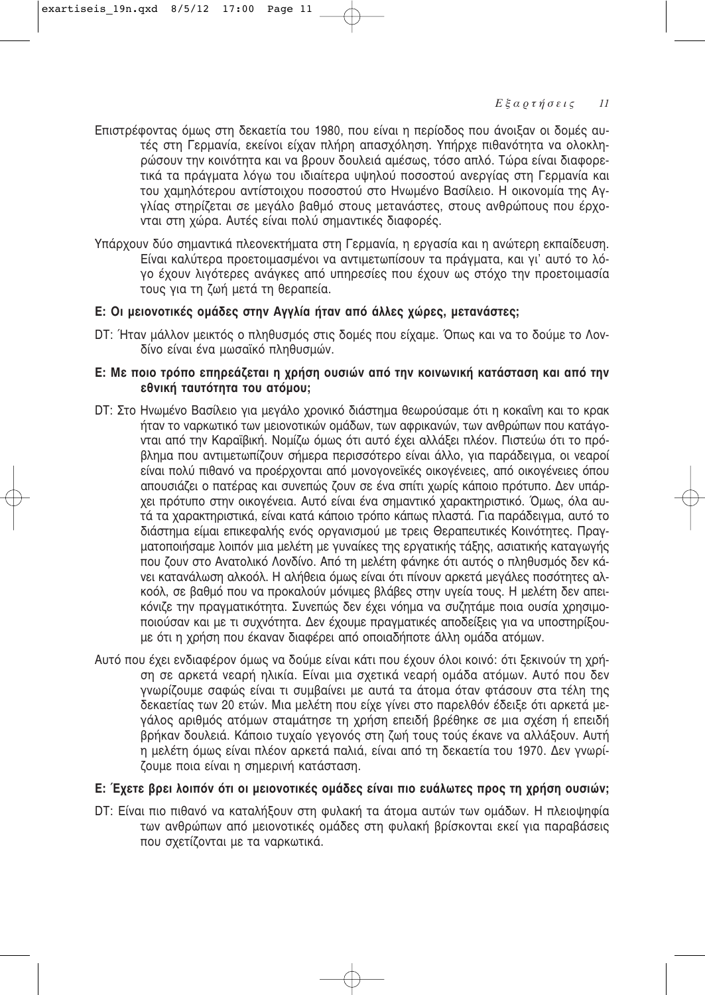- Επιστρέφοντας όμως στη δεκαετία του 1980, που είναι η περίοδος που άνοιξαν οι δομές αυτές στη Γερμανία, εκείνοι είχαν πλήρη απασχόληση. Υπήρχε πιθανότητα να ολοκληρώσουν την κοινότητα και να βρουν δουλειά αμέσως, τόσο απλό. Τώρα είναι διαφορετικά τα πράγματα λόγω του ιδιαίτερα υψηλού ποσοστού ανεργίας στη Γερμανία και του χαμηλότερου αντίστοιχου ποσοστού στο Ηνωμένο Βασίλειο. Η οικονομία της Αγγλίας στηρίζεται σε μεγάλο βαθμό στους μετανάστες, στους ανθρώπους που έρχονται στη χώρα. Αυτές είναι πολύ σημαντικές διαφορές.
- Υπάρχουν δύο σημαντικά πλεονεκτήματα στη Γερμανία, η ερνασία και η ανώτερη εκπαίδευση, Είναι καλύτερα προετοιμασμένοι να αντιμετωπίσουν τα πράνματα, και νι' αυτό το λόγο έχουν λιγότερες ανάγκες από υπηρεσίες που έχουν ως στόχο την προετοιμασία τους για τη ζωή μετά τη θεραπεία.

#### Ε: Οι μειονοτικές ομάδες στην Αγγλία ήταν από άλλες χώρες, μετανάστες;

DT: Ήταν μάλλον μεικτός ο πληθυσμός στις δομές που είχαμε. Όπως και να το δούμε το Λονδίνο είναι ένα μωσαϊκό πληθυσμών.

#### Ε: Με ποιο τρόπο επηρεάζεται η χρήση ουσιών από την κοινωνική κατάσταση και από την  $\epsilon\theta$ νική ταυτότητα του ατόμου;

- DT: Στο Ηνωμένο Βασίλειο για μεγάλο χρονικό διάστημα θεωρούσαμε ότι η κοκαΐνη και το κρακ ήταν το ναρκωτικό των μειονοτικών ομάδων, των αφρικανών, των ανθρώπων που κατάγονται από την Καραϊβική. Νομίζω όμως ότι αυτό έχει αλλάξει πλέον. Πιστεύω ότι το πρόβλημα που αντιμετωπίζουν σήμερα περισσότερο είναι άλλο, για παράδειγμα, οι νεαροί είναι πολύ πιθανό να προέρχονται από μονογονεϊκές οικογένειες, από οικογένειες όπου απουσιάζει ο πατέρας και συνεπώς ζουν σε ένα σπίτι χωρίς κάποιο πρότυπο. Δεν υπάρχει πρότυπο στην οικογένεια. Αυτό είναι ένα σημαντικό χαρακτηριστικό. Όμως, όλα αυτά τα χαρακτηριστικά, είναι κατά κάποιο τρόπο κάπως πλαστά. Για παράδειγμα, αυτό το διάστημα είμαι επικεφαλής ενός οργανισμού με τρεις Θεραπευτικές Κοινότητες. Πραγματοποιήσαμε λοιπόν μια μελέτη με γυναίκες της εργατικής τάξης, ασιατικής καταγωγής που ζουν στο Ανατολικό Λονδίνο. Από τη μελέτη φάνηκε ότι αυτός ο πληθυσμός δεν κά-VEL Κατανάλωση αλκοόλ. Η αλήθεια όμως είναι ότι πίνουν αρκετά μενάλες ποσότητες αλκοόλ, σε βαθμό που να προκαλούν μόνιμες βλάβες στην υγεία τους. Η μελέτη δεν απεικόνιζε την πραγματικότητα. Συνεπώς δεν έχει νόημα να συζητάμε ποια ουσία χρησιμοποιούσαν και με τι συχνότητα. Δεν έχουμε πραγματικές αποδείξεις για να υποστηρίξουμε ότι η χρήση που έκαναν διαφέρει από οποιαδήποτε άλλη ομάδα ατόμων.
- Aυτό που έχει ενδιαφέρον όμως να δούμε είναι κάτι που έχουν όλοι κοινό: ότι ξεκινούν τη χρήση σε αρκετά νεαρή ηλικία. Είναι μια σχετικά νεαρή ομάδα ατόμων. Αυτό που δεν γνωρίζουμε σαφώς είναι τι συμβαίνει με αυτά τα άτομα όταν φτάσουν στα τέλη της δεκαετίας των 20 ετών. Μια μελέτη που είχε γίνει στο παρελθόν έδειξε ότι αρκετά μεγάλος αριθμός ατόμων σταμάτησε τη χρήση επειδή βρέθηκε σε μια σχέση ή επειδή βρήκαν δουλειά. Κάποιο τυχαίο γεγονός στη ζωή τους τούς έκανε να αλλάξουν. Αυτή η μελέτη όμως είναι πλέον αρκετά παλιά, είναι από τη δεκαετία του 1970. Δεν γνωρίζουμε ποια είναι η σημερινή κατάσταση.

#### Ε: Έχετε βρει λοιπόν ότι οι μειονοτικές ομάδες είναι πιο ευάλωτες προς τη χρήση ουσιών;

DT: Είναι πιο πιθανό να καταλήξουν στη φυλακή τα άτομα αυτών των ομάδων. Η πλειοψηφία των ανθρώπων από μειονοτικές ομάδες στη φυλακή βρίσκονται εκεί για παραβάσεις που σχετίζονται με τα ναρκωτικά.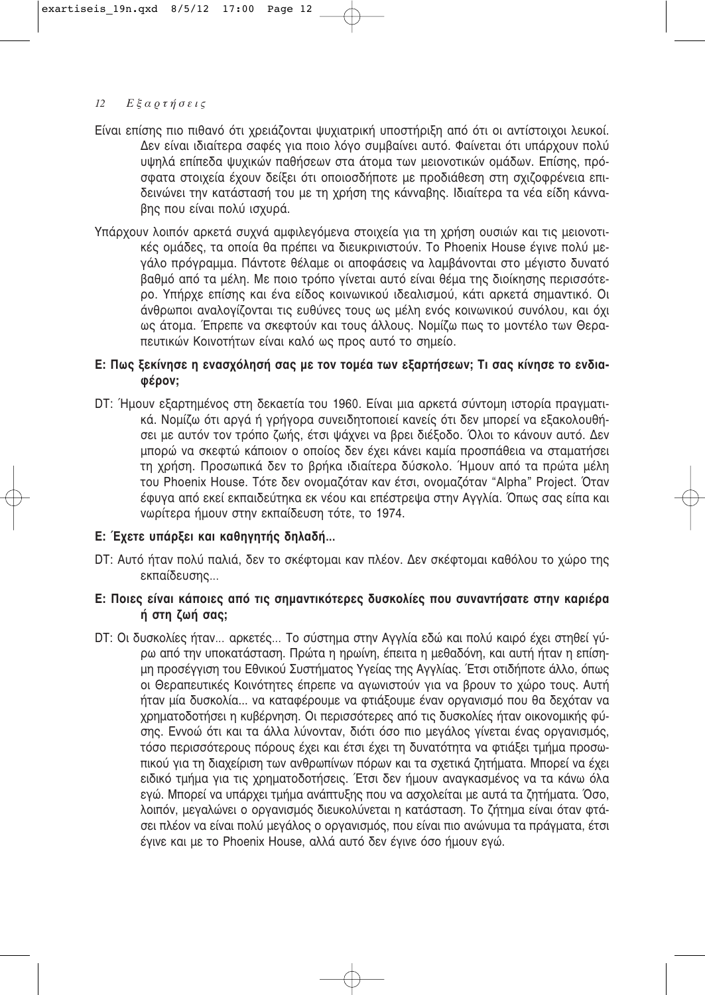- Είναι επίσης πιο πιθανό ότι χρειάζονται ψυχιατρική υποστήριξη από ότι οι αντίστοιχοι λευκοί. Δεν είναι ιδιαίτερα σαφές για ποιο λόγο συμβαίνει αυτό, Φαίνεται ότι υπάρχουν πολύ υψηλά επίπεδα ψυχικών παθήσεων στα άτομα των μειονοτικών ομάδων. Επίσης, πρόσφατα στοιχεία έχουν δείξει ότι οποιοσδήποτε με προδιάθεση στη σχιζοφρένεια επιδεινώνει την κατάστασή του με τη χρήση της κάνναβης. Ιδιαίτερα τα νέα είδη κάνναβης που είναι πολύ ισχυρά.
- Υπάρχουν λοιπόν αρκετά συχνά αμφιλεγόμενα στοιχεία για τη χρήση ουσιών και τις μειονοτικές ομάδες, τα οποία θα πρέπει να διευκρινιστούν. Το Phoenix House έγινε πολύ μεγάλο πρόγραμμα. Πάντοτε θέλαμε οι αποφάσεις να λαμβάνονται στο μέγιστο δυνατό βαθμό από τα μέλη. Με ποιο τρόπο γίνεται αυτό είναι θέμα της διοίκησης περισσότερο. Υπήρχε επίσης και ένα είδος κοινωνικού ιδεαλισμού, κάτι αρκετά σημαντικό. Οι άνθρωποι αναλογίζονται τις ευθύνες τους ως μέλη ενός κοινωνικού συνόλου, και όχι ως άτομα. Έπρεπε να σκεφτούν και τους άλλους. Νομίζω πως το μοντέλο των Θεραπευτικών Κοινοτήτων είναι καλό ως προς αυτό το σημείο.

#### Ε: Πως ξεκίνησε η ενασχόλησή σας με τον τομέα των εξαρτήσεων; Τι σας κίνησε το ενδιαφέρον;

DT: Ήμουν εξαρτημένος στη δεκαετία του 1960. Είναι μια αρκετά σύντομη ιστορία πραγματικά. Νομίζω ότι αργά ή γρήγορα συνειδητοποιεί κανείς ότι δεν μπορεί να εξακολουθήσει με αυτόν τον τρόπο ζωής, έτσι ψάχνει να βρει διέξοδο. Όλοι το κάνουν αυτό. Δεν μπορώ να σκεφτώ κάποιον ο οποίος δεν έχει κάνει καμία προσπάθεια να σταματήσει τη χρήση. Προσωπικά δεν το βρήκα ιδιαίτερα δύσκολο. Ήμουν από τα πρώτα μέλη του Phoenix House. Τότε δεν ονομαζόταν καν έτσι, ονομαζόταν "Alpha" Project. Όταν έφυγα από εκεί εκπαιδεύτηκα εκ νέου και επέστρεψα στην Αγγλία. Όπως σας είπα και νωρίτερα ήμουν στην εκπαίδευση τότε, το 1974.

## Ε: Έχετε υπάρξει και καθηγητής δηλαδή...

DT: Αυτό ήταν πολύ παλιά, δεν το σκέφτομαι καν πλέον. Δεν σκέφτομαι καθόλου το χώρο της εκπαίδευσης...

#### Ε: Ποιες είναι κάποιες από τις σημαντικότερες δυσκολίες που συναντήσατε στην καριέρα ή στη ζωή σας;

DT: Οι δυσκολίες ήταν... αρκετές... Το σύστημα στην Αγγλία εδώ και πολύ καιρό έχει στηθεί γύρω από την υποκατάσταση. Πρώτα η ηρωίνη, έπειτα η μεθαδόνη, και αυτή ήταν η επίσημη προσέγγιση του Εθνικού Συστήματος Υγείας της Αγγλίας. Έτσι οτιδήποτε άλλο, όπως οι Θεραπευτικές Κοινότητες έπρεπε να αγωνιστούν για να βρουν το χώρο τους. Αυτή ήταν μία δυσκολία... να καταφέρουμε να φτιάξουμε έναν οργανισμό που θα δεχόταν να χρηματοδοτήσει η κυβέρνηση. Οι περισσότερες από τις δυσκολίες ήταν οικονομικής φύσης. Εννοώ ότι και τα άλλα λύνονταν, διότι όσο πιο μεγάλος γίνεται ένας οργανισμός, τόσο περισσότερους πόρους έχει και έτσι έχει τη δυνατότητα να φτιάξει τμήμα προσωπικού για τη διαχείριση των ανθρωπίνων πόρων και τα σχετικά ζητήματα. Μπορεί να έχει ειδικό τμήμα για τις χρηματοδοτήσεις. Έτσι δεν ήμουν αναγκασμένος να τα κάνω όλα εγώ. Μπορεί να υπάρχει τμήμα ανάπτυξης που να ασχολείται με αυτά τα ζητήματα. Όσο, λοιπόν, μεγαλώνει ο οργανισμός διευκολύνεται η κατάσταση. Το ζήτημα είναι όταν φτάσει πλέον να είναι πολύ μεγάλος ο οργανισμός, που είναι πιο ανώνυμα τα πράγματα, έτσι έγινε και με το Phoenix House, αλλά αυτό δεν έγινε όσο ήμουν εγώ.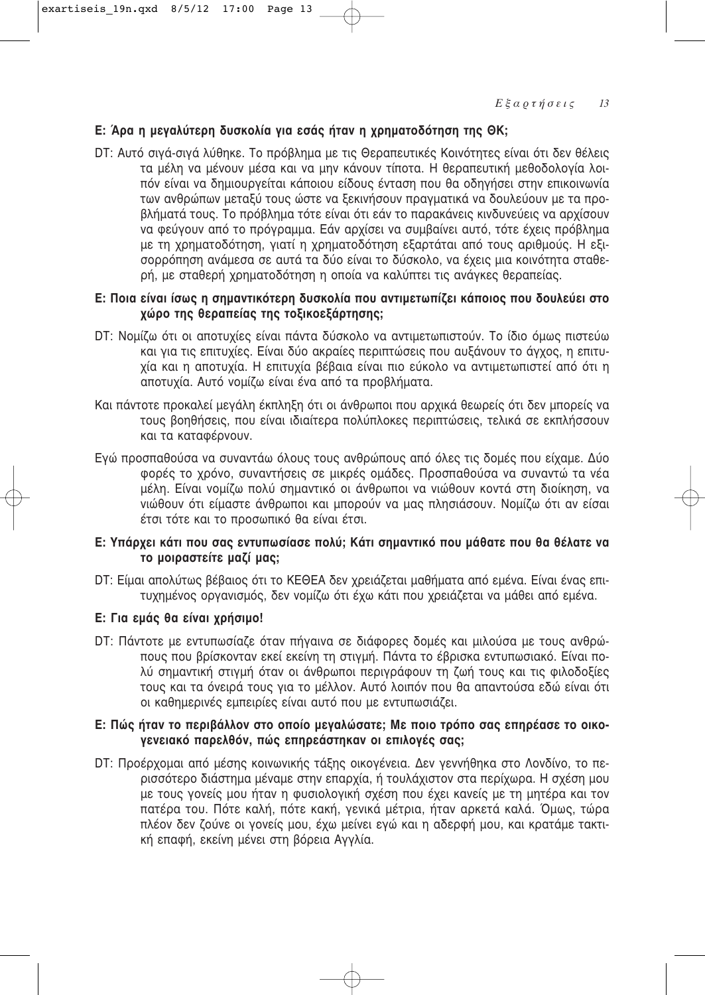#### exartiseis\_19n.qxd 8/5/12 17:00 Page 13

#### **Ε: Άρα η μεγαλύτερη δυσκολία για εσάς ήταν η χρηματοδότηση της ΘΚ;**

DT: Αυτό σιγά-σιγά λύθηκε. Το πρόβλημα με τις Θεραπευτικές Κοινότητες είναι ότι δεν θέλεις τα μέλη να μένουν μέσα και να μην κάνουν τίποτα. Η θεραπευτική μεθοδολονία λοιπόν είναι να δημιουργείται κάποιου είδους ένταση που θα οδηγήσει στην επικοινωνία των ανθρώπων μεταξύ τους ώστε να ξεκινήσουν πραγματικά να δουλεύουν με τα προβλήματά τους. Το πρόβλημα τότε είναι ότι εάν το παρακάνεις κινδυνεύεις να αρχίσουν να φεύγουν από το πρόγραμμα. Εάν αρχίσει να συμβαίνει αυτό, τότε έχεις πρόβλημα με τη χρηματοδότηση, γιατί η χρηματοδότηση εξαρτάται από τους αριθμούς. Η εξιοορρόπηση ανάμεσα σε αυτά τα δύο είναι το δύσκολο, να έχεις μια κοινότητα σταθερή, με σταθερή χρηματοδότηση η οποία να καλύπτει τις ανάγκες θεραπείας.

#### **Ε: Ποια είναι ίσως η σημαντικότερη δυσκολία που αντιμετωπίζει κάποιος που δουλεύει στο** χώρο της θεραπείας της τοξικοεξάρτησης;

- DT: Νομίζω ότι οι αποτυχίες είναι πάντα δύσκολο να αντιμετωπιστούν. Το ίδιο όμως πιστεύω Και για τις επιτυχίες. Είναι δύο ακραίες περιπτώσεις που αυξάνουν το άγχος, η επιτυγία και η αποτυχία. Η επιτυχία βέβαια είναι πιο εύκολο να αντιμετωπιστεί από ότι η αποτυχία. Αυτό νομίζω είναι ένα από τα προβλήματα.
- Και πάντοτε προκαλεί μεγάλη έκπληξη ότι οι άνθρωποι που αρχικά θεωρείς ότι δεν μπορείς να τους βοηθήσεις, που είναι ιδιαίτερα πολύπλοκες περιπτώσεις, τελικά σε εκπλήσσουν και τα καταφέρνουν.
- Εγώ προσπαθούσα να συναντάω όλους τους ανθρώπους από όλες τις δομές που είχαμε. Δύο Φορές το χρόνο, συναντήσεις σε μικρές ομάδες. Προσπαθούσα να συναντώ τα νέα μέλη. Είναι νομίζω πολύ σημαντικό οι άνθρωποι να νιώθουν κοντά στη διοίκηση, να νιώθουν ότι είμαστε άνθρωποι και μπορούν να μας πλησιάσουν. Νομίζω ότι αν είσαι έτσι τότε και το προσωπικό θα είναι έτσι.

#### Ε: Υπάρχει κάτι που σας εντυπωσίασε πολύ; Κάτι σημαντικό που μάθατε που θα θέλατε να **το μοιραστείτε μαζί μας;**

DT: Είμαι απολύτως βέβαιος ότι το ΚΕΘΕΑ δεν χρειάζεται μαθήματα από εμένα. Είναι ένας επιτυχημένος οργανισμός, δεν νομίζω ότι έχω κάτι που χρειάζεται να μάθει από εμένα.

#### $E: \Gamma$ ια εμάς θα είναι χρήσιμο!

DT: Πάντοτε με εντυπωσίαζε όταν πήγαινα σε διάφορες δομές και μιλούσα με τους ανθρώπους που βρίσκονταν εκεί εκείνη τη στιγμή. Πάντα το έβρισκα εντυπωσιακό. Είναι πολύ σημαντική στιγμή όταν οι άνθρωποι περιγράφουν τη ζωή τους και τις φιλοδοξίες τους και τα όνειρά τους για το μέλλον. Αυτό λοιπόν που θα απαντούσα εδώ είναι ότι οι καθημερινές εμπειρίες είναι αυτό που με εντυπωσιάζει.

#### Ε: Πώς ήταν το περιβάλλον στο οποίο μεγαλώσατε; Με ποιο τρόπο σας επηρέασε το οικογενειακό παρελθόν, πώς επηρεάστηκαν οι επιλογές σας;

DT: Προέρχομαι από μέσης κοινωνικής τάξης οικογένεια. Δεν γεννήθηκα στο Λονδίνο, το περισσότερο διάστημα μέναμε στην επαρχία, ή τουλάχιστον στα περίχωρα. Η σχέση μου με τους γονείς μου ήταν η φυσιολογική σχέση που έχει κανείς με τη μητέρα και τον πατέρα του. Πότε καλή, πότε κακή, γενικά μέτρια, ήταν αρκετά καλά. Όμως, τώρα πλέον δεν ζούνε οι γονείς μου, έχω μείνει εγώ και η αδερφή μου, και κρατάμε τακτική επαφή, εκείνη μένει στη βόρεια Αγγλία.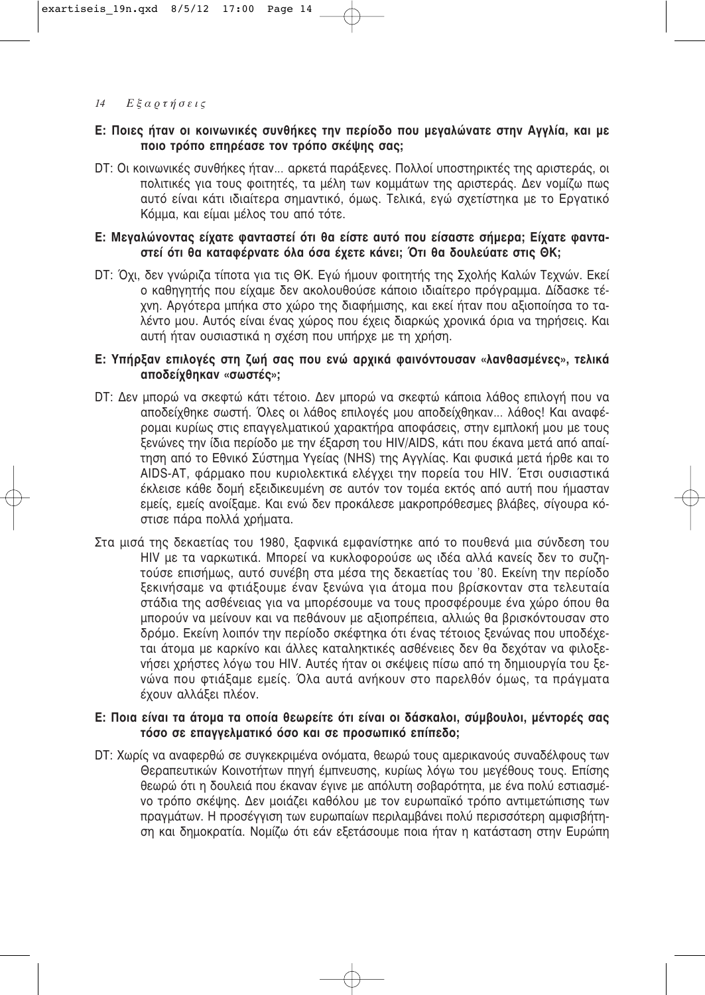#### Ε: Ποιες ήταν οι κοινωνικές συνθήκες την περίοδο που μεγαλώνατε στην Αγγλία, και με <u>ΠΟΙΟ Τρόπο επηρέασε τον τρόπο σκέψης σας:</u>

DT: Οι κοινωνικές συνθήκες ήταν... αρκετά παράξενες. Πολλοί υποστηρικτές της αριστεράς, οι πολιτικές για τους φοιτητές, τα μέλη των κομμάτων της αριστεράς. Δεν νομίζω πως αυτό είναι κάτι ιδιαίτερα σημαντικό, όμως. Τελικά, εγώ σχετίστηκα με το Ερνατικό Κόμμα, και είμαι μέλος του από τότε.

#### Ε: Μεγαλώνοντας είχατε φανταστεί ότι θα είστε αυτό που είσαστε σήμερα; Είχατε φαντα**στεί ότι θα καταφέρνατε όλα όσα έχετε κάνει; Ότι θα δουλεύατε στις ΘΚ;**

DT: Όχι, δεν γνώριζα τίποτα για τις ΘΚ. Εγώ ήμουν φοιτητής της Σχολής Καλών Τεχνών. Εκεί ο καθηγητής που είχαμε δεν ακολουθούσε κάποιο ιδιαίτερο πρόγραμμα. Δίδασκε τέχνη. Αργότερα μπήκα στο χώρο της διαφήμισης, και εκεί ήταν που αξιοποίησα το ταλέντο μου. Αυτός είναι ένας χώρος που έχεις διαρκώς χρονικά όρια να τηρήσεις. Και αυτή ήταν ουσιαστικά η σχέση που υπήρχε με τη χρήση.

#### Ε: Υπήρξαν επιλογές στη ζωή σας που ενώ αρχικά φαινόντουσαν «λανθασμένες», τελικά **αποδείχθηκαν «σωστές»;**

- DT: Δεν μπορώ να σκεφτώ κάτι τέτοιο. Δεν μπορώ να σκεφτώ κάποια λάθος επιλογή που να αποδείχθηκε σωστή. Όλες οι λάθος επιλογές μου αποδείχθηκαν... λάθος! Και αναφέρομαι κυρίως στις επαγγελματικού χαρακτήρα αποφάσεις, στην εμπλοκή μου με τους ξενώνες την ίδια περίοδο με την έξαρση του HIV/AIDS, κάτι που έκανα μετά από απαίτηση από το Εθνικό Σύστημα Υγείας (NHS) της Αγγλίας. Και φυσικά μετά ήρθε και το AIDS-AT, Φάρμακο που κυριολεκτικά ελένχει την πορεία του HIV. Έτσι ουσιαστικά έκλεισε κάθε δομή εξειδικευμένη σε αυτόν τον τομέα εκτός από αυτή που ήμασταν εμείς, εμείς ανοίξαμε. Και ενώ δεν προκάλεσε μακροπρόθεσμες βλάβες, σίγουρα κόστισε πάρα πολλά χρήματα.
- Στα μισά της δεκαετίας του 1980, ξαφνικά εμφανίστηκε από το πουθενά μια σύνδεση του HIV με τα ναρκωτικά. Μπορεί να κυκλοφορούσε ως ιδέα αλλά κανείς δεν το συζητούσε επισήμως, αυτό συνέβη στα μέσα της δεκαετίας του '80. Εκείνη την περίοδο ξεκινήσαμε να φτιάξουμε έναν ξενώνα για άτομα που βρίσκονταν στα τελευταία στάδια της ασθένειας για να μπορέσουμε να τους προσφέρουμε ένα χώρο όπου θα μπορούν να μείνουν και να πεθάνουν με αξιοπρέπεια, αλλιώς θα βρισκόντουσαν στο δρόμο. Εκείνη λοιπόν την περίοδο σκέφτηκα ότι ένας τέτοιος ξενώνας που υποδέχεται άτομα με καρκίνο και άλλες καταληκτικές ασθένειες δεν θα δεχόταν να φιλοξενήσει χρήστες λόγω του HIV. Αυτές ήταν οι σκέψεις πίσω από τη δημιουργία του ξενώνα που φτιάξαμε εμείς. Όλα αυτά ανήκουν στο παρελθόν όμως, τα πράγματα έχουν αλλάξει πλέον.

#### Ε: Ποια είναι τα άτομα τα οποία θεωρείτε ότι είναι οι δάσκαλοι, σύμβουλοι, μέντορές σας τόσο σε επαγγελματικό όσο και σε προσωπικό επίπεδο;

DT: Χωρίς να αναφερθώ σε συγκεκριμένα ονόματα, θεωρώ τους αμερικανούς συναδέλφους των Θεραπευτικών Κοινοτήτων πηγή έμπνευσης, κυρίως λόγω του μεγέθους τους. Επίσης θεωρώ ότι η δουλειά που έκαναν έγινε με απόλυτη σοβαρότητα, με ένα πολύ εστιασμένο τρόπο σκέψης. Δεν μοιάζει καθόλου με τον ευρωπαϊκό τρόπο αντιμετώπισης των πραγμάτων. Η προσέγγιση των ευρωπαίων περιλαμβάνει πολύ περισσότερη αμφισβήτηση και δημοκρατία. Νομίζω ότι εάν εξετάσουμε ποια ήταν η κατάσταση στην Ευρώπη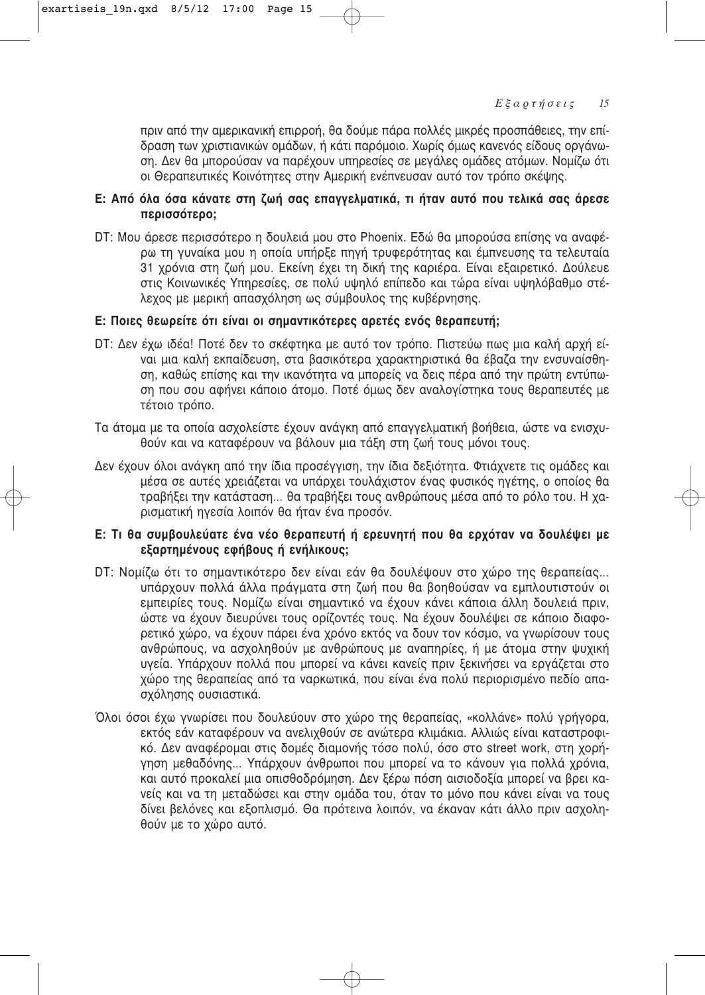πριν από την αμερικανική επιρροή, θα δούμε πάρα πολλές μικρές προσπάθειες, την επίδραση των χριστιανικών ομάδων, ή κάτι παρόμοιο. Χωρίς όμως κανενός είδους οργάνωση. Δεν θα μπορούσαν να παρέχουν υπηρεσίες σε μεγάλες ομάδες ατόμων. Νομίζω ότι οι Θεραπευτικές Κοινότητες στην Αμερική ενέπνευσαν αυτό τον τρόπο σκέψης.

#### Ε: Από όλα όσα κάνατε στη ζωή σας επαγγελματικά, τι ήταν αυτό που τελικά σας άρεσε περισσότερο;

DT: Μου άρεσε περισσότερο η δουλειά μου στο Phoenix. Εδώ θα μπορούσα επίσης να αναφέρω τη γυναίκα μου η οποία υπήρξε πηγή τρυφερότητας και έμπνευσης τα τελευταία 31 χρόνια στη ζωή μου. Εκείνη έχει τη δική της καριέρα. Είναι εξαιρετικό. Δούλευε στις Κοινωνικές Υπηρεσίες, σε πολύ υψηλό επίπεδο και τώρα είναι υψηλόβαθμο στέλεχος με μερική απασχόληση ως σύμβουλος της κυβέρνησης.

#### Ε: Ποιες θεωρείτε ότι είναι οι σημαντικότερες αρετές ενός θεραπευτή;

Page 15

 $17:00$ 

exartiseis 19n.qxd 8/5/12

- DT: Δεν έχω ιδέα! Ποτέ δεν το σκέφτηκα με αυτό τον τρόπο. Πιστεύω πως μια καλή αρχή είναι μια καλή εκπαίδευση, στα βασικότερα χαρακτηριστικά θα έβαζα την ενσυναίσθηση, καθώς επίσης και την ικανότητα να μπορείς να δεις πέρα από την πρώτη εντύπωση που σου αφήνει κάποιο άτομο. Ποτέ όμως δεν αναλογίστηκα τους θεραπευτές με τέτοιο τρόπο.
- Τα άτομα με τα οποία ασχολείστε έχουν ανάγκη από επαγγελματική βοήθεια, ώστε να ενισχυθούν και να καταφέρουν να βάλουν μια τάξη στη ζωή τους μόνοι τους.
- Δεν έχουν όλοι ανάγκη από την ίδια προσέγγιση, την ίδια δεξιότητα. Φτιάχνετε τις ομάδες και μέσα σε αυτές χρειάζεται να υπάρχει τουλάχιστον ένας φυσικός ηγέτης, ο οποίος θα τραβήξει την κατάσταση... θα τραβήξει τους ανθρώπους μέσα από το ρόλο του. Η χαρισματική ηγεσία λοιπόν θα ήταν ένα προσόν.

#### Ε: Τι θα συμβουλεύατε ένα νέο θεραπευτή ή ερευνητή που θα ερχόταν να δουλέψει με εξαρτημένους εφήβους ή ενήλικους;

- DT: Νομίζω ότι το σημαντικότερο δεν είναι εάν θα δουλέψουν στο χώρο της θεραπείας... υπάρχουν πολλά άλλα πράγματα στη ζωή που θα βοηθούσαν να εμπλουτιστούν οι εμπειρίες τους. Νομίζω είναι σημαντικό να έχουν κάνει κάποια άλλη δουλειά πριν. ώστε να έχουν διευρύνει τους ορίζοντές τους. Να έχουν δουλέψει σε κάποιο διαφορετικό χώρο, να έχουν πάρει ένα χρόνο εκτός να δουν τον κόσμο, να γνωρίσουν τους ανθρώπους, να ασχοληθούν με ανθρώπους με αναπηρίες, ή με άτομα στην ψυχική υγεία. Υπάρχουν πολλά που μπορεί να κάνει κανείς πριν ξεκινήσει να εργάζεται στο χώρο της θεραπείας από τα ναρκωτικά, που είναι ένα πολύ περιορισμένο πεδίο απασχόλησης ουσιαστικά.
- Όλοι όσοι έχω γνωρίσει που δουλεύουν στο χώρο της θεραπείας, «κολλάνε» πολύ γρήγορα, εκτός εάν καταφέρουν να ανελιχθούν σε ανώτερα κλιμάκια. Αλλιώς είναι καταστροφικό. Δεν αναφέρομαι στις δομές διαμονής τόσο πολύ, όσο στο street work, στη χορήγηση μεθαδόνης... Υπάρχουν άνθρωποι που μπορεί να το κάνουν για πολλά χρόνια, και αυτό προκαλεί μια οπισθοδρόμηση. Δεν ξέρω πόση αισιοδοξία μπορεί να βρει κανείς και να τη μεταδώσει και στην ομάδα του, όταν το μόνο που κάνει είναι να τους δίνει βελόνες και εξοπλισμό. Θα πρότεινα λοιπόν, να έκαναν κάτι άλλο πριν ασχοληθούν με το χώρο αυτό.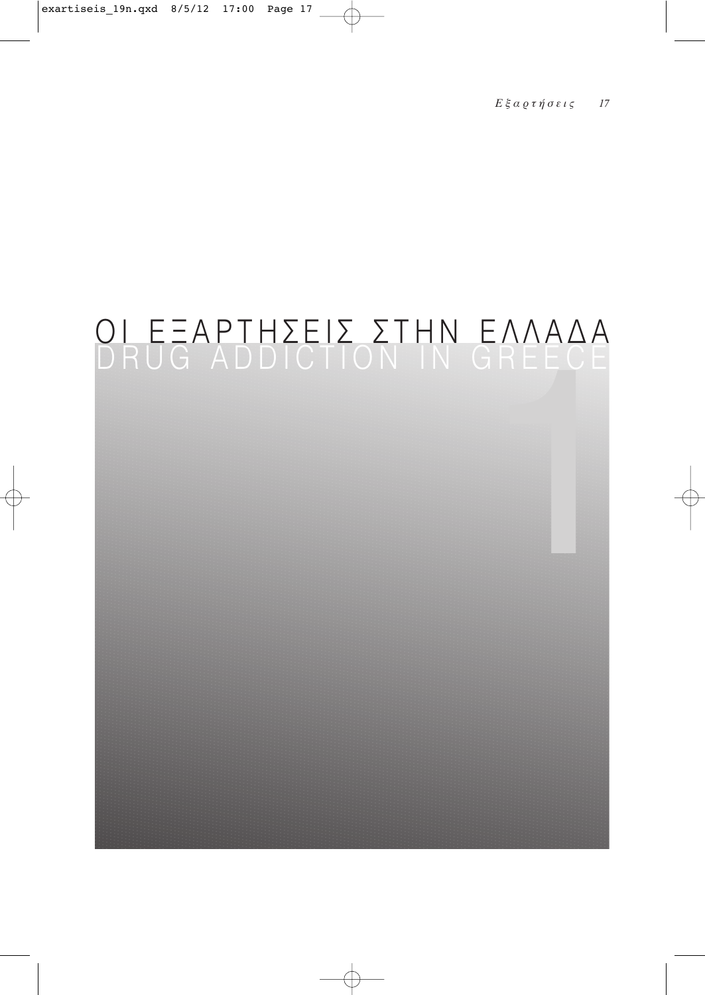$E \xi a \varrho \tau \eta \sigma \varepsilon \iota$ ς 17

## <u>ΟΙ ΕΞΑΡΤΗΣΕΙΣ ΣΤΗΝ ΕΛΛΑΔΑ</u><br>DRUG ADDICTION IN GREECE</u>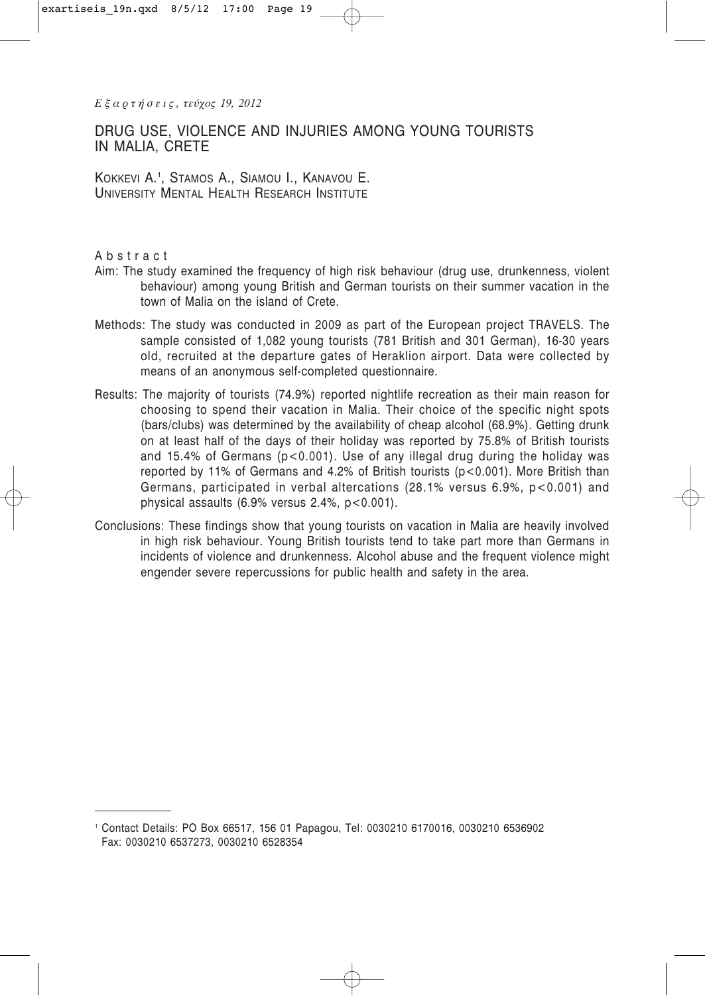*Ε ξ α ρ τ ή σ ε ι ς , τεύχος 19, 2012*

DRUG USE, VIOLENCE AND INJURIES AMONG YOUNG TOURISTS IN MALIA, CRETE

KOKKEVI A.1 , STAMOS A., SIAMOU I., KANAVOU E. UNIVERSITY MENTAL HEALTH RESEARCH INSTITUTE

Abstract

- Aim: The study examined the frequency of high risk behaviour (drug use, drunkenness, violent behaviour) among young British and German tourists on their summer vacation in the town of Malia on the island of Crete.
- Methods: The study was conducted in 2009 as part of the European project TRAVELS. The sample consisted of 1,082 young tourists (781 British and 301 German), 16-30 years old, recruited at the departure gates of Heraklion airport. Data were collected by means of an anonymous self-completed questionnaire.
- Results: The majority of tourists (74.9%) reported nightlife recreation as their main reason for choosing to spend their vacation in Malia. Their choice of the specific night spots (bars/clubs) was determined by the availability of cheap alcohol (68.9%). Getting drunk on at least half of the days of their holiday was reported by 75.8% of British tourists and 15.4% of Germans ( $p < 0.001$ ). Use of any illegal drug during the holiday was reported by 11% of Germans and 4.2% of British tourists (p<0.001). More British than Germans, participated in verbal altercations (28.1% versus 6.9%, p<0.001) and physical assaults (6.9% versus 2.4%, p<0.001).
- Conclusions: These findings show that young tourists on vacation in Malia are heavily involved in high risk behaviour. Young British tourists tend to take part more than Germans in incidents of violence and drunkenness. Alcohol abuse and the frequent violence might engender severe repercussions for public health and safety in the area.

<sup>1</sup> Contact Details: PO Box 66517, 156 01 Papagou, Tel: 0030210 6170016, 0030210 6536902 Fax: 0030210 6537273, 0030210 6528354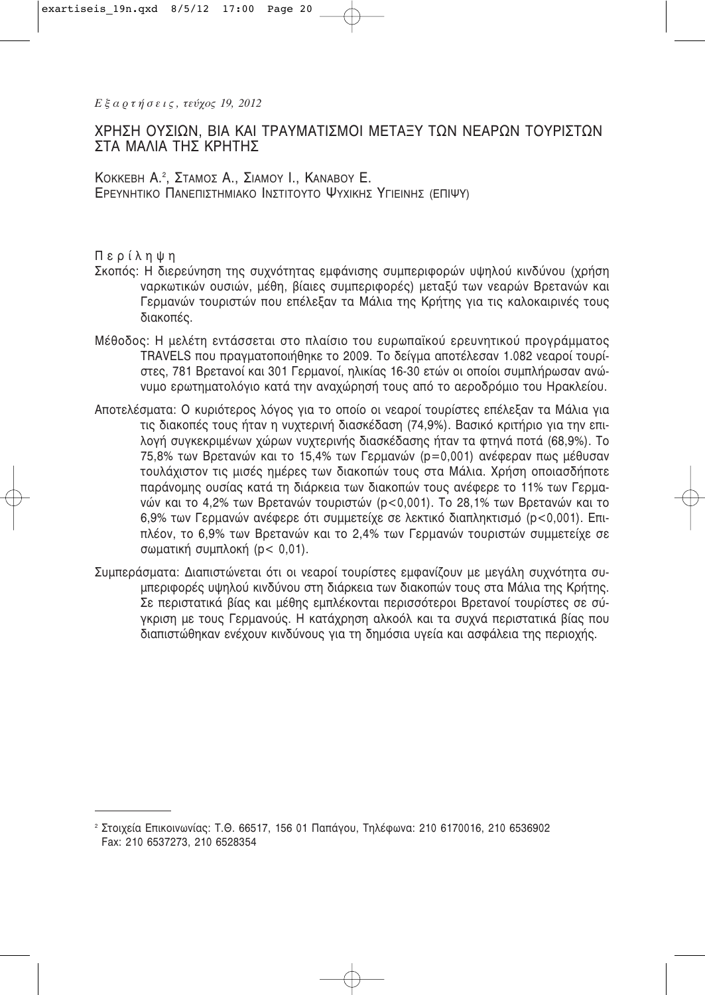*Ε ξ α ρ τ ή σ ε ι ς , τεύχος 19, 2012*

ΧΡΗΣΗ ΟΥΣΙΩΝ, ΒΙΑ ΚΑΙ ΤΡΑΥΜΑΤΙΣΜΟΙ ΜΕΤΑΞΥ ΤΩΝ ΝΕΑΡΩΝ ΤΟΥΡΙΣΤΩΝ ΣΤΑ ΜΑΛΙΑ ΤΗΣ ΚΡΗΤΗΣ

 $K$ okkebh A. $^2$ , Σtamo $\Sigma$  A., Σiamoy I., Kanaboy E. ΕΡΕΥΝΗΤΙΚΟ ΠΑΝΕΠΙΣΤΗΜΙΑΚΟ ΙΝΣΤΙΤΟΥΤΟ ΨΥΧΙΚΗΣ ΥΓΙΕΙΝΗΣ (ΕΠΙΨΥ)

 $\Pi$ ερίληψη

- Σκοπός: Η διερεύνηση της συχνότητας εμφάνισης συμπεριφορών υψηλού κινδύνου (χρήση ναρκωτικών ουσιών, μέθη, βίαιες συμπεριφορές) μεταξύ των νεαρών Βρετανών και Γερμανών τουριστών που επέλεξαν τα Μάλια της Κρήτης για τις καλοκαιρινές τους διακοπές.
- Μέθοδος: Η μελέτη εντάσσεται στο πλαίσιο του ευρωπαϊκού ερευνητικού προγράμματος TRAVELS που πραγματοποιήθηκε το 2009. Το δείγμα αποτέλεσαν 1.082 νεαροί τουρίστες, 781 Βρετανοί και 301 Γερμανοί, ηλικίας 16-30 ετών οι οποίοι συμπλήρωσαν ανώνυμο ερωτηματολόγιο κατά την αναχώρησή τους από το αεροδρόμιο του Ηρακλείου.
- Αποτελέσματα: Ο κυριότερος λόγος για το οποίο οι νεαροί τουρίστες επέλεξαν τα Μάλια για τις διακοπές τους ήταν η νυχτερινή διασκέδαση (74,9%). Βασικό κριτήριο για την επιλογή συγκεκριμένων χώρων νυχτερινής διασκέδασης ήταν τα φτηνά ποτά (68,9%). Το 75,8% των Βρετανών και το 15,4% των Γερμανών (p=0,001) ανέφεραν πως μέθυσαν τουλάχιστον τις μισές ημέρες των διακοπών τους στα Μάλια. Χρήση οποιασδήποτε παράνομης ουσίας κατά τη διάρκεια των διακοπών τους ανέφερε το 11% των Γερμα-Vών και το 4,2% των Βρετανών τουριστών (p<0,001). Το 28,1% των Βρετανών και το 6,9% των Γερμανών ανέφερε ότι συμμετείχε σε λεκτικό διαπληκτισμό (p<0,001). Επιπλέον, το 6,9% των Βρετανών και το 2,4% των Γερμανών τουριστών συμμετείχε σε σωματική συμπλοκή (p < 0,01).
- Συμπεράσματα: Διαπιστώνεται ότι οι νεαροί τουρίστες εμφανίζουν με μεγάλη συχνότητα συμπεριφορές υψηλού κινδύνου στη διάρκεια των διακοπών τους στα Μάλια της Κρήτης. Σε περιστατικά βίας και μέθης εμπλέκονται περισσότεροι Βρετανοί τουρίστες σε σύγκριση με τους Γερμανούς. Η κατάχρηση αλκοόλ και τα συχνά περιστατικά βίας που διαπιστώθηκαν ενέχουν κινδύνους για τη δημόσια υγεία και ασφάλεια της περιοχής.

<sup>2</sup> Στοιχεία Επικοινωνίας: Τ.Θ. 66517, 156 01 Παπάγου, Τηλέφωνα: 210 6170016, 210 6536902 Fax: 210 6537273, 210 6528354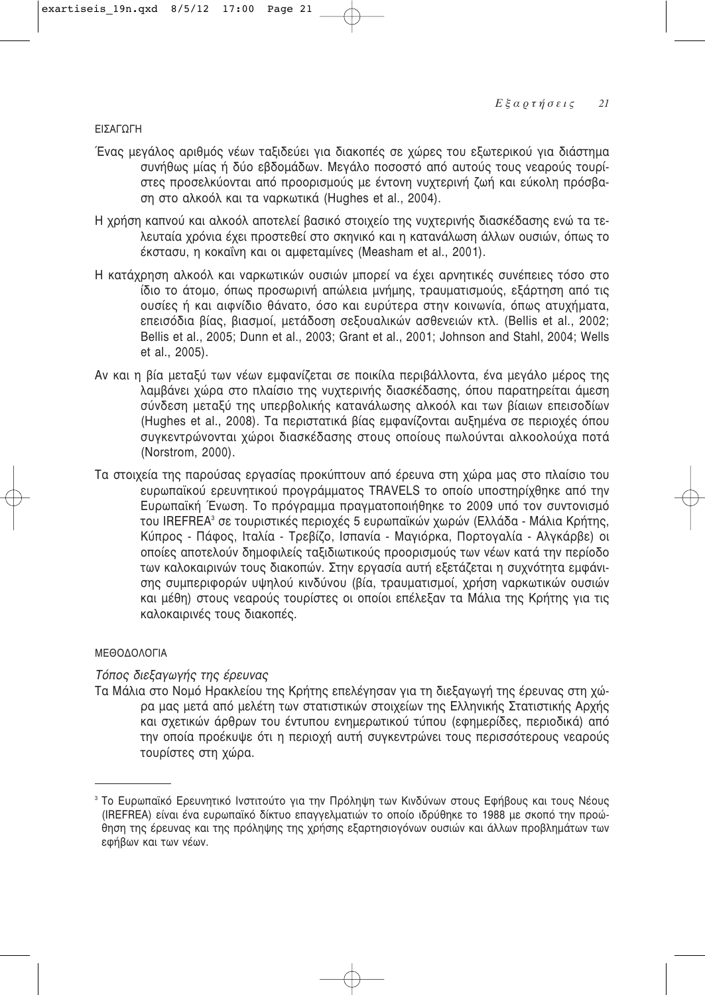#### ΕΙΣΑΓΩΓΗ

- Ένας μεγάλος αριθμός νέων ταξιδεύει για διακοπές σε χώρες του εξωτερικού για διάστημα συνήθως μίας ή δύο εβδομάδων. Μεγάλο ποσοστό από αυτούς τους νεαρούς τουρίστες προσελκύονται από προορισμούς με έντονη νυχτερινή ζωή και εύκολη πρόσβαση στο αλκοόλ και τα ναρκωτικά (Hughes et al., 2004).
- Η χρήση καπνού και αλκοόλ αποτελεί βασικό στοιχείο της νυχτερινής διασκέδασης ενώ τα τελευταία χρόνια έχει προστεθεί στο σκηνικό και η κατανάλωση άλλων ουσιών, όπως το έκστασυ, η κοκαΐνη και οι αμφεταμίνες (Measham et al., 2001).
- Η κατάχρηση αλκοόλ και ναρκωτικών ουσιών μπορεί να έχει αρνητικές συνέπειες τόσο στο ίδιο το άτομο, όπως προσωρινή απώλεια μνήμης, τραυματισμούς, εξάρτηση από τις ουσίες ή και αιφνίδιο θάνατο, όσο και ευρύτερα στην κοινωνία, όπως ατυχήματα, επεισόδια βίας, βιασμοί, μετάδοση σεξουαλικών ασθενειών κτλ. (Bellis et al., 2002; Bellis et al., 2005; Dunn et al., 2003; Grant et al., 2001; Johnson and Stahl, 2004; Wells et al., 2005).
- Αν και η βία μεταξύ των νέων εμφανίζεται σε ποικίλα περιβάλλοντα, ένα μεγάλο μέρος της λαμβάνει χώρα στο πλαίσιο της νυχτερινής διασκέδασης, όπου παρατηρείται άμεση σύνδεση μεταξύ της υπερβολικής κατανάλωσης αλκοόλ και των βίαιων επεισοδίων (Hughes et al., 2008). Τα περιστατικά βίας εμφανίζονται αυξημένα σε περιοχές όπου συγκεντρώνονται χώροι διασκέδασης στους οποίους πωλούνται αλκοολούχα ποτά (Norstrom, 2000).
- Τα στοιχεία της παρούσας εργασίας προκύπτουν από έρευνα στη χώρα μας στο πλαίσιο του ευρωπαϊκού ερευνητικού προγράμματος TRAVELS το οποίο υποστηρίχθηκε από την Ευρωπαϊκή Ένωση. Το πρόγραμμα πραγματοποιήθηκε το 2009 υπό τον συντονισμό του IREFREA<sup>3</sup> σε τουριστικές περιοχές 5 ευρωπαϊκών χωρών (Ελλάδα - Μάλια Κρήτης, Κύπρος - Πάφος, Ιταλία - Τρεβίζο, Ισπανία - Μαγιόρκα, Πορτογαλία - Αλγκάρβε) οι οποίες αποτελούν δημοφιλείς ταξιδιωτικούς προορισμούς των νέων κατά την περίοδο των καλοκαιρινών τους διακοπών. Στην εργασία αυτή εξετάζεται η συχνότητα εμφάνισης συμπεριφορών υψηλού κινδύνου (βία, τραυματισμοί, χρήση ναρκωτικών ουσιών και μέθη) στους νεαρούς τουρίστες οι οποίοι επέλεξαν τα Μάλια της Κρήτης για τις καλοκαιρινές τους διακοπές.

#### ΜΕΘΟΔΟΛΟΓΙΑ

#### *Τόπος διεξαγωγής της έρευνας*

Τα Μάλια στο Νομό Ηρακλείου της Κρήτης επελέγησαν για τη διεξαγωγή της έρευνας στη χώρα μας μετά από μελέτη των στατιστικών στοιχείων της Ελληνικής Στατιστικής Αρχής και σχετικών άρθρων του έντυπου ενημερωτικού τύπου (εφημερίδες, περιοδικά) από την οποία προέκυψε ότι η περιοχή αυτή συγκεντρώνει τους περισσότερους νεαρούς τουρίστες στη χώρα.

<sup>3</sup> Το Ευρωπαϊκό Ερευνητικό Ινστιτούτο για την Πρόληψη των Κινδύνων στους Εφήβους και τους Νέους (IREFREA) είναι ένα ευρωπαϊκό δίκτυο επαγγελματιών το οποίο ιδρύθηκε το 1988 με σκοπό την προώθηση της έρευνας και της πρόληψης της χρήσης εξαρτησιογόνων ουσιών και άλλων προβλημάτων των εφήβων και των νέων.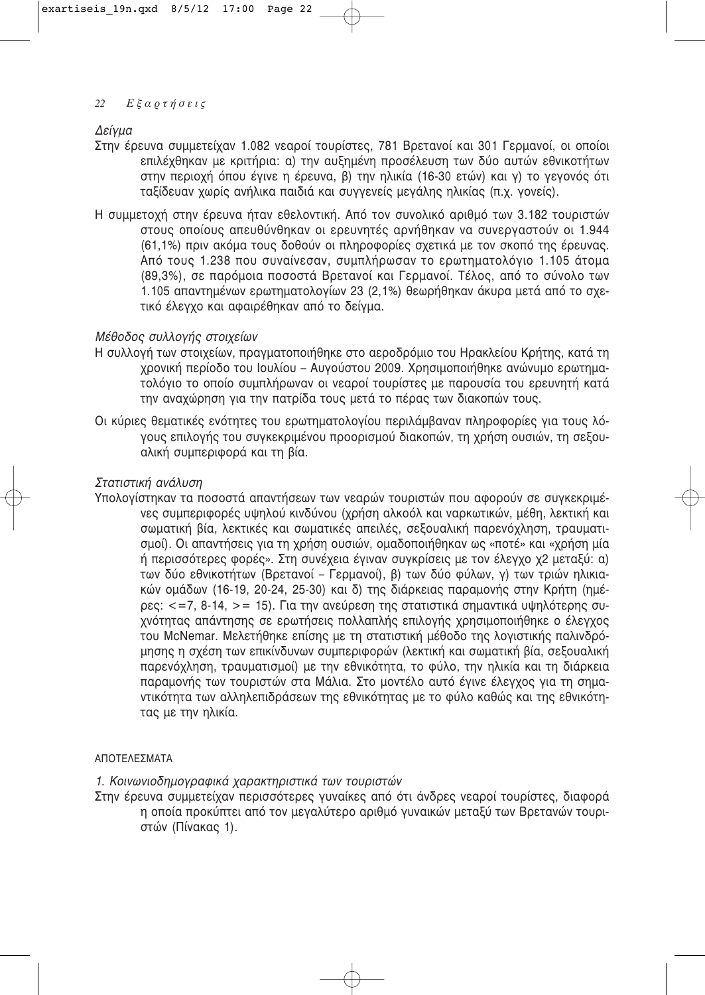#### *Δείγμα*

- Στην έρευνα συμμετείχαν 1.082 νεαροί τουρίστες, 781 Βρετανοί και 301 Γερμανοί, οι οποίοι επιλέχθηκαν με κριτήρια: α) την αυξημένη προσέλευση των δύο αυτών εθνικοτήτων στην περιοχή όπου έγινε η έρευνα, β) την ηλικία (16-30 ετών) και γ) το γεγονός ότι ταξίδευαν χωρίς ανήλικα παιδιά και συννενείς μενάλης ηλικίας (π.χ. νονείς).
- Η συμμετοχή στην έρευνα ήταν εθελοντική. Από τον συνολικό αριθμό των 3.182 τουριστών στους οποίους απευθύνθηκαν οι ερευνητές αρνήθηκαν να συνεργαστούν οι 1.944 (61,1%) πριν ακόμα τους δοθούν οι πληροφορίες σχετικά με τον σκοπό της έρευνας. Aπό τους 1.238 που συναίνεσαν, συμπλήρωσαν το ερωτηματολόγιο 1.105 άτομα (89,3%), σε παρόμοια ποσοστά Βρετανοί και Γερμανοί. Τέλος, από το σύνολο των 1.105 απαντημένων ερωτηματολογίων 23 (2,1%) θεωρήθηκαν άκυρα μετά από το σχετικό έλεγχο και αφαιρέθηκαν από το δείγμα.

#### $M$ έθοδος συλλογής στοιχείων

- Η συλλογή των στοιχείων, πραγματοποιήθηκε στο αεροδρόμιο του Ηρακλείου Κρήτης, κατά τη χρονική περίοδο του Ιουλίου – Αυγούστου 2009. Χρησιμοποιήθηκε ανώνυμο ερωτηματολόγιο το οποίο συμπλήρωναν οι νεαροί τουρίστες με παρουσία του ερευνητή κατά την αναχώρηση για την πατρίδα τους μετά το πέρας των διακοπών τους.
- Οι κύριες θεματικές ενότητες του ερωτηματολογίου περιλάμβαναν πληροφορίες για τους λόγους επιλογής του συγκεκριμένου προορισμού διακοπών, τη χρήση ουσιών, τη σεξουαλική συμπεριφορά και τη βία.

#### Στατιστική ανάλυση

Υπολογίστηκαν τα ποσοστά απαντήσεων των νεαρών τουριστών που αφορούν σε συγκεκριμέvες συμπεριφορές υψηλού κινδύνου (χρήση αλκοόλ και ναρκωτικών, μέθη, λεκτική και σωματική βία, λεκτικές και σωματικές απειλές, σεξουαλική παρενόχληση, τραυματισμοί). Οι απαντήσεις για τη χρήση ουσιών, ομαδοποιήθηκαν ως «ποτέ» και «χρήση μία ή περισσότερες φορές». Στη συνέχεια έγιναν συγκρίσεις με τον έλεγχο χ2 μεταξύ: α) των δύο εθνικοτήτων (Βρετανοί – Γερμανοί), β) των δύο φύλων, γ) των τριών ηλικια-Κών ομάδων (16-19, 20-24, 25-30) και δ) της διάρκειας παραμονής στην Κρήτη (ημέρες: <=7, 8-14, >= 15). Για την ανεύρεση της στατιστικά σημαντικά υψηλότερης συχνότητας απάντησης σε ερωτήσεις πολλαπλής επιλογής χρησιμοποιήθηκε ο έλεγχος του McNemar. Μελετήθηκε επίσης με τη στατιστική μέθοδο της λογιστικής παλινδρόμησης η σχέση των επικίνδυνων συμπεριφορών (λεκτική και σωματική βία, σεξουαλική παρενόχληση, τραυματισμοί) με την εθνικότητα, το φύλο, την ηλικία και τη διάρκεια παραμονής των τουριστών στα Μάλια. Στο μοντέλο αυτό έγινε έλεγχος για τη σημα-Vτικότητα των αλληλεπιδράσεων της εθνικότητας με το φύλο καθώς και της εθνικότητας με την ηλικία.

#### ΑΠΟΤΕΛΕΣΜΑΤΑ

#### 1. Κοινωνιοδημογραφικά χαρακτηριστικά των τουριστών

Στην έρευνα συμμετείχαν περισσότερες γυναίκες από ότι άνδρες νεαροί τουρίστες, διαφορά η οποία προκύπτει από τον μεγαλύτερο αριθμό γυναικών μεταξύ των Βρετανών τουριστών (Πίνακας 1).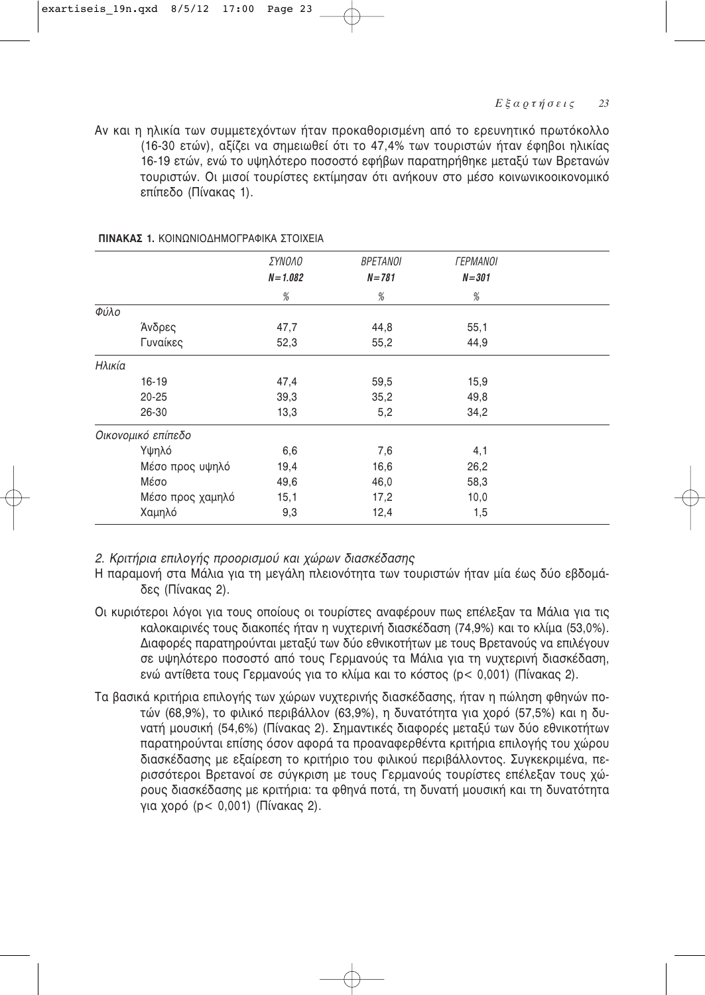Αν και η ηλικία των συμμετεχόντων ήταν προκαθορισμένη από το ερευνητικό πρωτόκολλο (16-30 ετών), αξίζει να σημειωθεί ότι το 47,4% των τουριστών ήταν έφηβοι ηλικίας 16-19 ετών, ενώ το υψηλότερο ποσοστό εφήβων παρατηρήθηκε μεταξύ των Βρετανών τουριστών. Οι μισοί τουρίστες εκτίμησαν ότι ανήκουν στο μέσο κοινωνικοοικονομικό επίπεδο (Πίνακας 1).

|  | ΠΙΝΑΚΑΣ 1. ΚΟΙΝΩΝΙΟΔΗΜΟΓΡΑΦΙΚΑ ΣΤΟΙΧΕΙΑ |  |
|--|-----------------------------------------|--|
|--|-----------------------------------------|--|

exartiseis\_19n.qxd 8/5/12 17:00 Page 23

|        |                    | ΣΥΝΟΛΟ      | <b>BPETANOI</b> | <b><i>FEPMANOI</i></b> |  |
|--------|--------------------|-------------|-----------------|------------------------|--|
|        |                    | $N = 1.082$ | $N = 781$       | $N = 301$              |  |
|        |                    | %           | %               | %                      |  |
| Φύλο   |                    |             |                 |                        |  |
|        | Άνδρες             | 47,7        | 44,8            | 55,1                   |  |
|        | Γυναίκες           | 52,3        | 55,2            | 44,9                   |  |
| Ηλικία |                    |             |                 |                        |  |
|        | $16 - 19$          | 47,4        | 59,5            | 15,9                   |  |
|        | $20 - 25$          | 39,3        | 35,2            | 49,8                   |  |
|        | 26-30              | 13,3        | 5,2             | 34,2                   |  |
|        | Οικονομικό επίπεδο |             |                 |                        |  |
|        | Υψηλό              | 6,6         | 7,6             | 4,1                    |  |
|        | Μέσο προς υψηλό    | 19,4        | 16,6            | 26,2                   |  |
|        | Μέσο               | 49,6        | 46,0            | 58,3                   |  |
|        | Μέσο προς χαμηλό   | 15,1        | 17,2            | 10,0                   |  |
|        | Χαμηλό             | 9,3         | 12,4            | 1,5                    |  |

2. Κριτήρια επιλογής προορισμού και χώρων διασκέδασης

Η παραμονή στα Μάλια για τη μεγάλη πλειονότητα των τουριστών ήταν μία έως δύο εβδομάδες (Πίνακας 2).

- Οι κυριότεροι λόγοι για τους οποίους οι τουρίστες αναφέρουν πως επέλεξαν τα Μάλια για τις καλοκαιρινές τους διακοπές ήταν η νυχτερινή διασκέδαση (74,9%) και το κλίμα (53,0%). Διαφορές παρατηρούνται μεταξύ των δύο εθνικοτήτων με τους Βρετανούς να επιλέγουν σε υψηλότερο ποσοστό από τους Γερμανούς τα Μάλια για τη νυχτερινή διασκέδαση, ενώ αντίθετα τους Γερμανούς για το κλίμα και το κόστος (p< 0,001) (Πίνακας 2).
- Τα βασικά κριτήρια επιλογής των χώρων νυχτερινής διασκέδασης, ήταν η πώληση φθηνών ποτών (68,9%), το φιλικό περιβάλλον (63,9%), η δυνατότητα για χορό (57,5%) και η δυvατή μουσική (54,6%) (Πίνακας 2). Σημαντικές διαφορές μεταξύ των δύο εθνικοτήτων παρατηρούνται επίσης όσον αφορά τα προαναφερθέντα κριτήρια επιλογής του χώρου διασκέδασης με εξαίρεση το κριτήριο του φιλικού περιβάλλοντος. Συγκεκριμένα, περισσότεροι Βρετανοί σε σύγκριση με τους Γερμανούς τουρίστες επέλεξαν τους χώρους διασκέδασης με κριτήρια: τα φθηνά ποτά, τη δυνατή μουσική και τη δυνατότητα για χορό (p< 0,001) (Πίνακας 2).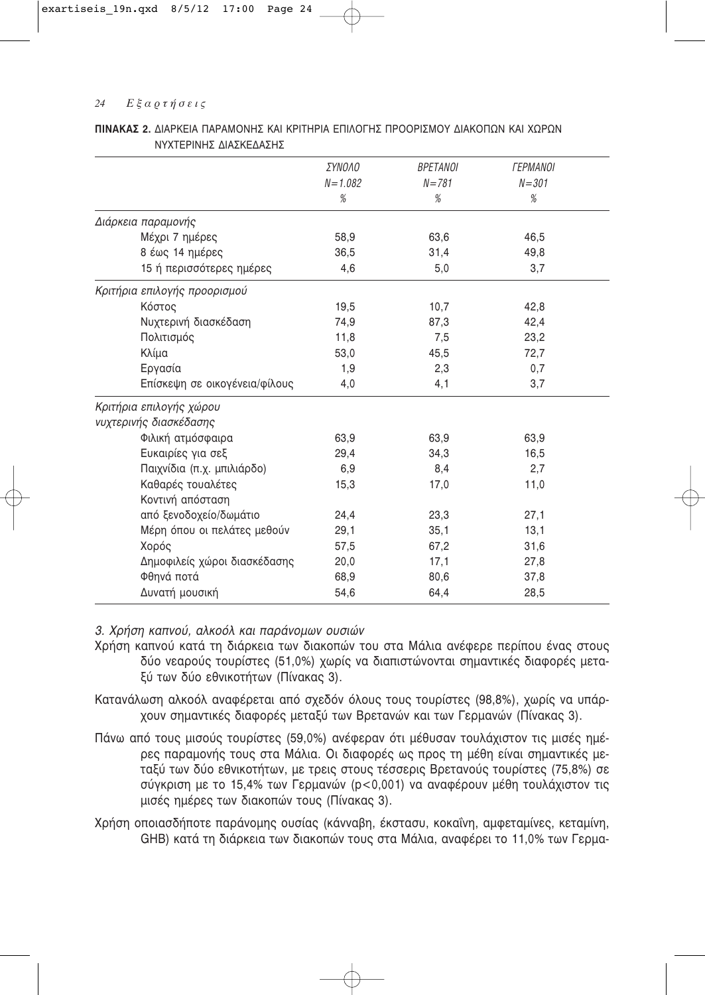#### $E$ ξαρτήσεις 24

| 19181 LI 11911 Z AIAZREARZI IZ |             |                 |                        |  |
|--------------------------------|-------------|-----------------|------------------------|--|
|                                | ΣΥΝΟΛΟ      | <b>BPETANOI</b> | <b><i>FEPMANOI</i></b> |  |
|                                | $N = 1.082$ | $N = 781$       | $N = 301$              |  |
|                                | %           | %               | %                      |  |
| Διάρκεια παραμονής             |             |                 |                        |  |
| Μέχρι 7 ημέρες                 | 58,9        | 63,6            | 46,5                   |  |
| 8 έως 14 ημέρες                | 36,5        | 31,4            | 49,8                   |  |
| 15 ή περισσότερες ημέρες       | 4,6         | 5,0             | 3,7                    |  |
| Κριτήρια επιλογής προορισμού   |             |                 |                        |  |
| Κόστος                         | 19,5        | 10,7            | 42,8                   |  |
| Νυχτερινή διασκέδαση           | 74,9        | 87,3            | 42,4                   |  |
| Πολιτισμός                     | 11,8        | 7,5             | 23,2                   |  |
| Κλίμα                          | 53,0        | 45,5            | 72,7                   |  |
| Εργασία                        | 1,9         | 2,3             | 0,7                    |  |
| Επίσκεψη σε οικογένεια/φίλους  | 4,0         | 4,1             | 3,7                    |  |
| Κριτήρια επιλογής χώρου        |             |                 |                        |  |
| νυχτερινής διασκέδασης         |             |                 |                        |  |
| Φιλική ατμόσφαιρα              | 63,9        | 63,9            | 63,9                   |  |
| Ευκαιρίες για σεξ              | 29,4        | 34,3            | 16,5                   |  |
| Παιχνίδια (π.χ. μπιλιάρδο)     | 6,9         | 8,4             | 2,7                    |  |
| Καθαρές τουαλέτες              | 15,3        | 17,0            | 11,0                   |  |
| Κοντινή απόσταση               |             |                 |                        |  |
| από ξενοδοχείο/δωμάτιο         | 24,4        | 23,3            | 27,1                   |  |
| Μέρη όπου οι πελάτες μεθούν    | 29,1        | 35.1            | 13,1                   |  |
| Χορός                          | 57,5        | 67,2            | 31,6                   |  |
| Δημοφιλείς χώροι διασκέδασης   | 20,0        | 17,1            | 27,8                   |  |
| Φθηνά ποτά                     | 68,9        | 80,6            | 37,8                   |  |
| Δυνατή μουσική                 | 54,6        | 64,4            | 28,5                   |  |
|                                |             |                 |                        |  |

#### ΠΙΝΑΚΑΣ 2. ΔΙΑΡΚΕΙΑ ΠΑΡΑΜΟΝΗΣ ΚΑΙ ΚΡΙΤΗΡΙΑ ΕΠΙΛΟΓΗΣ ΠΡΟΟΡΙΣΜΟΥ ΔΙΑΚΟΠΩΝ ΚΑΙ ΧΩΡΩΝ NIVYTEDINIUT AIATKEAATUT

3. Χρήση καπνού, αλκοόλ και παράνομων ουσιών

- Χρήση καπνού κατά τη διάρκεια των διακοπών του στα Μάλια ανέφερε περίπου ένας στους δύο νεαρούς τουρίστες (51,0%) χωρίς να διαπιστώνονται σημαντικές διαφορές μεταξύ των δύο εθνικοτήτων (Πίνακας 3).
- Κατανάλωση αλκοόλ αναφέρεται από σχεδόν όλους τους τουρίστες (98,8%), χωρίς να υπάρχουν σημαντικές διαφορές μεταξύ των Βρετανών και των Γερμανών (Πίνακας 3).
- Πάνω από τους μισούς τουρίστες (59,0%) ανέφεραν ότι μέθυσαν τουλάχιστον τις μισές ημέρες παραμονής τους στα Μάλια. Οι διαφορές ως προς τη μέθη είναι σημαντικές μεταξύ των δύο εθνικοτήτων, με τρεις στους τέσσερις Βρετανούς τουρίστες (75,8%) σε σύγκριση με το 15,4% των Γερμανών (p<0,001) να αναφέρουν μέθη τουλάχιστον τις μισές ημέρες των διακοπών τους (Πίνακας 3).
- Χρήση οποιασδήποτε παράνομης ουσίας (κάνναβη, έκστασυ, κοκαΐνη, αμφεταμίνες, κεταμίνη, GHB) κατά τη διάρκεια των διακοπών τους στα Μάλια, αναφέρει το 11,0% των Γερμα-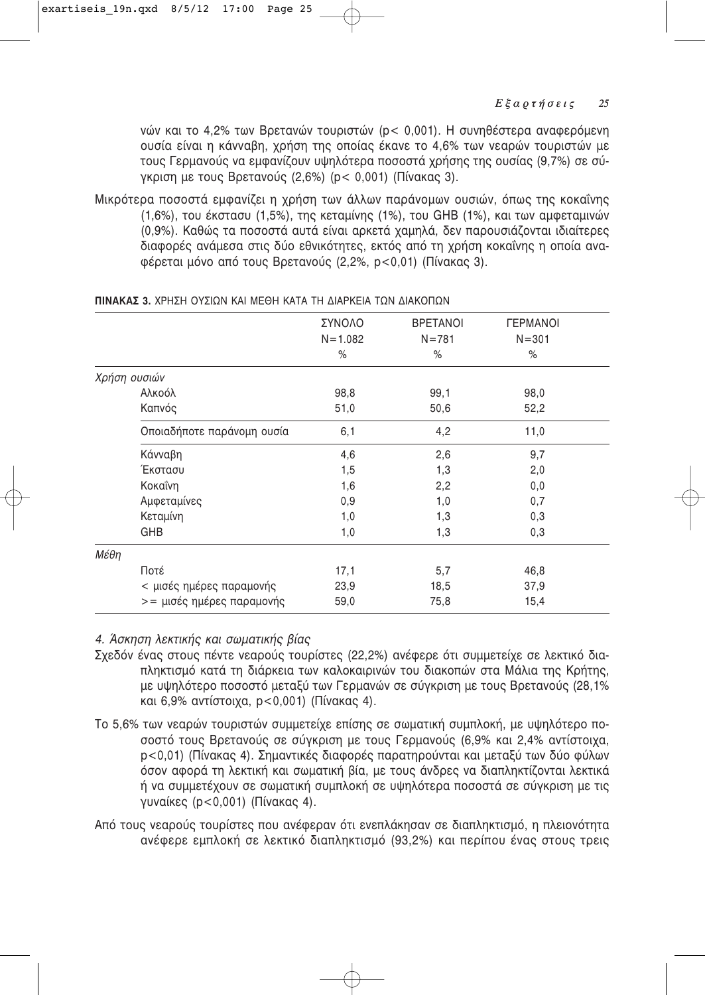νών και το 4,2% των Βρετανών τουριστών (p< 0,001). Η συνηθέστερα αναφερόμενη ουσία είναι η κάνναβη, χρήση της οποίας έκανε το 4,6% των νεαρών τουριστών με τους Γερμανούς να εμφανίζουν υψηλότερα ποσοστά χρήσης της ουσίας (9,7%) σε σύγκριση με τους Βρετανούς (2,6%) (p < 0,001) (Πίνακας 3).

Μικρότερα ποσοστά εμφανίζει η χρήση των άλλων παράνομων ουσιών, όπως της κοκαΐνης  $(1.6%)$ , του έκστασυ  $(1.5%)$ , της κεταμίνης  $(1%)$ , του GHB  $(1%)$ , και των αμφεταμινών (0,9%). Καθώς τα ποσοστά αυτά είναι αρκετά χαμηλά, δεν παρουσιάζονται ιδιαίτερες διαφορές ανάμεσα στις δύο εθνικότητες, εκτός από τη χρήση κοκαΐνης η οποία αναφέρεται μόνο από τους Βρετανούς (2,2%, p<0,01) (Πίνακας 3).

|      |                            | ΣΥΝΟΛΟ      | <b>BPETANOI</b> | <b><i>FEPMANOI</i></b> |
|------|----------------------------|-------------|-----------------|------------------------|
|      |                            | $N = 1.082$ | $N = 781$       | $N = 301$              |
|      |                            | %           | %               | %                      |
|      | Χρήση ουσιών               |             |                 |                        |
|      | Αλκοόλ                     | 98,8        | 99,1            | 98,0                   |
|      | Καπνός                     | 51,0        | 50,6            | 52,2                   |
|      | Οποιαδήποτε παράνομη ουσία | 6,1         | 4,2             | 11,0                   |
|      | Κάνναβη                    | 4,6         | 2,6             | 9,7                    |
|      | Έκστασυ                    | 1,5         | 1,3             | 2,0                    |
|      | Κοκαΐνη                    | 1,6         | 2,2             | 0,0                    |
|      | Αμφεταμίνες                | 0,9         | 1,0             | 0,7                    |
|      | Κεταμίνη                   | 1,0         | 1,3             | 0,3                    |
|      | GHB                        | 1,0         | 1,3             | 0,3                    |
| Μέθη |                            |             |                 |                        |
|      | Ποτέ                       | 17,1        | 5,7             | 46,8                   |
|      | < μισές ημέρες παραμονής   | 23,9        | 18,5            | 37,9                   |
|      | > = μισές ημέρες παραμονής | 59,0        | 75,8            | 15,4                   |

#### **ΠΙΝΔΚΔΣ 3.** ΧΡΗΣΗ ΩΥΣΙΟΝ ΚΑΙ ΜΕΘΗ ΚΑΤΑ ΤΗ ΛΙΑΡΚΕΙΑ ΤΟΝ ΛΙΑΚΟΠΟΝ

*4. Άσκηση λεκτικής και σωματικής βίας* 

exartiseis\_19n.qxd 8/5/12 17:00 Page 25

- Σχεδόν ένας στους πέντε νεαρούς τουρίστες (22,2%) ανέφερε ότι συμμετείχε σε λεκτικό διαπληκτισμό κατά τη διάρκεια των καλοκαιρινών του διακοπών στα Μάλια της Κρήτης, με υψηλότερο ποσοστό μεταξύ των Γερμανών σε σύγκριση με τους Βρετανούς (28,1% Kαι 6,9% αντίστοιχα, p<0,001) (Πίνακας 4).
- Το 5,6% των νεαρών τουριστών συμμετείχε επίσης σε σωματική συμπλοκή, με υψηλότερο ποσοστό τους Βρετανούς σε σύγκριση με τους Γερμανούς (6,9% και 2,4% αντίστοιχα, p<0,01) (Πίνακας 4). Σημαντικές διαφορές παρατηρούνται και μεταξύ των δύο φύλων όσον αφορά τη λεκτική και σωματική βία, με τους άνδρες να διαπληκτίζονται λεκτικά ή να συμμετέχουν σε σωματική συμπλοκή σε υψηλότερα ποσοστά σε σύγκριση με τις γυναίκες (p<0,001) (Πίνακας 4).
- Aπό τους νεαρούς τουρίστες που ανέφεραν ότι ενεπλάκησαν σε διαπληκτισμό, η πλειονότητα ανέφερε εμπλοκή σε λεκτικό διαπληκτισμό (93,2%) και περίπου ένας στους τρεις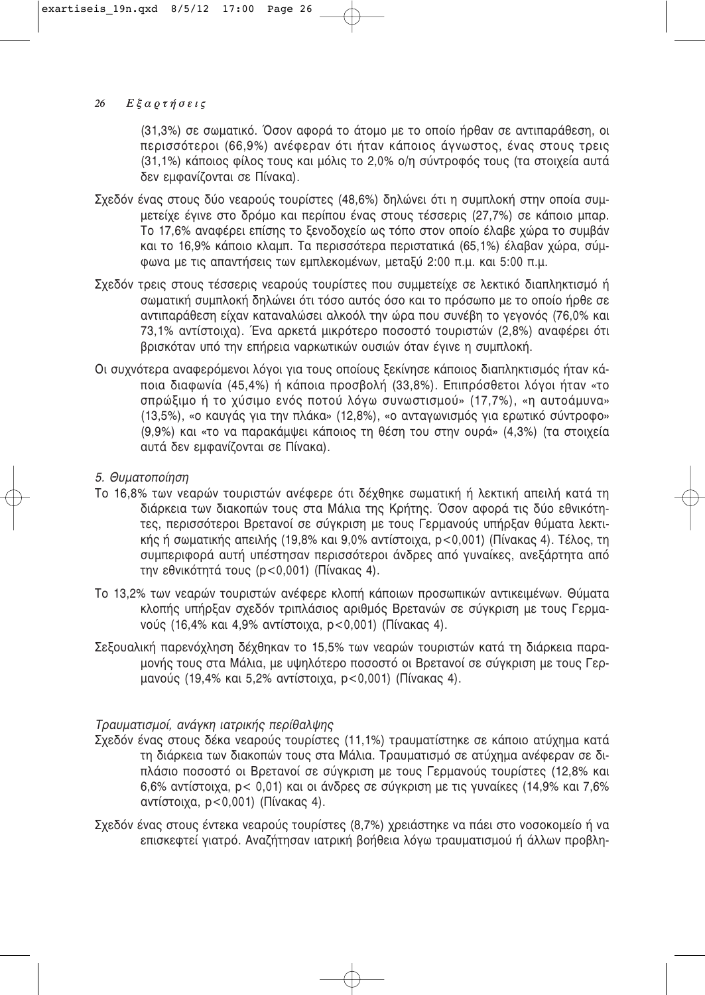(31,3%) σε σωματικό. Όσον αφορά το άτομο με το οποίο ήρθαν σε αντιπαράθεση, οι περισσότεροι (66,9%) ανέφεραν ότι ήταν κάποιος άγνωστος, ένας στους τρεις (31,1%) κάποιος φίλος τους και μόλις το 2,0% ο/η σύντροφός τους (τα στοιχεία αυτά δεν εμφανίζονται σε Πίνακα).

- Σχεδόν ένας στους δύο νεαρούς τουρίστες (48,6%) δηλώνει ότι η συμπλοκή στην οποία συμμετείχε έγινε στο δρόμο και περίπου ένας στους τέσσερις (27,7%) σε κάποιο μπαρ. <u>Το 17,6% αναφέρει επίσης το ξενοδοχείο ως τόπο στον οποίο έλαβε χώρα το συμβάν</u> και το 16,9% κάποιο κλαμπ. Τα περισσότερα περιστατικά (65,1%) έλαβαν χώρα, σύμφωνα με τις απαντήσεις των εμπλεκομένων, μεταξύ 2:00 π.μ. και 5:00 π.μ.
- Σχεδόν τρεις στους τέσσερις νεαρούς τουρίστες που συμμετείχε σε λεκτικό διαπληκτισμό ή σωματική συμπλοκή δηλώνει ότι τόσο αυτός όσο και το πρόσωπο με το οποίο ήρθε σε αντιπαράθεση είχαν καταναλώσει αλκοόλ την ώρα που συνέβη το γεγονός (76,0% και 73,1% αντίστοιχα). Ένα αρκετά μικρότερο ποσοστό τουριστών (2,8%) αναφέρει ότι βρισκόταν υπό την επήρεια ναρκωτικών ουσιών όταν ένινε η συμπλοκή.
- Οι συχνότερα αναφερόμενοι λόγοι για τους οποίους ξεκίνησε κάποιος διαπληκτισμός ήταν κάποια διαφωνία (45,4%) ή κάποια προσβολή (33,8%). Επιπρόσθετοι λόγοι ήταν «το σπρώξιμο ή το χύσιμο ενός ποτού λόγω συνωστισμού» (17,7%), «η αυτοάμυνα» (13,5%), «ο καυγάς για την πλάκα» (12,8%), «ο ανταγωνισμός για ερωτικό σύντροφο» (9,9%) και «το να παρακάμψει κάποιος τη θέση του στην ουρά» (4,3%) (τα στοιχεία αυτά δεν εμφανίζονται σε Πίνακα).
- 5.  $\Theta$ *υματοποίηση*
- Το 16,8% των νεαρών τουριστών ανέφερε ότι δέχθηκε σωματική ή λεκτική απειλή κατά τη διάρκεια των διακοπών τους στα Μάλια της Κρήτης. Όσον αφορά τις δύο εθνικότητες, περισσότεροι Βρετανοί σε σύγκριση με τους Γερμανούς υπήρξαν θύματα λεκτικής ή σωματικής απειλής (19,8% και 9,0% αντίστοιχα, p<0,001) (Πίνακας 4). Τέλος, τη συμπεριφορά αυτή υπέστησαν περισσότεροι άνδρες από γυναίκες, ανεξάρτητα από την εθνικότητά τους (p<0,001) (Πίνακας 4).
- Το 13,2% των νεαρών τουριστών ανέφερε κλοπή κάποιων προσωπικών αντικειμένων. Θύματα κλοπής υπήρξαν σχεδόν τριπλάσιος αριθμός Βρετανών σε σύγκριση με τους Γερμανούς (16,4% και 4,9% αντίστοιχα, p<0,001) (Πίνακας 4).
- Σεξουαλική παρενόχληση δέχθηκαν το 15,5% των νεαρών τουριστών κατά τη διάρκεια παραμονής τους στα Μάλια, με υψηλότερο ποσοστό οι Βρετανοί σε σύγκριση με τους Γερμανούς (19,4% και 5,2% αντίστοιχα, p<0,001) (Πίνακας 4).

#### *Τραυματισμοί, ανάγκη ιατρικής περίθαλψης*

- Σχεδόν ένας στους δέκα νεαρούς τουρίστες (11,1%) τραυματίστηκε σε κάποιο ατύχημα κατά τη διάρκεια των διακοπών τους στα Μάλια. Τραυματισμό σε ατύχημα ανέφεραν σε διπλάσιο ποσοστό οι Βρετανοί σε σύγκριση με τους Γερμανούς τουρίστες (12,8% και 6,6% αντίστοιχα, p< 0,01) και οι άνδρες σε σύγκριση με τις γυναίκες (14,9% και 7,6% αντίστοιχα, p<0,001) (Πίνακας 4).
- $\Sigma$ χεδόν ένας στους έντεκα νεαρούς τουρίστες (8,7%) χρειάστηκε να πάει στο νοσοκομείο ή να επισκεφτεί γιατρό. Αναζήτησαν ιατρική βοήθεια λόγω τραυματισμού ή άλλων προβλη-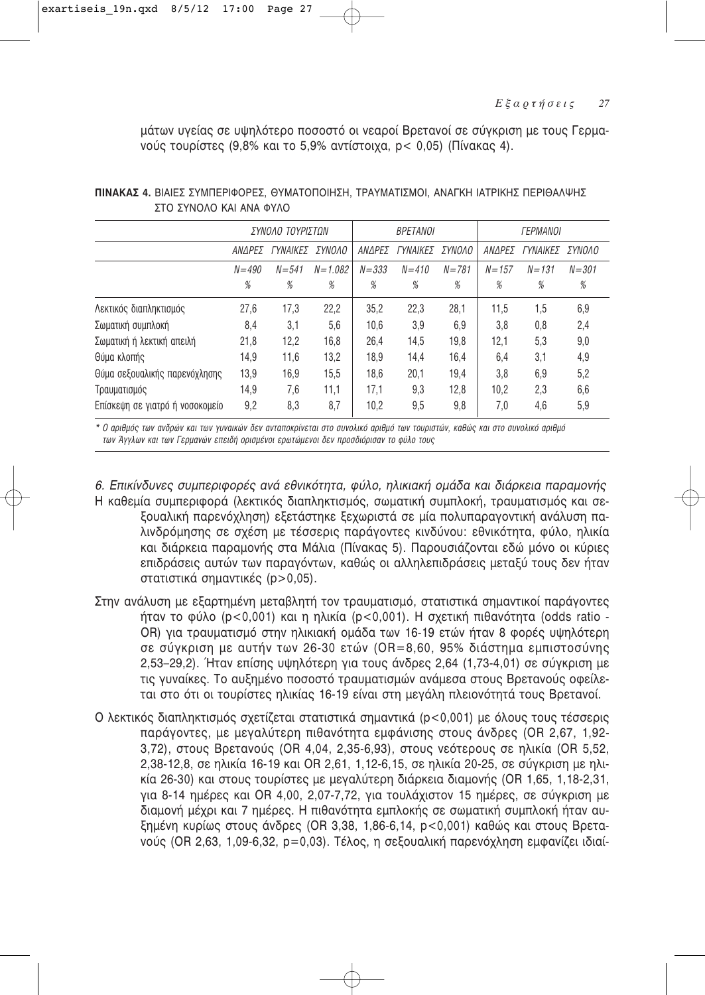μάτων υγείας σε υψηλότερο ποσοστό οι νεαροί Βρετανοί σε σύγκριση με τους Γερμανούς τουρίστες (9,8% και το 5,9% αντίστοιχα, p< 0,05) (Πίνακας 4).

| ΠΙΝΑΚΑΣ 4. ΒΙΑΙΕΣ ΣΥΜΠΕΡΙΦΟΡΕΣ, ΘΥΜΑΤΟΠΟΙΗΣΗ, ΤΡΑΥΜΑΤΙΣΜΟΙ, ΑΝΑΓΚΗ ΙΑΤΡΙΚΗΣ ΠΕΡΙΘΑΛΨΗΣ |  |  |
|----------------------------------------------------------------------------------------|--|--|
| ΣΤΟ ΣΥΝΟΛΟ ΚΑΙ ΑΝΑ ΦΥΛΟ                                                                |  |  |

|                                 |           | ΣΥΝΟΛΟ ΤΟΥΡΙΣΤΩΝ |             |           | <b>BPETANOI</b> |           | <b><i>FEPMANOI</i></b> |           |           |
|---------------------------------|-----------|------------------|-------------|-----------|-----------------|-----------|------------------------|-----------|-----------|
|                                 | ΑΝΔΡΕΣ    | ΓΥΝΑΙΚΕΣ         | ΣΥΝΟΛΟ      | ΑΝΔΡΕΣ    | ΓΥΝΑΙΚΕΣ        | ΣΥΝΟΛΟ    | ΑΝΔΡΕΣ                 | ΓΥΝΑΙΚΕΣ  | ΣΥΝΟΛΟ    |
|                                 | $N = 490$ | $N = 541$        | $N = 1.082$ | $N = 333$ | $N = 410$       | $N = 781$ | $N = 1.57$             | $N = 131$ | $N = 301$ |
|                                 | %         | %                | %           | %         | %               | %         | %                      | %         | %         |
| Λεκτικός διαπληκτισμός          | 27,6      | 17,3             | 22.2        | 35.2      | 22.3            | 28.1      | 11.5                   | 1.5       | 6,9       |
| Σωματική συμπλοκή               | 8,4       | 3,1              | 5,6         | 10.6      | 3.9             | 6,9       | 3,8                    | 0.8       | 2,4       |
| Σωματική ή λεκτική απειλή       | 21,8      | 12,2             | 16.8        | 26.4      | 14.5            | 19,8      | 12.1                   | 5,3       | 9,0       |
| Θύμα κλοπής                     | 14.9      | 11.6             | 13.2        | 18.9      | 14.4            | 16,4      | 6,4                    | 3,1       | 4,9       |
| Θύμα σεξουαλικής παρενόχλησης   | 13,9      | 16.9             | 15.5        | 18.6      | 20.1            | 19.4      | 3,8                    | 6,9       | 5,2       |
| Τραυματισμός                    | 14.9      | 7,6              | 11.1        | 17.1      | 9,3             | 12,8      | 10,2                   | 2,3       | 6,6       |
| Επίσκεψη σε γιατρό ή νοσοκομείο | 9,2       | 8,3              | 8,7         | 10.2      | 9,5             | 9,8       | 7,0                    | 4,6       | 5,9       |

\* Ο αριθμός των ανδρών και των νυναικών δεν ανταποκρίνεται στο συνολικό αριθμό των τουριστών. καθώς και στο συνολικό αριθμό των Άγγλων και των Γερμανών επειδή ορισμένοι ερωτώμενοι δεν προσδιόρισαν το φύλο τους

6. Επικίνδυνες συμπεριφορές ανά εθνικότητα, φύλο, ηλικιακή ομάδα και διάρκεια παραμονής Η καθεμία συμπεριφορά (λεκτικός διαπληκτισμός, σωματική συμπλοκή, τραυματισμός και σεξουαλική παρενόχληση) εξετάστηκε ξεχωριστά σε μία πολυπαραγοντική ανάλυση παλινδρόμησης σε σχέση με τέσσερις παράγοντες κινδύνου: εθνικότητα, φύλο, ηλικία και διάρκεια παραμονής στα Μάλια (Πίνακας 5). Παρουσιάζονται εδώ μόνο οι κύριες επιδράσεις αυτών των παραγόντων, καθώς οι αλληλεπιδράσεις μεταξύ τους δεν ήταν στατιστικά σημαντικές (p>0,05).

- Στην ανάλυση με εξαρτημένη μεταβλητή τον τραυματισμό, στατιστικά σημαντικοί παράγοντες ήταν το φύλο (p<0.001) και η ηλικία (p<0.001). Η σχετική πιθανότητα (odds ratio -ΟR) για τραυματισμό στην ηλικιακή ομάδα των 16-19 ετών ήταν 8 φορές υψηλότερη σε σύγκριση με αυτήν των 26-30 ετών (OR=8,60, 95% διάστημα εμπιστοσύνης 2,53-29,2). Ήταν επίσης υψηλότερη για τους άνδρες 2,64 (1,73-4,01) σε σύγκριση με τις γυναίκες. Το αυξημένο ποσοστό τραυματισμών ανάμεσα στους Βρετανούς οφείλεται στο ότι οι τουρίστες ηλικίας 16-19 είναι στη μεγάλη πλειονότητά τους Βρετανοί.
- Ο λεκτικός διαπληκτισμός σχετίζεται στατιστικά σημαντικά (p<0,001) με όλους τους τέσσερις παράγοντες, με μεγαλύτερη πιθανότητα εμφάνισης στους άνδρες (ΟR 2,67, 1,92-3,72), στους Βρετανούς (ΟR 4,04, 2,35-6,93), στους νεότερους σε ηλικία (ΟR 5,52, 2,38-12,8, σε ηλικία 16-19 και OR 2,61, 1,12-6,15, σε ηλικία 20-25, σε σύγκριση με ηλικία 26-30) και στους τουρίστες με μεγαλύτερη διάρκεια διαμονής (OR 1,65, 1,18-2,31, για 8-14 ημέρες και OR 4,00, 2,07-7,72, για τουλάχιστον 15 ημέρες, σε σύγκριση με διαμονή μέχρι και 7 ημέρες. Η πιθανότητα εμπλοκής σε σωματική συμπλοκή ήταν αυξημένη κυρίως στους άνδρες (OR 3,38, 1,86-6,14, p<0,001) καθώς και στους Βρετανούς (OR 2,63, 1,09-6,32, p=0,03). Τέλος, η σεξουαλική παρενόχληση εμφανίζει ιδιαί-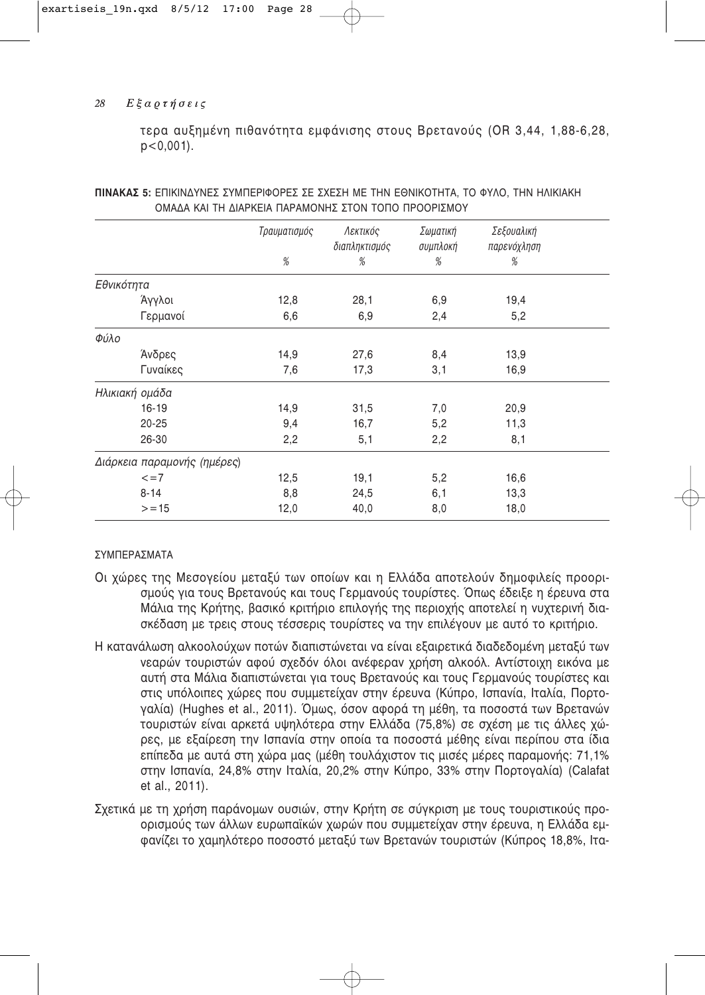τερα αυξημένη πιθανότητα εμφάνισης στους Βρετανούς (OR 3,44, 1,88-6,28,  $p < 0.001$ ).

|                             | Τραυματισμός | Λεκτικός<br>διαπληκτισμός | Σωματική<br>συμπλοκή | Σεξουαλική<br>παρενόχληση |  |
|-----------------------------|--------------|---------------------------|----------------------|---------------------------|--|
|                             | %            | %                         | %                    | %                         |  |
| Εθνικότητα                  |              |                           |                      |                           |  |
| Άγγλοι                      | 12,8         | 28,1                      | 6,9                  | 19,4                      |  |
| Γερμανοί                    | 6,6          | 6,9                       | 2,4                  | 5,2                       |  |
| Φύλο                        |              |                           |                      |                           |  |
| Άνδρες                      | 14,9         | 27,6                      | 8,4                  | 13,9                      |  |
| Γυναίκες                    | 7,6          | 17,3                      | 3,1                  | 16,9                      |  |
| Ηλικιακή ομάδα              |              |                           |                      |                           |  |
| $16 - 19$                   | 14,9         | 31,5                      | 7,0                  | 20,9                      |  |
| $20 - 25$                   | 9,4          | 16,7                      | 5,2                  | 11,3                      |  |
| 26-30                       | 2,2          | 5,1                       | 2,2                  | 8,1                       |  |
| Διάρκεια παραμονής (ημέρες) |              |                           |                      |                           |  |
| $\leq$ = 7                  | 12,5         | 19,1                      | 5,2                  | 16,6                      |  |
| $8 - 14$                    | 8,8          | 24,5                      | 6,1                  | 13,3                      |  |
| $>= 15$                     | 12,0         | 40,0                      | 8,0                  | 18,0                      |  |

#### **ΠΙΝΑΚΑΣ 5:** ΕΠΙΚΙΝΔΥΝΕΣ ΣΥΜΠΕΡΙΦΟΡΕΣ ΣΕ ΣΧΕΣΗ ΜΕ ΤΗΝ ΕΘΝΙΚΟΤΗΤΑ, ΤΟ ΦΥΛΟ, ΤΗΝ ΗΛΙΚΙΑΚΗ ΟΜΑΔΑ ΚΑΙ ΤΗ ΔΙΑΡΚΕΙΑ ΠΑΡΑΜΟΝΗΣ ΣΤΟΝ ΤΟΠΟ ΠΡΟΟΡΙΣΜΟΥ

#### ΣΥΜΠΕΡΑΣΜΑΤΑ

- Οι χώρες της Μεσογείου μεταξύ των οποίων και η Ελλάδα αποτελούν δημοφιλείς προορισμούς για τους Βρετανούς και τους Γερμανούς τουρίστες. Όπως έδειξε η έρευνα στα Μάλια της Κρήτης, βασικό κριτήριο επιλογής της περιοχής αποτελεί η νυχτερινή διασκέδαση με τρεις στους τέσσερις τουρίστες να την επιλέγουν με αυτό το κριτήριο.
- Η κατανάλωση αλκοολούχων ποτών διαπιστώνεται να είναι εξαιρετικά διαδεδομένη μεταξύ των νεαρών τουριστών αφού σχεδόν όλοι ανέφεραν χρήση αλκοόλ. Αντίστοιχη εικόνα με αυτή στα Μάλια διαπιστώνεται για τους Βρετανούς και τους Γερμανούς τουρίστες και στις υπόλοιπες χώρες που συμμετείχαν στην έρευνα (Κύπρο, Ισπανία, Ιταλία, Πορτογαλία) (Hughes et al., 2011). Όμως, όσον αφορά τη μέθη, τα ποσοστά των Βρετανών τουριστών είναι αρκετά υψηλότερα στην Ελλάδα (75,8%) σε σχέση με τις άλλες χώρες, με εξαίρεση την Ισπανία στην οποία τα ποσοστά μέθης είναι περίπου στα ίδια επίπεδα με αυτά στη χώρα μας (μέθη τουλάχιστον τις μισές μέρες παραμονής: 71,1% στην Ισπανία, 24,8% στην Ιταλία, 20,2% στην Κύπρο, 33% στην Πορτογαλία) (Calafat et al., 2011).
- Σχετικά με τη χρήση παράνομων ουσιών, στην Κρήτη σε σύγκριση με τους τουριστικούς προορισμούς των άλλων ευρωπαϊκών χωρών που συμμετείχαν στην έρευνα, η Ελλάδα εμφανίζει το χαμηλότερο ποσοστό μεταξύ των Βρετανών τουριστών (Κύπρος 18,8%, Ιτα-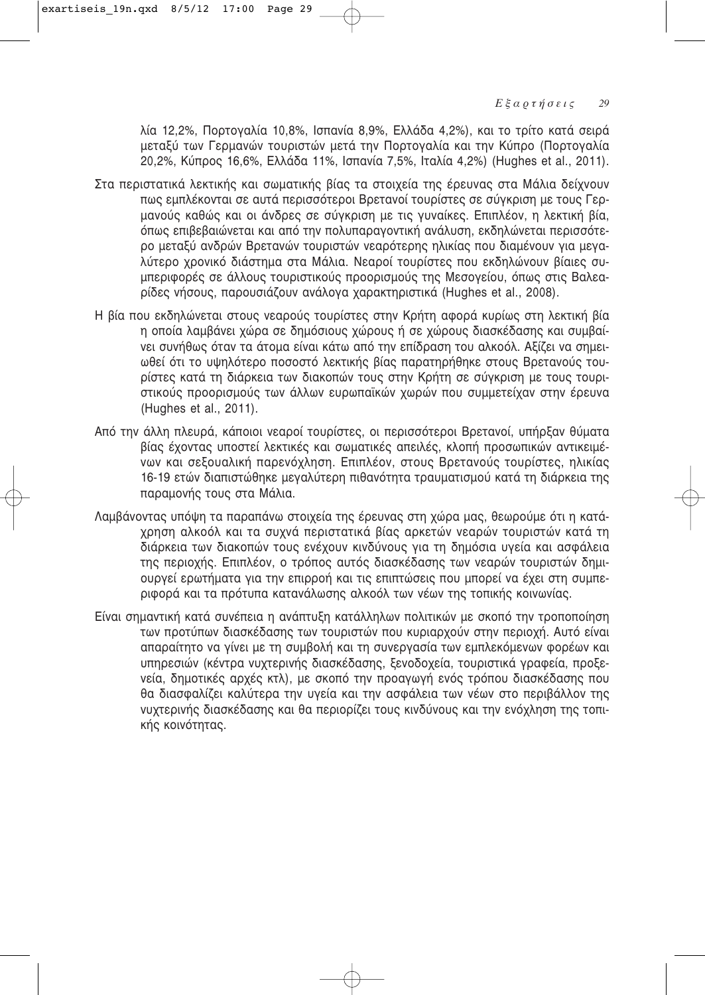λία 12,2%, Πορτογαλία 10,8%, Ισπανία 8,9%, Ελλάδα 4,2%), και το τρίτο κατά σειρά μεταξύ των Γερμανών τουριστών μετά την Πορτογαλία και την Κύπρο (Πορτογαλία 20,2%, Κύπρος 16,6%, Ελλάδα 11%, Ισπανία 7,5%, Ιταλία 4,2%) (Hughes et al., 2011).

Στα περιστατικά λεκτικής και σωματικής βίας τα στοιχεία της έρευνας στα Μάλια δείχνουν πως εμπλέκονται σε αυτά περισσότεροι Βρετανοί τουρίστες σε σύγκριση με τους Γερμανούς καθώς και οι άνδρες σε σύγκριση με τις γυναίκες. Επιπλέον, η λεκτική βία, όπως επιβεβαιώνεται και από την πολυπαραγοντική ανάλυση, εκδηλώνεται περισσότερο μεταξύ ανδρών Βρετανών τουριστών νεαρότερης ηλικίας που διαμένουν για μεγαλύτερο χρονικό διάστημα στα Μάλια. Νεαροί τουρίστες που εκδηλώνουν βίαιες συμπεριφορές σε άλλους τουριστικούς προορισμούς της Μεσογείου, όπως στις Βαλεαρίδες νήσους, παρουσιάζουν ανάλογα χαρακτηριστικά (Hughes et al., 2008).

exartiseis 19n.qxd 8/5/12

- Η βία που εκδηλώνεται στους νεαρούς τουρίστες στην Κρήτη αφορά κυρίως στη λεκτική βία η οποία λαμβάνει χώρα σε δημόσιους χώρους ή σε χώρους διασκέδασης και συμβαίνει συνήθως όταν τα άτομα είναι κάτω από την επίδραση του αλκοόλ. Αξίζει να σημειωθεί ότι το υψηλότερο ποσοστό λεκτικής βίας παρατηρήθηκε στους Βρετανούς τουρίστες κατά τη διάρκεια των διακοπών τους στην Κρήτη σε σύγκριση με τους τουριστικούς προορισμούς των άλλων ευρωπαϊκών χωρών που συμμετείχαν στην έρευνα (Hughes et al., 2011).
- Aπό την άλλη πλευρά, κάποιοι νεαροί τουρίστες, οι περισσότεροι Βρετανοί, υπήρξαν θύματα βίας έχοντας υποστεί λεκτικές και σωματικές απειλές, κλοπή προσωπικών αντικειμένων και σεξουαλική παρενόχληση. Επιπλέον, στους Βρετανούς τουρίστες, ηλικίας 16-19 ετών διαπιστώθηκε μεγαλύτερη πιθανότητα τραυματισμού κατά τη διάρκεια της παραμονής τους στα Μάλια.
- Λαμβάνοντας υπόψη τα παραπάνω στοιχεία της έρευνας στη χώρα μας, θεωρούμε ότι η κατάχρηση αλκοόλ και τα συχνά περιστατικά βίας αρκετών νεαρών τουριστών κατά τη διάρκεια των διακοπών τους ενέχουν κινδύνους για τη δημόσια υγεία και ασφάλεια της περιοχής. Επιπλέον, ο τρόπος αυτός διασκέδασης των νεαρών τουριστών δημιουργεί ερωτήματα για την επιρροή και τις επιπτώσεις που μπορεί να έχει στη συμπεριφορά και τα πρότυπα κατανάλωσης αλκοόλ των νέων της τοπικής κοινωνίας.
- Είναι σημαντική κατά συνέπεια η ανάπτυξη κατάλληλων πολιτικών με σκοπό την τροποποίηση των προτύπων διασκέδασης των τουριστών που κυριαρχούν στην περιοχή. Αυτό είναι απαραίτητο να γίνει με τη συμβολή και τη συνεργασία των εμπλεκόμενων φορέων και υπηρεσιών (κέντρα νυχτερινής διασκέδασης, ξενοδοχεία, τουριστικά γραφεία, προξενεία, δημοτικές αρχές κτλ), με σκοπό την προαγωγή ενός τρόπου διασκέδασης που θα διασφαλίζει καλύτερα την υγεία και την ασφάλεια των νέων στο περιβάλλον της vυχτερινής διασκέδασης και θα περιορίζει τους κινδύνους και την ενόχληση της τοπικής κοινότητας.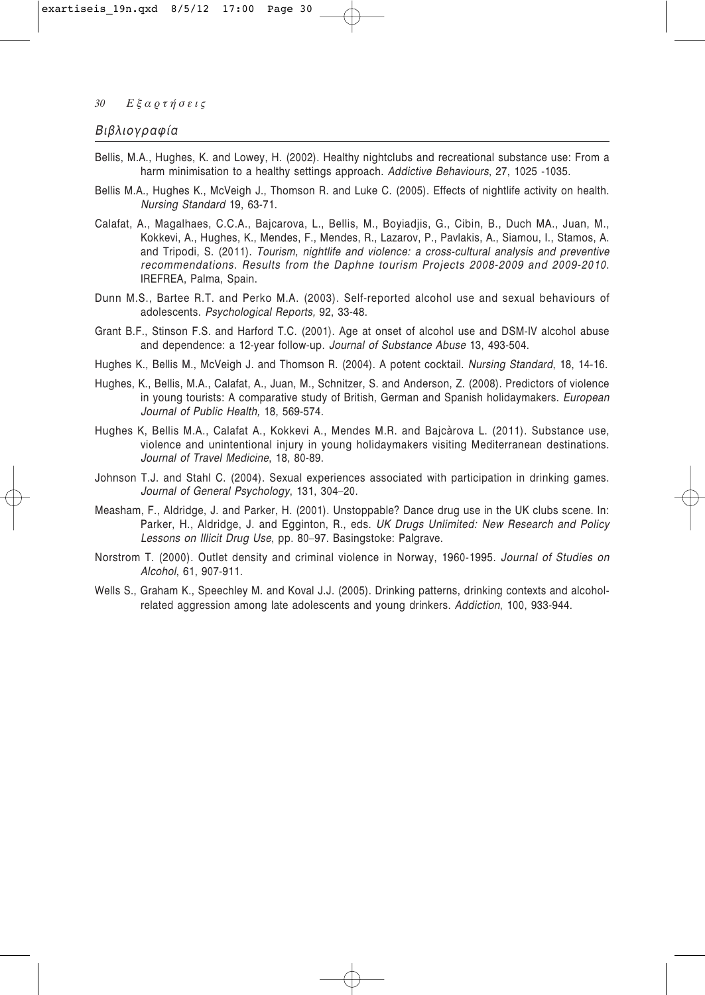#### *Βιβλιο*γραφία

- Bellis, M.A., Hughes, K. and Lowey, H. (2002). Healthy nightclubs and recreational substance use: From a harm minimisation to a healthy settings approach. *Addictive Behaviours*, 27, 1025 -1035.
- Bellis M.A., Hughes K., McVeigh J., Thomson R. and Luke C. (2005). Effects of nightlife activity on health. *Nursing Standard* 19, 63-71.
- Calafat, A., Magalhaes, C.C.A., Bajcarova, L., Bellis, M., Boyiadjis, G., Cibin, B., Duch MA., Juan, M., Kokkevi, A., Hughes, K., Mendes, F., Mendes, R., Lazarov, P., Pavlakis, A., Siamou, I., Stamos, A. and Tripodi, S. (2011). *Tourism, nightlife and violence: a cross-cultural analysis and preventive recommendations. Results from the Daphne tourism Projects 2008-2009 and 2009-2010*. IREFREA, Palma, Spain.
- Dunn M.S., Bartee R.T. and Perko M.A. (2003). Self-reported alcohol use and sexual behaviours of adolescents. *Psychological Reports,* 92, 33-48.
- Grant B.F., Stinson F.S. and Harford T.C. (2001). Age at onset of alcohol use and DSM-IV alcohol abuse and dependence: a 12-year follow-up. *Journal of Substance Abuse* 13, 493-504.
- Hughes K., Bellis M., McVeigh J. and Thomson R. (2004). A potent cocktail. *Nursing Standard*, 18, 14-16.
- Hughes, K., Bellis, M.A., Calafat, A., Juan, M., Schnitzer, S. and Anderson, Z. (2008). Predictors of violence in young tourists: A comparative study of British, German and Spanish holidaymakers. *European Journal of Public Health,* 18, 569-574.
- Hughes K, Bellis M.A., Calafat A., Kokkevi A., Mendes M.R. and Bajcàrova L. (2011). Substance use, violence and unintentional injury in young holidaymakers visiting Mediterranean destinations. *Journal of Travel Medicine*, 18, 80-89.
- Johnson T.J. and Stahl C. (2004). Sexual experiences associated with participation in drinking games. *Journal of General Psychology*, 131, 304–20.
- Measham, F., Aldridge, J. and Parker, H. (2001). Unstoppable? Dance drug use in the UK clubs scene. In: Parker, H., Aldridge, J. and Egginton, R., eds. *UK Drugs Unlimited: New Research and Policy Lessons on Illicit Drug Use*, pp. 80–97. Basingstoke: Palgrave.
- Norstrom T. (2000). Outlet density and criminal violence in Norway, 1960-1995. *Journal of Studies on Alcohol*, 61, 907-911.
- Wells S., Graham K., Speechley M. and Koval J.J. (2005). Drinking patterns, drinking contexts and alcoholrelated aggression among late adolescents and young drinkers. *Addiction*, 100, 933-944.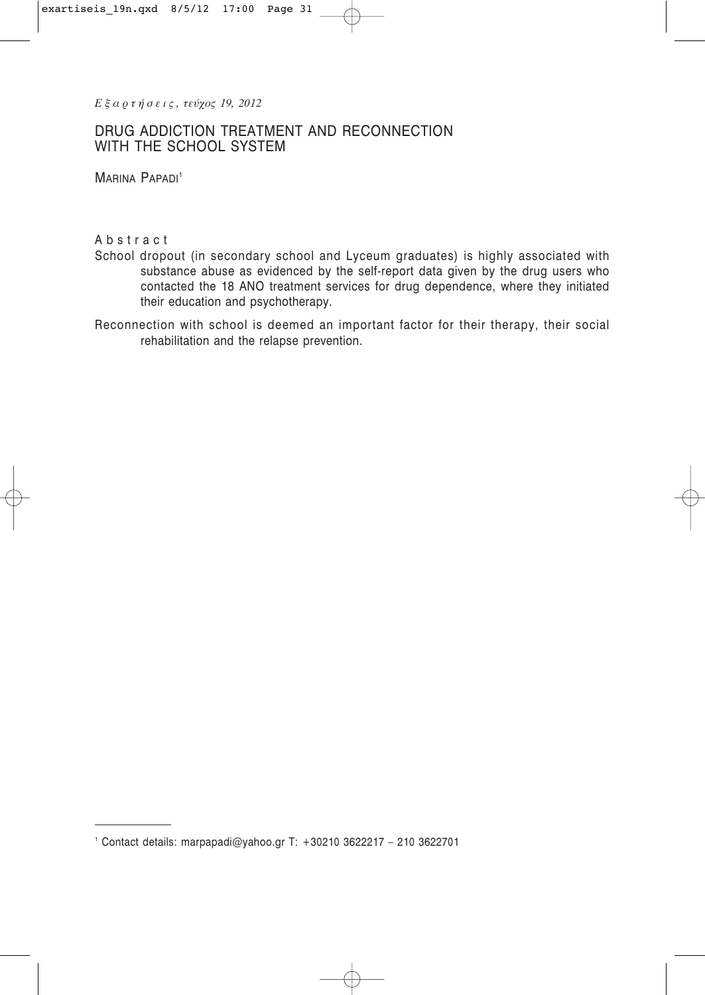*Ε ξ α ρ τ ή σ ε ι ς , τεύχος 19, 2012*

## DRUG ADDICTION TREATMENT AND RECONNECTION WITH THE SCHOOL SYSTEM

MARINA PAPADI<sup>1</sup>

Abstract

- School dropout (in secondary school and Lyceum graduates) is highly associated with substance abuse as evidenced by the self-report data given by the drug users who contacted the 18 ANO treatment services for drug dependence, where they initiated their education and psychotherapy.
- Reconnection with school is deemed an important factor for their therapy, their social rehabilitation and the relapse prevention.

<sup>1</sup> Contact details: marpapadi@yahoo.gr T: +30210 3622217 – 210 3622701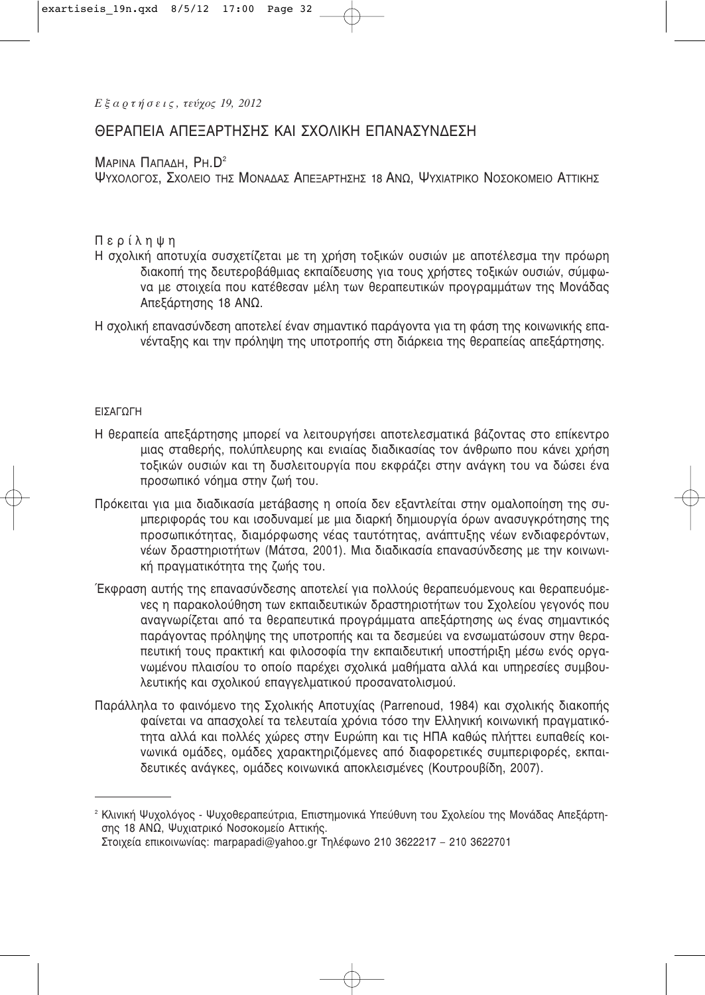*Ε ξ α ρ τ ή σ ε ι ς , τεύχος 19, 2012*

## ΘΕΡΑΠΕΙΑ ΑΠΕΞΑΡΤΗΣΗΣ ΚΑΙ ΣΧΟΛΙΚΗ ΕΠΑΝΑΣΥΝΔΕΣΗ

 $M$ аріна Пападн. Ph.D<sup>2</sup>

ΨΥΧΟΛΟΓΟΣ, ΣΧΟΛΕΙΟ ΤΗΣ ΜΟΝΑΔΑΣ ΑΠΕΞΑΡΤΗΣΗΣ 18 ΑΝΩ, ΨΥΧΙΑΤΡΙΚΟ ΝΟΣΟΚΟΜΕΙΟ ΑΤΤΙΚΗΣ

#### $\prod$  $E$  $D$  $(\lambda$  $n \psi$  $n$

- Η σχολική αποτυχία συσχετίζεται με τη χρήση τοξικών ουσιών με αποτέλεσμα την πρόωρη διακοπή της δευτεροβάθμιας εκπαίδευσης για τους χρήστες τοξικών ουσιών, σύμφωνα με στοιχεία που κατέθεσαν μέλη των θεραπευτικών προγραμμάτων της Μονάδας Απεξάρτησης 18 ΑΝΩ.
- Η σχολική επανασύνδεση αποτελεί έναν σημαντικό παράγοντα για τη φάση της κοινωνικής επανένταξης και την πρόληψη της υποτροπής στη διάρκεια της θεραπείας απεξάρτησης.

#### ΕΙΣΑΓΩΓΗ

- Η θεραπεία απεξάρτησης μπορεί να λειτουργήσει αποτελεσματικά βάζοντας στο επίκεντρο μιας σταθερής, πολύπλευρης και ενιαίας διαδικασίας τον άνθρωπο που κάνει χρήση τοξικών ουσιών και τη δυσλειτουργία που εκφράζει στην ανάγκη του να δώσει ένα προσωπικό νόημα στην ζωή του.
- Πρόκειται για μια διαδικασία μετάβασης η οποία δεν εξαντλείται στην ομαλοποίηση της συμπεριφοράς του και ισοδυναμεί με μια διαρκή δημιουργία όρων ανασυγκρότησης της προσωπικότητας, διαμόρφωσης νέας ταυτότητας, ανάπτυξης νέων ενδιαφερόντων, νέων δραστηριοτήτων (Μάτσα, 2001). Μια διαδικασία επανασύνδεσης με την κοινωνική πραγματικότητα της ζωής του.
- Έκφραση αυτής της επανασύνδεσης αποτελεί για πολλούς θεραπευόμενους και θεραπευόμεvες η παρακολούθηση των εκπαιδευτικών δραστηριοτήτων του Σχολείου γεγονός που αναγνωρίζεται από τα θεραπευτικά προγράμματα απεξάρτησης ως ένας σημαντικός παράγοντας πρόληψης της υποτροπής και τα δεσμεύει να ενσωματώσουν στην θεραπευτική τους πρακτική και φιλοσοφία την εκπαιδευτική υποστήριξη μέσω ενός οργανωμένου πλαισίου το οποίο παρέχει σχολικά μαθήματα αλλά και υπηρεσίες συμβουλευτικής και σχολικού επαγγελματικού προσανατολισμού.
- Παράλληλα το φαινόμενο της Σχολικής Αποτυχίας (Parrenoud, 1984) και σχολικής διακοπής φαίνεται να απασχολεί τα τελευταία χρόνια τόσο την Ελληνική κοινωνική πραγματικότητα αλλά και πολλές χώρες στην Ευρώπη και τις ΗΠΑ καθώς πλήττει ευπαθείς κοι-Vωνικά ομάδες, ομάδες χαρακτηριζόμενες από διαφορετικές συμπεριφορές, εκπαιδευτικές ανάγκες, ομάδες κοινωνικά αποκλεισμένες (Κουτρουβίδη, 2007).

<sup>&</sup>lt;sup>2</sup> Κλινική Ψυχολόγος - Ψυχοθεραπεύτρια, Επιστημονικά Υπεύθυνη του Σχολείου της Μονάδας Απεξάρτησης 18 ΑΝΩ, Ψυχιατρικό Νοσοκομείο Αττικής.

Στοιχεία επικοινωνίας: marpapadi@yahoo.gr Τηλέφωνο 210 3622217 - 210 3622701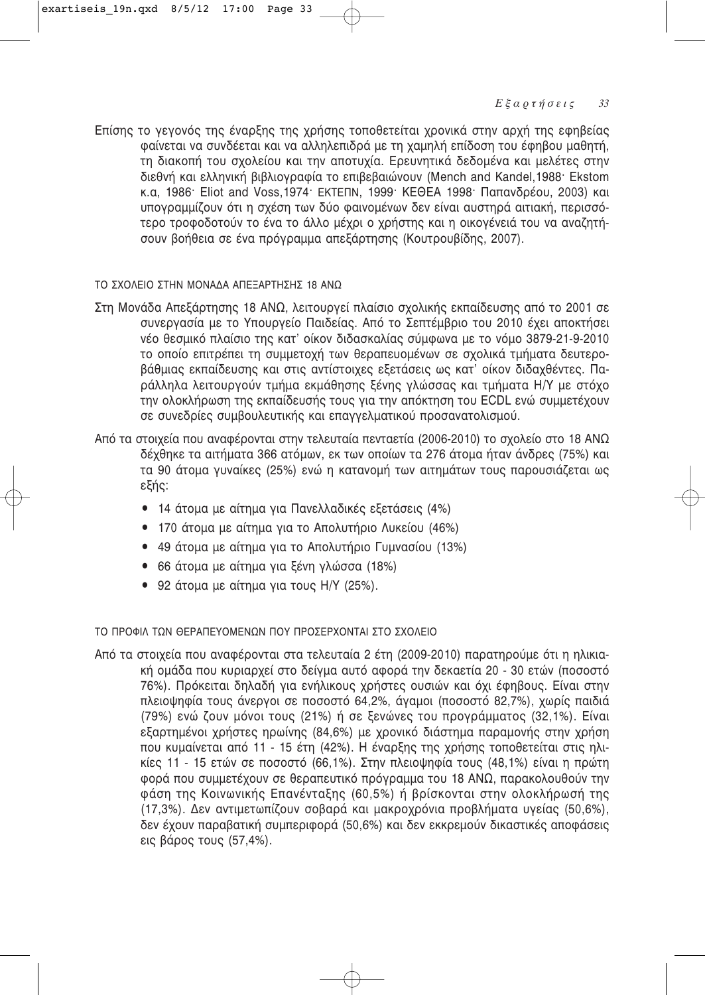Επίσης το γεγονός της έναρξης της χρήσης τοποθετείται χρονικά στην αρχή της εφηβείας φαίνεται να συνδέεται και να αλληλεπιδρά με τη χαμηλή επίδοση του έφηβου μαθητή, τη διακοπή του σχολείου και την αποτυχία. Ερευνητικά δεδομένα και μελέτες στην διεθνή και ελληνική βιβλιογραφία το επιβεβαιώνουν (Mench and Kandel, 1988· Ekstom K.α, 1986 Eliot and Voss,1974· EKTEΠΝ, 1999· KEΘEΑ 1998· Παπανδρέου, 2003) και υπογραμμίζουν ότι η σχέση των δύο φαινομένων δεν είναι αυστηρά αιτιακή, περισσότερο τροφοδοτούν το ένα το άλλο μέχρι ο χρήστης και η οικογένειά του να αναζητήσουν βοήθεια σε ένα πρόγραμμα απεξάρτησης (Κουτρουβίδης, 2007).

#### ΤΟ ΣΧΟΛΕΙΟ ΣΤΗΝ ΜΟΝΑΔΑ ΑΠΕΞΑΡΤΗΣΗΣ 18 ΑΝΩ

exartiseis\_19n.qxd 8/5/12 17:00 Page 33

- Στη Μονάδα Απεξάρτησης 18 ΑΝΩ, λειτουργεί πλαίσιο σχολικής εκπαίδευσης από το 2001 σε συνεργασία με το Υπουργείο Παιδείας. Από το Σεπτέμβριο του 2010 έχει αποκτήσει νέο θεσμικό πλαίσιο της κατ' οίκον διδασκαλίας σύμφωνα με το νόμο 3879-21-9-2010 το οποίο επιτρέπει τη συμμετοχή των θεραπευομένων σε σχολικά τμήματα δευτερο- $\beta$ άθμιας εκπαίδευσης και στις αντίστοιχες εξετάσεις ως κατ' οίκον διδαχθέντες. Παράλληλα λειτουργούν τμήμα εκμάθησης ξένης γλώσσας και τμήματα Η/Υ με στόχο την ολοκλήρωση της εκπαίδευσής τους για την απόκτηση του ECDL ενώ συμμετέχουν σε συνεδρίες συμβουλευτικής και επαγγελματικού προσανατολισμού.
- Aπό τα στοιχεία που αναφέρονται στην τελευταία πενταετία (2006-2010) το σχολείο στο 18 ΑΝΩ δέχθηκε τα αιτήματα 366 ατόμων, εκ των οποίων τα 276 άτομα ήταν άνδρες (75%) και τα 90 άτομα γυναίκες (25%) ενώ η κατανομή των αιτημάτων τους παρουσιάζεται ως εξής:
	- 14 άτομα με αίτημα για Πανελλαδικές εξετάσεις (4%)
	- 170 άτομα με αίτημα για το Απολυτήριο Λυκείου (46%)
	- 49 άτομα με αίτημα για το Απολυτήριο Γυμνασίου (13%)
	- 66 άτομα με αίτημα για ξένη γλώσσα (18%)
	- 92 άτομα με αίτημα για τους Η/Υ (25%).

#### ΤΟ ΠΡΟΦΙΛ ΤΩΝ ΘΕΡΑΠΕΥΟΜΕΝΩΝ ΠΟΥ ΠΡΟΣΕΡΧΟΝΤΑΙ ΣΤΟ ΣΧΟΛΕΙΟ

Aπό τα στοιχεία που αναφέρονται στα τελευταία 2 έτη (2009-2010) παρατηρούμε ότι η ηλικιακή ομάδα που κυριαρχεί στο δείγμα αυτό αφορά την δεκαετία 20 - 30 ετών (ποσοστό 76%). Πρόκειται δηλαδή για ενήλικους χρήστες ουσιών και όχι έφηβους. Είναι στην πλειοψηφία τους άνεργοι σε ποσοστό 64,2%, άγαμοι (ποσοστό 82,7%), χωρίς παιδιά (79%) ενώ ζουν μόνοι τους (21%) ή σε ξενώνες του προγράμματος (32,1%). Είναι εξαρτημένοι χρήστες ηρωίνης (84,6%) με χρονικό διάστημα παραμονής στην χρήση που κυμαίνεται από 11 - 15 έτη (42%). Η έναρξης της χρήσης τοποθετείται στις ηλικίες 11 - 15 ετών σε ποσοστό (66,1%). Στην πλειοψηφία τους (48,1%) είναι η πρώτη φορά που συμμετέχουν σε θεραπευτικό πρόγραμμα του 18 ΑΝΩ, παρακολουθούν την φάση της Κοινωνικής Επανένταξης (60,5%) ή βρίσκονται στην ολοκλήρωσή της (17,3%). Δεν αντιμετωπίζουν σοβαρά και μακροχρόνια προβλήματα υγείας (50,6%), δεν έχουν παραβατική συμπεριφορά (50,6%) και δεν εκκρεμούν δικαστικές αποφάσεις εις βάρος τους (57,4%).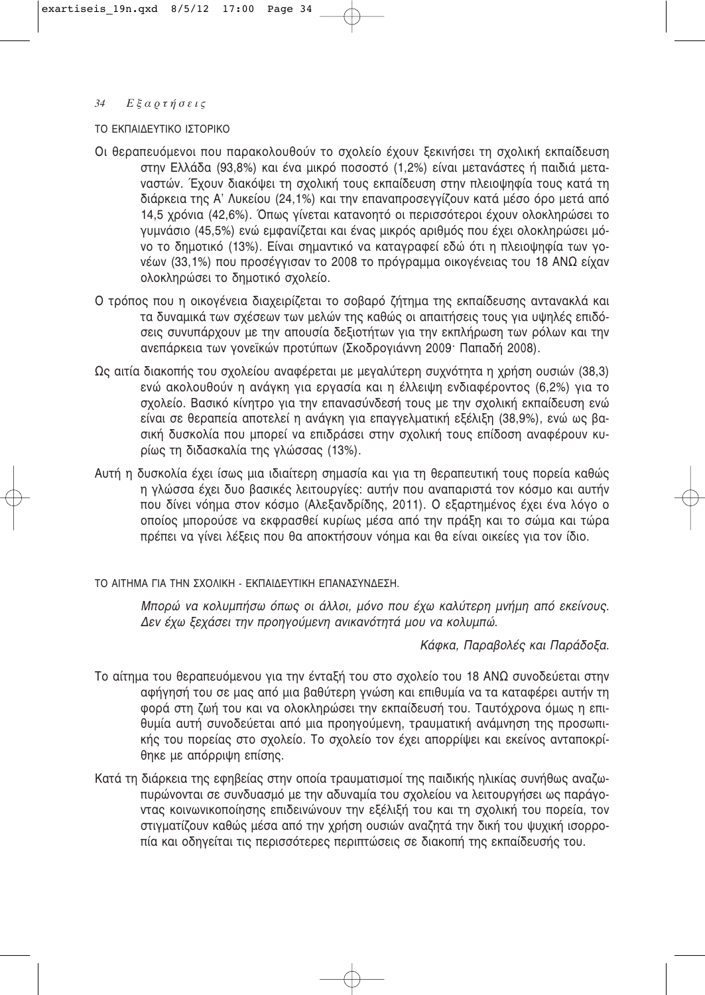- *34 Εξαρτήσεις*
- ΤΟ ΕΚΠΑΙΔΕΥΤΙΚΟ ΙΣΤΟΡΙΚΟ
- Οι θεραπευόμενοι που παρακολουθούν το σχολείο έχουν ξεκινήσει τη σχολική εκπαίδευση στην Ελλάδα (93,8%) και ένα μικρό ποσοστό (1,2%) είναι μετανάστες ή παιδιά μεταναστών. Έχουν διακόψει τη σχολική τους εκπαίδευση στην πλειοψηφία τους κατά τη διάρκεια της Α' Λυκείου (24,1%) και την επαναπροσεγγίζουν κατά μέσο όρο μετά από 14,5 χρόνια (42,6%). Όπως γίνεται κατανοητό οι περισσότεροι έχουν ολοκληρώσει το γυμγάσιο (45,5%) ενώ εμφανίζεται και ένας μικρός αριθμός που έχει ολοκληρώσει μόνο το δημοτικό (13%). Είναι σημαντικό να καταγραφεί εδώ ότι η πλειοψηφία των γονέων (33,1%) που προσέγγισαν το 2008 το πρόγραμμα οικογένειας του 18 ΑΝΩ είχαν ολοκληρώσει το δημοτικό σχολείο.
- Ο τρόπος που η οικογένεια διαχειρίζεται το σοβαρό ζήτημα της εκπαίδευσης αντανακλά και τα δυναμικά των σχέσεων των μελών της καθώς οι απαιτήσεις τους για υψηλές επιδόσεις συνυπάρχουν με την απουσία δεξιοτήτων για την εκπλήρωση των ρόλων και την ανεπάρκεια των γονεϊκών προτύπων (Σκοδρογιάννη 2009· Παπαδή 2008).
- Ως αιτία διακοπής του σχολείου αναφέρεται με μεγαλύτερη συχνότητα η χρήση ουσιών (38,3) ενώ ακολουθούν η ανάγκη για εργασία και η έλλειψη ενδιαφέροντος (6,2%) για το σχολείο. Βασικό κίνητρο για την επανασύνδεσή τους με την σχολική εκπαίδευση ενώ είναι σε θεραπεία αποτελεί η ανάγκη για επαγγελματική εξέλιξη (38,9%), ενώ ως βασική δυσκολία που μπορεί να επιδράσει στην σχολική τους επίδοση αναφέρουν κυρίως τη διδασκαλία της γλώσσας (13%).
- Aυτή η δυσκολία έχει ίσως μια ιδιαίτερη σημασία και για τη θεραπευτική τους πορεία καθώς η γλώσσα έχει δυο βασικές λειτουργίες: αυτήν που αναπαριστά τον κόσμο και αυτήν που δίνει νόημα στον κόσμο (Αλεξανδρίδης, 2011). Ο εξαρτημένος έχει ένα λόγο ο οποίος μπορούσε να εκφρασθεί κυρίως μέσα από την πράξη και το σώμα και τώρα πρέπει να γίνει λέξεις που θα αποκτήσουν νόημα και θα είναι οικείες για τον ίδιο.
- ΤΟ ΑΙΤΗΜΑ ΓΙΑ ΤΗΝ ΣΧΟΛΙΚΗ ΕΚΠΑΙΔΕΥΤΙΚΗ ΕΠΑΝΑΣΥΝΔΕΣΗ.

Μπορώ να κολυμπήσω όπως οι άλλοι, μόνο που έχω καλύτερη μνήμη από εκείνους. Δεν έχω ξεχάσει την προηγούμενη ανικανότητά μου να κολυμπώ.

*Kάφκα, Παραβολές και Παράδοξα.* 

- Το αίτημα του θεραπευόμενου για την ένταξή του στο σχολείο του 18 ΑΝΩ συνοδεύεται στην αφήγησή του σε μας από μια βαθύτερη γνώση και επιθυμία να τα καταφέρει αυτήν τη φορά στη ζωή του και να ολοκληρώσει την εκπαίδευσή του. Ταυτόχρονα όμως η επιθυμία αυτή συνοδεύεται από μια προηγούμενη, τραυματική ανάμνηση της προσωπικής του πορείας στο σχολείο. Το σχολείο τον έχει απορρίψει και εκείνος ανταποκρίθηκε με απόρριψη επίσης.
- Κατά τη διάρκεια της εφηβείας στην οποία τραυματισμοί της παιδικής ηλικίας συνήθως αναζωπυρώνονται σε συνδυασμό με την αδυναμία του σχολείου να λειτουργήσει ως παράγοντας κοινωνικοποίησης επιδεινώνουν την εξέλιξή του και τη σχολική του πορεία, τον στιγματίζουν καθώς μέσα από την χρήση ουσιών αναζητά την δική του ψυχική ισορροπία και οδηγείται τις περισσότερες περιπτώσεις σε διακοπή της εκπαίδευσής του.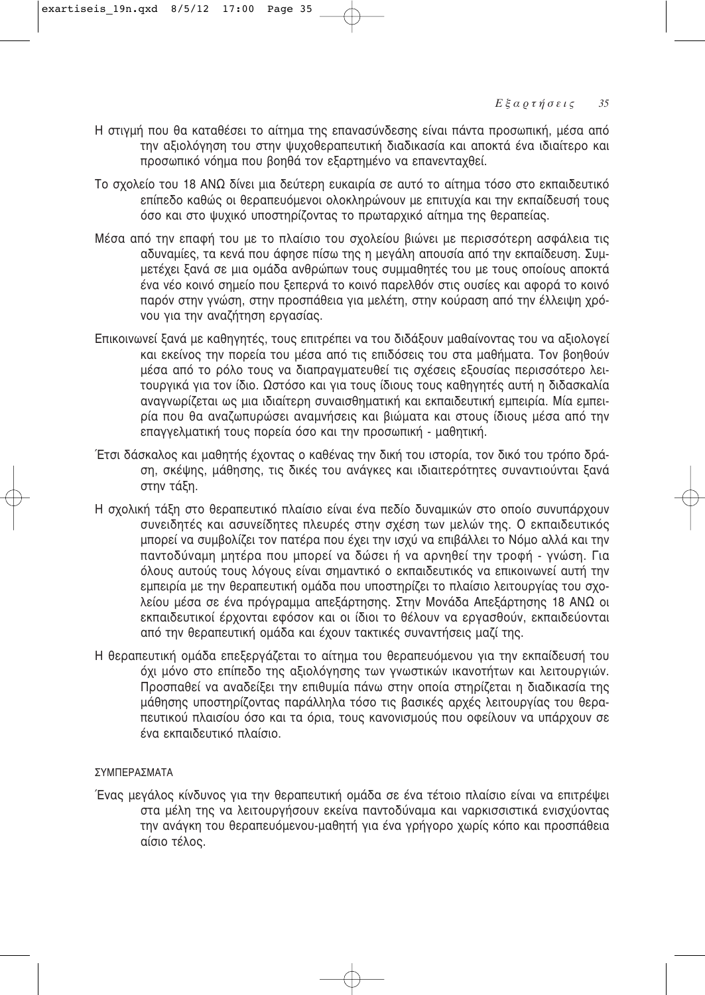- Η στιγμή που θα καταθέσει το αίτημα της επανασύνδεσης είναι πάντα προσωπική, μέσα από την αξιολόγηση του στην ψυχοθεραπευτική διαδικασία και αποκτά ένα ιδιαίτερο και προσωπικό νόημα που βοηθά τον εξαρτημένο να επανενταχθεί.
- Το σχολείο του 18 ΑΝΩ δίνει μια δεύτερη ευκαιρία σε αυτό το αίτημα τόσο στο εκπαιδευτικό επίπεδο καθώς οι θεραπευόμενοι ολοκληρώνουν με επιτυχία και την εκπαίδευσή τους όσο και στο ψυχικό υποστηρίζοντας το πρωταρχικό αίτημα της θεραπείας.
- Μέσα από την επαφή του με το πλαίσιο του σχολείου βιώνει με περισσότερη ασφάλεια τις αδυναμίες, τα κενά που άφησε πίσω της η μεγάλη απουσία από την εκπαίδευση. Συμμετέχει ξανά σε μια ομάδα ανθρώπων τους συμμαθητές του με τους οποίους αποκτά ένα νέο κοινό σημείο που ξεπερνά το κοινό παρελθόν στις ουσίες και αφορά το κοινό παρόν στην γνώση, στην προσπάθεια για μελέτη, στην κούραση από την έλλειψη χρόνου για την αναζήτηση εργασίας.
- Επικοινωνεί ξανά με καθηγητές, τους επιτρέπει να του διδάξουν μαθαίνοντας του να αξιολογεί και εκείνος την πορεία του μέσα από τις επιδόσεις του στα μαθήματα. Τον βοηθούν μέσα από το ρόλο τους να διαπραγματευθεί τις σχέσεις εξουσίας περισσότερο λειτουργικά για τον ίδιο. Ωστόσο και για τους ίδιους τους καθηγητές αυτή η διδασκαλία αναγνωρίζεται ως μια ιδιαίτερη συναισθηματική και εκπαιδευτική εμπειρία. Μία εμπειρία που θα αναζωπυρώσει αναμνήσεις και βιώματα και στους ίδιους μέσα από την επαγγελματική τους πορεία όσο και την προσωπική - μαθητική.
- Έτσι δάσκαλος και μαθητής έχοντας ο καθένας την δική του ιστορία, τον δικό του τρόπο δράση, σκέψης, μάθησης, τις δικές του ανάγκες και ιδιαιτερότητες συναντιούνται ξανά στην τάξη.
- Η σχολική τάξη στο θεραπευτικό πλαίσιο είναι ένα πεδίο δυναμικών στο οποίο συνυπάρχουν συνειδητές και ασυνείδητες πλευρές στην σχέση των μελών της. Ο εκπαιδευτικός μπορεί να συμβολίζει τον πατέρα που έχει την ισχύ να επιβάλλει το Νόμο αλλά και την παντοδύναμη μητέρα που μπορεί να δώσει ή να αρνηθεί την τροφή - γνώση. Για όλους αυτούς τους λόγους είναι σημαντικό ο εκπαιδευτικός να επικοινωνεί αυτή την εμπειρία με την θεραπευτική ομάδα που υποστηρίζει το πλαίσιο λειτουργίας του σχολείου μέσα σε ένα πρόγραμμα απεξάρτησης. Στην Μονάδα Απεξάρτησης 18 ΑΝΩ οι εκπαιδευτικοί έρχονται εφόσον και οι ίδιοι το θέλουν να εργασθούν, εκπαιδεύονται από την θεραπευτική ομάδα και έχουν τακτικές συναντήσεις μαζί της.
- Η θεραπευτική ομάδα επεξεργάζεται το αίτημα του θεραπευόμενου για την εκπαίδευσή του όχι μόνο στο επίπεδο της αξιολόγησης των γνωστικών ικανοτήτων και λειτουργιών. Προσπαθεί να αναδείξει την επιθυμία πάνω στην οποία στηρίζεται η διαδικασία της μάθησης υποστηρίζοντας παράλληλα τόσο τις βασικές αρχές λειτουργίας του θεραπευτικού πλαισίου όσο και τα όρια, τους κανονισμούς που οφείλουν να υπάρχουν σε ένα εκπαιδευτικό πλαίσιο.

#### ΣΥΜΠΕΡΑΣΜΑΤΑ

Ένας μεγάλος κίνδυνος για την θεραπευτική ομάδα σε ένα τέτοιο πλαίσιο είναι να επιτρέψει στα μέλη της να λειτουργήσουν εκείνα παντοδύναμα και ναρκισσιστικά ενισχύοντας την ανάγκη του θεραπευόμενου-μαθητή για ένα γρήγορο χωρίς κόπο και προσπάθεια αίσιο τέλος.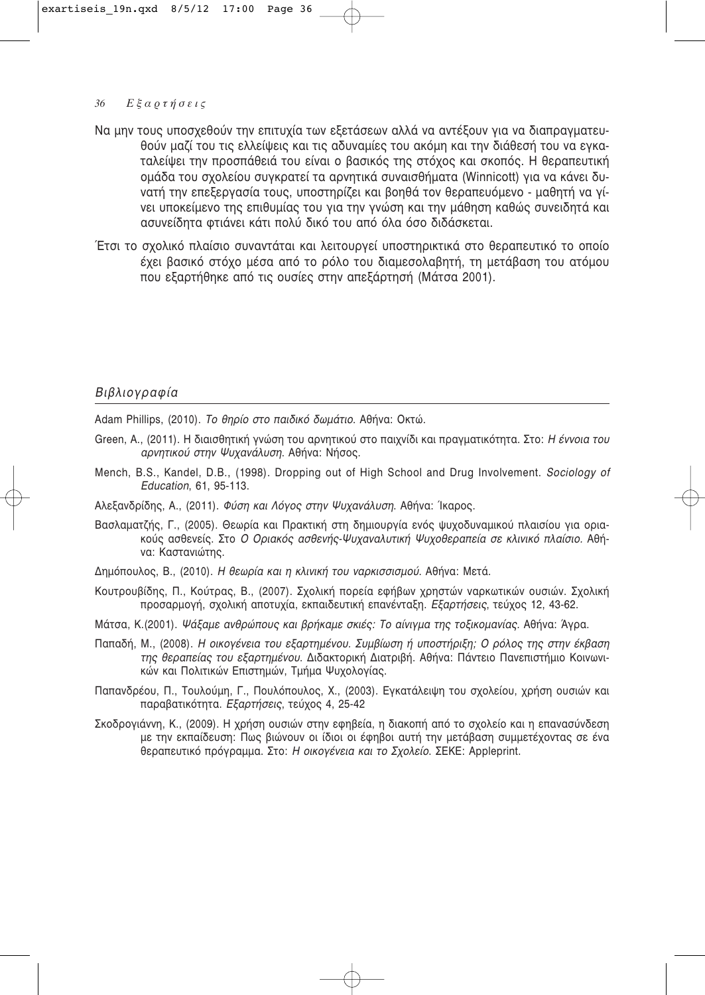- *36 Εξαρτήσεις*
- Να μην τους υποσχεθούν την επιτυχία των εξετάσεων αλλά να αντέξουν για να διαπραγματευθούν μαζί του τις ελλείψεις και τις αδυναμίες του ακόμη και την διάθεσή του να εγκαταλείψει την προσπάθειά του είναι ο βασικός της στόχος και σκοπός. Η θεραπευτική ομάδα του σχολείου συγκρατεί τα αρνητικά συναισθήματα (Winnicott) για να κάνει δυvατή την επεξεργασία τους, υποστηρίζει και βοηθά τον θεραπευόμενο - μαθητή να γίνει υποκείμενο της επιθυμίας του για την γνώση και την μάθηση καθώς συνειδητά και ασυνείδητα φτιάνει κάτι πολύ δικό του από όλα όσο διδάσκεται.
- Έτσι το σχολικό πλαίσιο συναντάται και λειτουργεί υποστηρικτικά στο θεραπευτικό το οποίο έχει βασικό στόχο μέσα από το ρόλο του διαμεσολαβητή, τη μετάβαση του ατόμου που εξαρτήθηκε από τις ουσίες στην απεξάρτησή (Μάτσα 2001).

#### $B$ ιβλιογραφία

Adam Phillips, (2010). *Το θηρίο στο παιδικό δωμάτιο*. Αθήνα: Οκτώ.

- Green, A., (2011). Η διαισθητική γνώση του αρνητικού στο παιχνίδι και πραγματικότητα. Στο: Η έννοια του *αρνητικού στην Ψυχανάλυση*. Αθήνα: Νήσος.
- Mench, B.S., Kandel, D.B., (1998). Dropping out of High School and Drug Involvement. *Sociology of Education*, 61, 95-113.
- Αλεξανδρίδης, Α., (2011). Φύση και Λόγος στην Ψυχανάλυση. Αθήνα: Ίκαρος.
- Βασλαματζής, Γ., (2005). Θεωρία και Πρακτική στη δημιουργία ενός ψυχοδυναμικού πλαισίου για οριακούς ασθενείς. Στο Ο Οριακός ασθενής-Ψυχαναλυτική Ψυχοθεραπεία σε κλινικό πλαίσιο. Αθήνα: Καστανιώτης.
- Δημόπουλος, Β., (2010). *Η θεωρία και η κλινική του ναρκισσισμού*. Αθήνα: Μετά.
- Κουτρουβίδης, Π., Κούτρας, Β., (2007). Σχολική πορεία εφήβων χρηστών ναρκωτικών ουσιών. Σχολική προσαρμογή, σχολική αποτυχία, εκπαιδευτική επανένταξη. Εξαρτήσεις, τεύχος 12, 43-62.
- Μάτσα, Κ.(2001). Ψάξαμε ανθρώπους και βρήκαμε σκιές: Το αίνιγμα της τοξικομανίας. Αθήνα: Άγρα.
- Παπαδή, Μ., (2008). *Η οικογένεια του εξαρτημένου. Συμβίωση ή υποστήριξη; Ο ρόλος της στην έκβαση* της θεραπείας του εξαρτημένου. Διδακτορική Διατριβή. Αθήνα: Πάντειο Πανεπιστήμιο Κοινωνικών και Πολιτικών Επιστημών, Τμήμα Ψυχολογίας.
- Παπανδρέου, Π., Τουλούμη, Γ., Πουλόπουλος, Χ., (2003). Εγκατάλειψη του σχολείου, χρήση ουσιών και παραβατικότητα. Εξαρτήσεις, τεύχος 4, 25-42
- Σκοδρογιάννη, Κ., (2009). Η χρήση ουσιών στην εφηβεία, η διακοπή από το σχολείο και η επανασύνδεση με την εκπαίδευση: Πως βιώνουν οι ίδιοι οι έφηβοι αυτή την μετάβαση συμμετέχοντας σε ένα θεραπευτικό πρόγραμμα. Στο: *Η οικογένεια και το Σχολείο*. ΣΕΚΕ: Appleprint.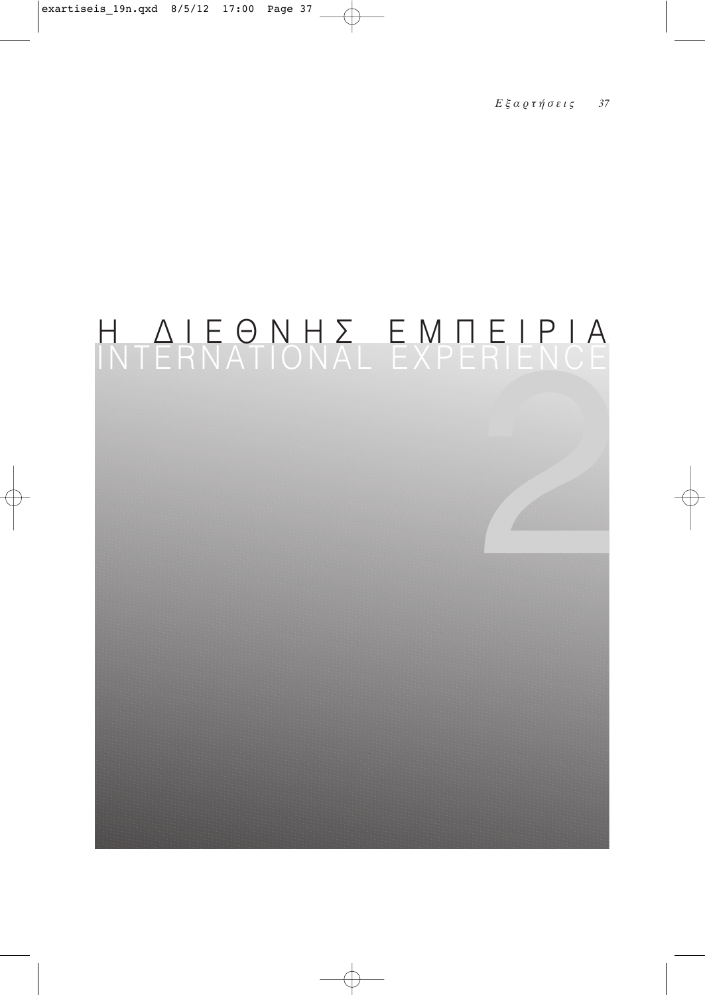$E \xi a \varrho \tau \eta \sigma \varepsilon \iota$ ς 37

# H AIEONH E EMPEIPIA<br>INTERNATIONAL EXPERIENCE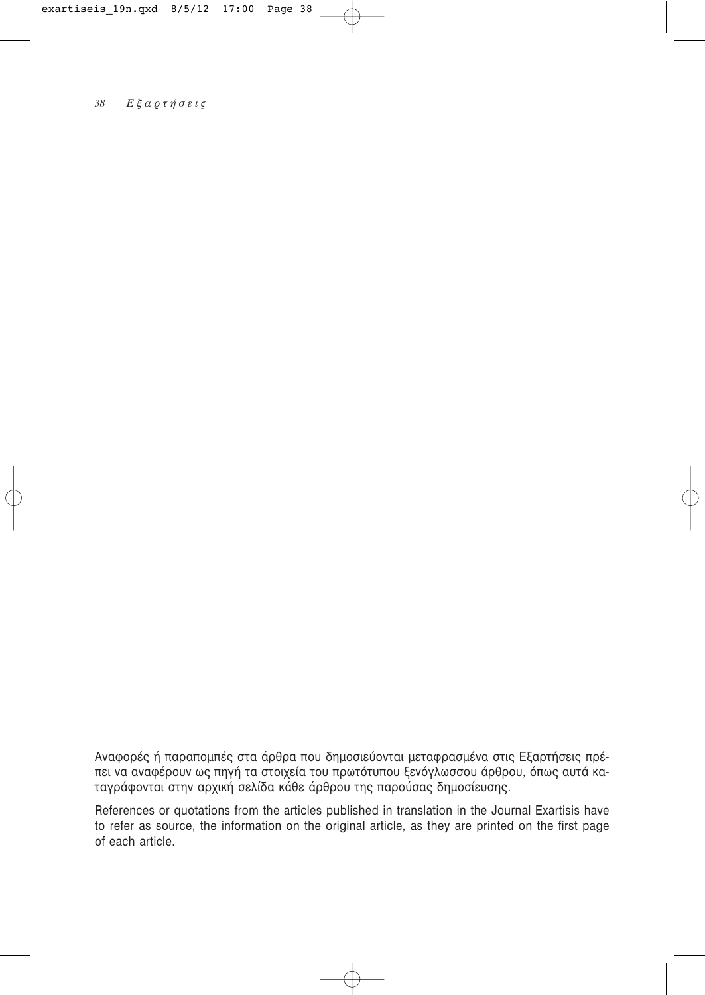Αναφορές ή παραπομπές στα άρθρα που δημοσιεύονται μεταφρασμένα στις Εξαρτήσεις πρέπει να αναφέρουν ως πηγή τα στοιχεία του πρωτότυπου ξενόγλωσσου άρθρου, όπως αυτά καταγράφονται στην αρχική σελίδα κάθε άρθρου της παρούσας δημοσίευσης.

References or quotations from the articles published in translation in the Journal Exartisis have to refer as source, the information on the original article, as they are printed on the first page of each article.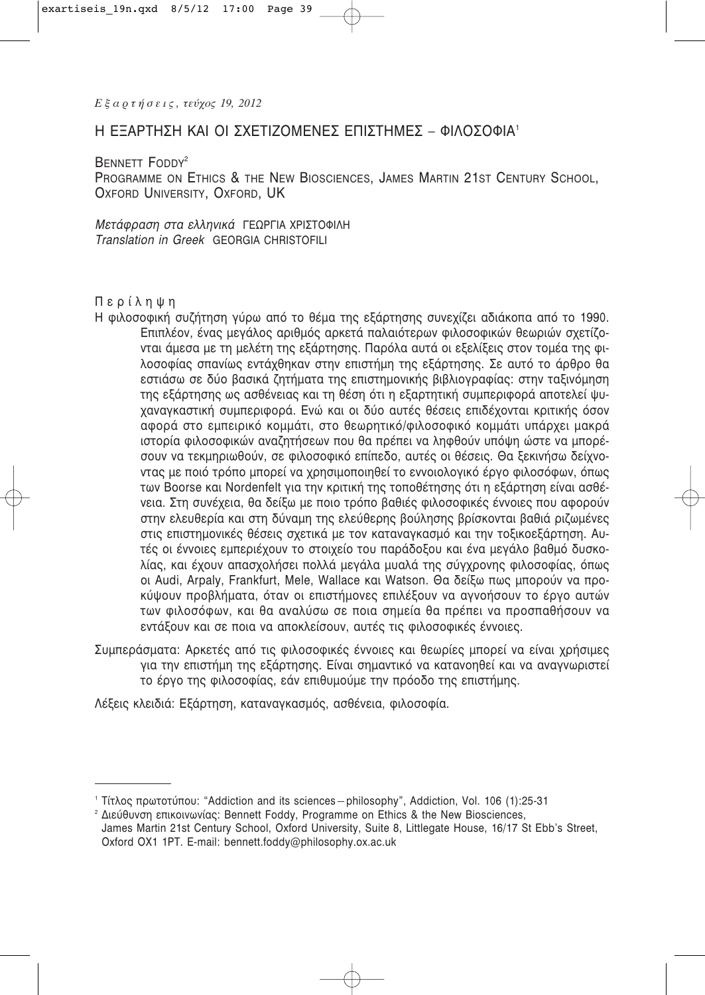*Ε ξ α ρ τ ή σ ε ι ς , τεύχος 19, 2012*

## Η ΕΞΑΡΤΗΣΗ ΚΑΙ ΟΙ ΣΧΕΤΙΖΟΜΕΝΕΣ ΕΠΙΣΤΗΜΕΣ – ΦΙΛΟΣΟΦΙΑ<sup>1</sup>

#### BENNETT FODDY<sup>2</sup>

PROGRAMME ON ETHICS & THE NEW BIOSCIENCES, JAMES MARTIN 21ST CENTURY SCHOOL, OXFORD UNIVERSITY, OXFORD, UK

*Μετάφραση στα ελληνικά ΓΕΩΡΓΙΑ ΧΡΙΣΤΟΦΙΛΗ Translation in Greek* GEORGIA CHRISTOFILI

#### $\Pi$ ερίληψη

- Η φιλοσοφική συζήτηση γύρω από το θέμα της εξάρτησης συνεχίζει αδιάκοπα από το 1990. Επιπλέον, ένας μεγάλος αριθμός αρκετά παλαιότερων φιλοσοφικών θεωριών σχετίζο-Vται άμεσα με τη μελέτη της εξάρτησης. Παρόλα αυτά οι εξελίξεις στον τομέα της φιλοσοφίας σπανίως εντάχθηκαν στην επιστήμη της εξάρτησης. Σε αυτό το άρθρο θα εστιάσω σε δύο βασικά ζητήματα της επιστημονικής βιβλιογραφίας: στην ταξινόμηση της εξάρτησης ως ασθένειας και τη θέση ότι η εξαρτητική συμπεριφορά αποτελεί ψυχαναγκαστική συμπεριφορά. Ενώ και οι δύο αυτές θέσεις επιδέχονται κριτικής όσον αφορά στο εμπειρικό κομμάτι, στο θεωρητικό/φιλοσοφικό κομμάτι υπάρχει μακρά ιστορία φιλοσοφικών αναζητήσεων που θα πρέπει να ληφθούν υπόψη ώστε να μπορέσουν να τεκμηριωθούν, σε φιλοσοφικό επίπεδο, αυτές οι θέσεις. Θα ξεκινήσω δείχνοντας με ποιό τρόπο μπορεί να χρησιμοποιηθεί το εννοιολογικό έργο φιλοσόφων, όπως των Boorse και Nordenfelt για την κριτική της τοποθέτησης ότι η εξάρτηση είναι ασθένεια. Στη συνέχεια, θα δείξω με ποιο τρόπο βαθιές φιλοσοφικές έννοιες που αφορούν στην ελευθερία και στη δύναμη της ελεύθερης βούλησης βρίσκονται βαθιά ριζωμένες στις επιστημονικές θέσεις σχετικά με τον καταναγκασμό και την τοξικοεξάρτηση. Αυτές οι έννοιες εμπεριέχουν το στοιχείο του παράδοξου και ένα μεγάλο βαθμό δυσκολίας, και έχουν απασχολήσει πολλά μεγάλα μυαλά της σύγχρονης φιλοσοφίας, όπως oι Audi, Arpaly, Frankfurt, Mele, Wallace και Watson. Θα δείξω πως μπορούν να προκύψουν προβλήματα, όταν οι επιστήμονες επιλέξουν να αγνοήσουν το έργο αυτών των φιλοσόφων, και θα αναλύσω σε ποια σημεία θα πρέπει να προσπαθήσουν να εντάξουν και σε ποια να αποκλείσουν, αυτές τις φιλοσοφικές έννοιες.
- Συμπεράσματα: Αρκετές από τις φιλοσοφικές έννοιες και θεωρίες μπορεί να είναι χρήσιμες για την επιστήμη της εξάρτησης. Είναι σημαντικό να κατανοηθεί και να αναγνωριστεί το έργο της φιλοσοφίας, εάν επιθυμούμε την πρόοδο της επιστήμης.

Λέξεις κλειδιά: Εξάρτηση, καταναγκασμός, ασθένεια, φιλοσοφία.

<sup>&</sup>lt;sup>1</sup> Τίτλος πρωτοτύπου: "Addiction and its sciences - philosophy", Addiction, Vol. 106 (1):25-31

<sup>&</sup>lt;sup>2</sup> Διεύθυνση επικοινωνίας: Bennett Foddy, Programme on Ethics & the New Biosciences,

James Martin 21st Century School, Oxford University, Suite 8, Littlegate House, 16/17 St Ebb's Street, Oxford OX1 1PT. E-mail: bennett.foddy@philosophy.ox.ac.uk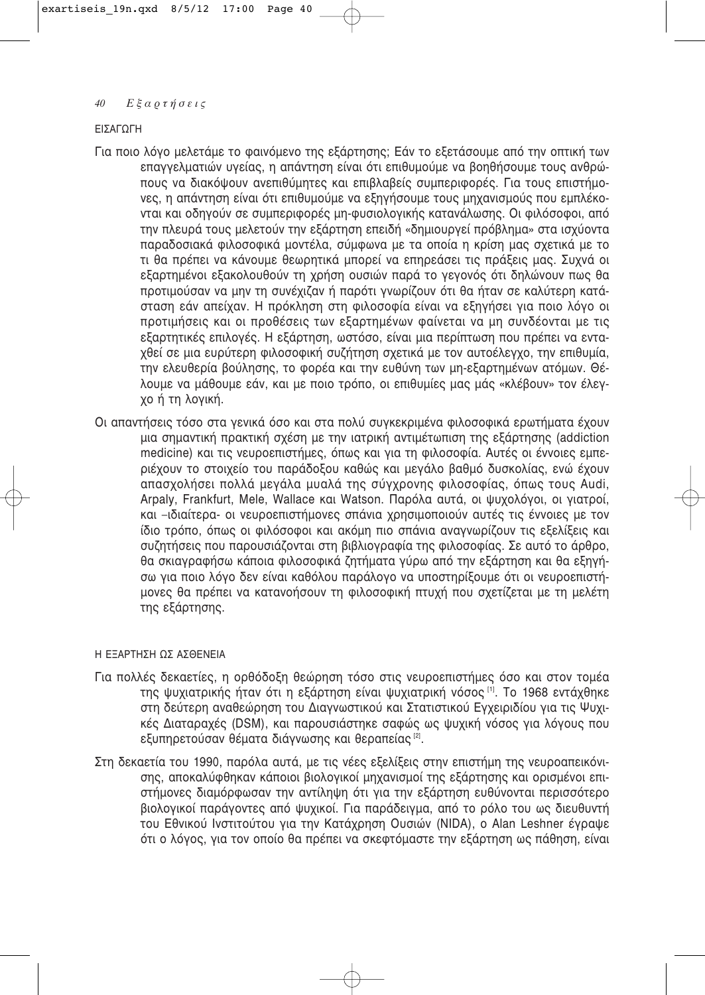#### $\Delta$ 0 Εξαρτήσεις

#### ΕΙΣΑΓΩΓΗ

- Για ποιο λόγο μελετάμε το φαινόμενο της εξάρτησης; Εάν το εξετάσουμε από την οπτική των επαγγελματιών υγείας, η απάντηση είναι ότι επιθυμούμε να βοηθήσουμε τους ανθρώπους να διακόψουν ανεπιθύμητες και επιβλαβείς συμπεριφορές. Για τους επιστήμονες, η απάντηση είναι ότι επιθυμούμε να εξηγήσουμε τους μηχανισμούς που εμπλέκονται και οδηγούν σε συμπεριφορές μη-φυσιολογικής κατανάλωσης. Οι φιλόσοφοι, από την πλευρά τους μελετούν την εξάρτηση επειδή «δημιουργεί πρόβλημα» στα ισχύοντα παραδοσιακά φιλοσοφικά μοντέλα, σύμφωνα με τα οποία η κρίση μας σχετικά με το τι θα πρέπει να κάνουμε θεωρητικά μπορεί να επηρεάσει τις πράξεις μας. Συχνά οι εξαρτημένοι εξακολουθούν τη χρήση ουσιών παρά το γεγονός ότι δηλώνουν πως θα προτιμούσαν να μην τη συνέχιζαν ή παρότι γνωρίζουν ότι θα ήταν σε καλύτερη κατάσταση εάν απείχαν. Η πρόκληση στη φιλοσοφία είναι να εξηγήσει για ποιο λόγο οι προτιμήσεις και οι προθέσεις των εξαρτημένων φαίνεται να μη συνδέονται με τις εξαρτητικές επιλογές. Η εξάρτηση, ωστόσο, είναι μια περίπτωση που πρέπει να ενταχθεί σε μια ευρύτερη φιλοσοφική συζήτηση σχετικά με τον αυτοέλεγχο, την επιθυμία, την ελευθερία βούλησης, το φορέα και την ευθύνη των μη-εξαρτημένων ατόμων. Θέλουμε να μάθουμε εάν, και με ποιο τρόπο, οι επιθυμίες μας μάς «κλέβουν» τον έλεγχο ή τη λογική.
- Οι απαντήσεις τόσο στα γενικά όσο και στα πολύ συγκεκριμένα φιλοσοφικά ερωτήματα έχουν μια σημαντική πρακτική σχέση με την ιατρική αντιμέτωπιση της εξάρτησης (addiction medicine) και τις νευροεπιστήμες, όπως και για τη φιλοσοφία. Αυτές οι έννοιες εμπεριέχουν το στοιχείο του παράδοξου καθώς και μεγάλο βαθμό δυσκολίας, ενώ έχουν απασχολήσει πολλά μεγάλα μυαλά της σύγχρονης φιλοσοφίας, όπως τους Audi, Arpaly, Frankfurt, Mele, Wallace και Watson. Παρόλα αυτά, οι ψυχολόγοι, οι γιατροί, και –ιδιαίτερα- οι νευροεπιστήμονες σπάνια χρησιμοποιούν αυτές τις έννοιες με τον ίδιο τρόπο, όπως οι φιλόσοφοι και ακόμη πιο σπάνια αναννωρίζουν τις εξελίξεις και συζητήσεις που παρουσιάζονται στη βιβλιογραφία της φιλοσοφίας. Σε αυτό το άρθρο, θα σκιαγραφήσω κάποια φιλοσοφικά ζητήματα γύρω από την εξάρτηση και θα εξηγήσω για ποιο λόγο δεν είναι καθόλου παράλονο να υποστηρίξουμε ότι οι νευροεπιστήμονες θα πρέπει να κατανοήσουν τη φιλοσοφική πτυχή που σχετίζεται με τη μελέτη της εξάρτησης.

#### Η ΕΞΑΡΤΗΣΗ ΟΣ ΑΣΘΕΝΕΙΑ

- Για πολλές δεκαετίες, η ορθόδοξη θεώρηση τόσο στις νευροεπιστήμες όσο και στον τομέα της ψυχιατρικής ήταν ότι η εξάρτηση είναι ψυχιατρική νόσος [1]. Το 1968 εντάχθηκε στη δεύτερη αναθεώρηση του Διαγνωστικού και Στατιστικού Εγχειριδίου για τις Ψυχικές Διαταραχές (DSM), και παρουσιάστηκε σαφώς ως ψυχική νόσος για λόγους που εξυπηρετούσαν θέματα διάγνωσης και θεραπείας<sup>[2]</sup>.
- Στη δεκαετία του 1990, παρόλα αυτά, με τις νέες εξελίξεις στην επιστήμη της νευροαπεικόνισης, αποκαλύφθηκαν κάποιοι βιολογικοί μηχανισμοί της εξάρτησης και ορισμένοι επιστήμονες διαμόρφωσαν την αντίληψη ότι για την εξάρτηση ευθύνονται περισσότερο βιολογικοί παράγοντες από ψυχικοί. Για παράδειγμα, από το ρόλο του ως διευθυντή του Εθνικού Ινστιτούτου για την Κατάχρηση Ουσιών (NIDA), ο Alan Leshner έγραψε ότι ο λόγος, για τον οποίο θα πρέπει να σκεφτόμαστε την εξάρτηση ως πάθηση, είναι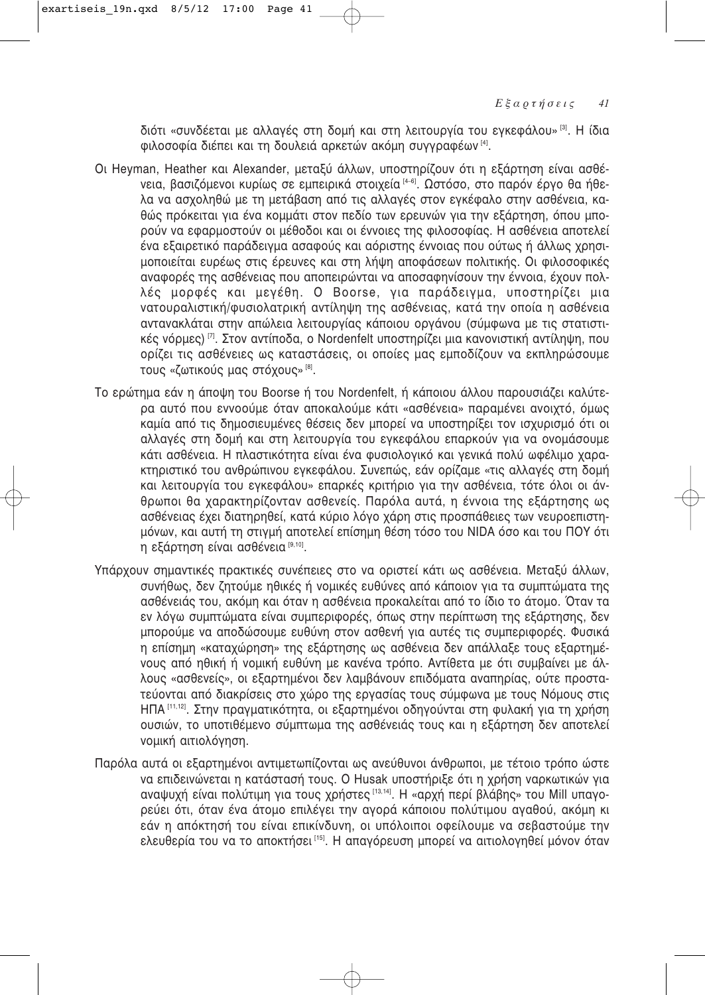διότι «συνδέεται με αλλαγές στη δομή και στη λειτουργία του εγκεφάλου» [3]. Η ίδια φιλοσοφία διέπει και τη δουλειά αρκετών ακόμη συγγραφέων<sup>[4]</sup>.

- Οι Heyman, Heather και Alexander, μεταξύ άλλων, υποστηρίζουν ότι η εξάρτηση είναι ασθέ-VEIA, βασιζόμενοι κυρίως σε εμπειρικά στοιχεία <sup>[4-6]</sup>. Ωστόσο, στο παρόν έργο θα ήθελα να ασχοληθώ με τη μετάβαση από τις αλλαγές στον εγκέφαλο στην ασθένεια, καθώς πρόκειται για ένα κομμάτι στον πεδίο των ερευνών για την εξάρτηση, όπου μπορούν να εφαρμοστούν οι μέθοδοι και οι έννοιες της φιλοσοφίας. Η ασθένεια αποτελεί ένα εξαιρετικό παράδειγμα ασαφούς και αόριστης έννοιας που ούτως ή άλλως χρησιμοποιείται ευρέως στις έρευνες και στη λήψη αποφάσεων πολιτικής. Οι φιλοσοφικές αναφορές της ασθένειας που αποπειρώνται να αποσαφηνίσουν την έννοια, έχουν πολλές μορφές και μεγέθη. Ο Boorse, για παράδειγμα, υποστηρίζει μια νατουραλιστική/φυσιολατρική αντίληψη της ασθένειας, κατά την οποία η ασθένεια αντανακλάται στην απώλεια λειτουρνίας κάποιου οργάνου (σύμφωνα με τις στατιστικές νόρμες) [7]. Στον αντίποδα, ο Nordenfelt υποστηρίζει μια κανονιστική αντίληψη, που ορίζει τις ασθένειες ως καταστάσεις, οι οποίες μας εμποδίζουν να εκπληρώσουμε τους «ζωτικούς μας στόχους» [8].
- Το ερώτημα εάν η άποψη του Boorse ή του Nordenfelt, ή κάποιου άλλου παρουσιάζει καλύτερα αυτό που εννοούμε όταν αποκαλούμε κάτι «ασθένεια» παραμένει ανοιχτό, όμως καμία από τις δημοσιευμένες θέσεις δεν μπορεί να υποστηρίξει τον ισχυρισμό ότι οι αλλαγές στη δομή και στη λειτουργία του εγκεφάλου επαρκούν για να ονομάσουμε κάτι ασθένεια. Η πλαστικότητα είναι ένα φυσιολονικό και νενικά πολύ ωφέλιμο χαρα-Κτηριστικό του ανθρώπινου εγκεφάλου. Συνεπώς, εάν ορίζαμε «τις αλλαγές στη δομή και λειτουργία του εγκεφάλου» επαρκές κριτήριο για την ασθένεια, τότε όλοι οι άνθρωποι θα χαρακτηρίζονταν ασθενείς. Παρόλα αυτά, η έννοια της εξάρτησης ως ασθένειας έχει διατηρηθεί, κατά κύριο λόγο χάρη στις προσπάθειες των νευροεπιστημόνων, και αυτή τη στιγμή αποτελεί επίσημη θέση τόσο του ΝΙDA όσο και του ΠΟΥ ότι η εξάρτηση είναι ασθένεια [9,10].
- Υπάρχουν σημαντικές πρακτικές συνέπειες στο να οριστεί κάτι ως ασθένεια. Μεταξύ άλλων, συνήθως, δεν ζητούμε ηθικές ή νομικές ευθύνες από κάποιον για τα συμπτώματα της ασθένειάς του, ακόμη και όταν η ασθένεια προκαλείται από το ίδιο το άτομο. Όταν τα εν λόγω συμπτώματα είναι συμπεριφορές, όπως στην περίπτωση της εξάρτησης, δεν μπορούμε να αποδώσουμε ευθύνη στον ασθενή για αυτές τις συμπεριφορές. Φυσικά η επίσημη «καταχώρηση» της εξάρτησης ως ασθένεια δεν απάλλαξε τους εξαρτημένους από ηθική ή νομική ευθύνη με κανένα τρόπο. Αντίθετα με ότι συμβαίνει με άλλους «ασθενείς», οι εξαρτημένοι δεν λαμβάνουν επιδόματα αναπηρίας, ούτε προστατεύονται από διακρίσεις στο χώρο της εργασίας τους σύμφωνα με τους Νόμους στις ΗΠΑ [11,12]. Στην πραγματικότητα, οι εξαρτημένοι οδηνούνται στη φυλακή για τη χρήση ουσιών, το υποτιθέμενο σύμπτωμα της ασθένειάς τους και η εξάρτηση δεν αποτελεί νομική αιτιολόγηση.
- Παρόλα αυτά οι εξαρτημένοι αντιμετωπίζονται ως ανεύθυνοι άνθρωποι, με τέτοιο τρόπο ώστε να επιδεινώνεται η κατάστασή τους. Ο Husak υποστήριξε ότι η χρήση ναρκωτικών για αναψυχή είναι πολύτιμη για τους χρήστες [13,14]. Η «αρχή περί βλάβης» του Mill υπαγορεύει ότι, όταν ένα άτομο επιλέγει την αγορά κάποιου πολύτιμου αγαθού, ακόμη κι εάν η απόκτησή του είναι επικίνδυνη, οι υπόλοιποι οφείλουμε να σεβαστούμε την ελευθερία του να το αποκτήσει <sup>[15]</sup>. Η απαγόρευση μπορεί να αιτιολογηθεί μόνον όταν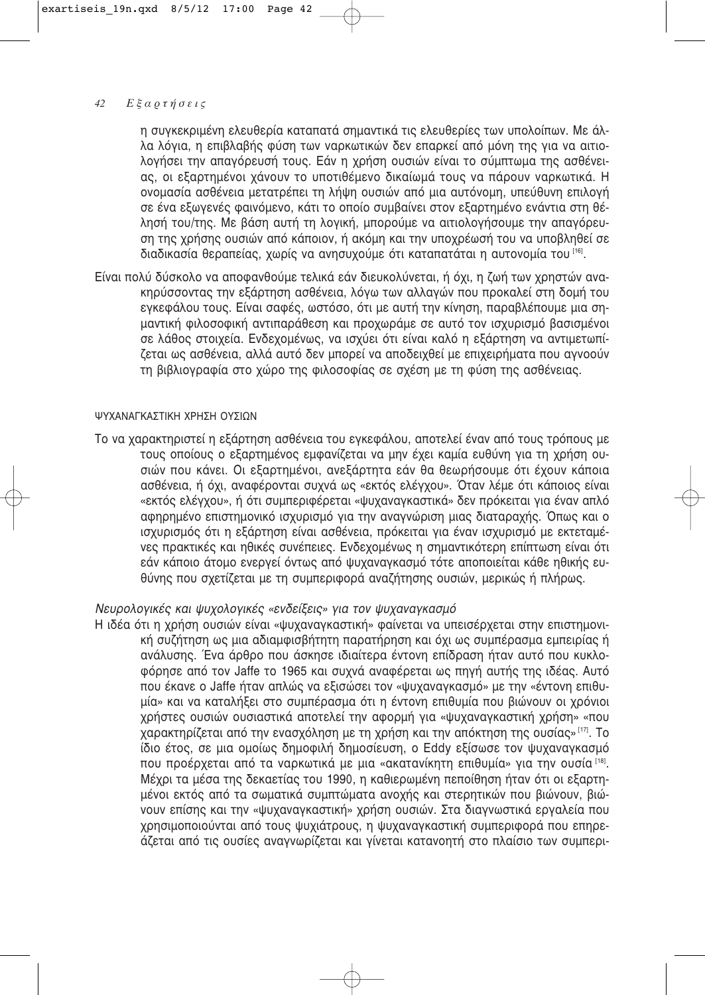η συγκεκριμένη ελευθερία καταπατά σημαντικά τις ελευθερίες των υπολοίπων. Με άλλα λόγια, η επιβλαβής φύση των ναρκωτικών δεν επαρκεί από μόνη της για να αιτιολογήσει την απαγόρευσή τους. Εάν η χρήση ουσιών είναι το σύμπτωμα της ασθένειας, οι εξαρτημένοι χάνουν το υποτιθέμενο δικαίωμά τους να πάρουν ναρκωτικά. Η ονομασία ασθένεια μετατρέπει τη λήψη ουσιών από μια αυτόνομη, υπεύθυνη επιλογή σε ένα εξωγενές φαινόμενο, κάτι το οποίο συμβαίνει στον εξαρτημένο ενάντια στη θέλησή του/της. Με βάση αυτή τη λογική, μπορούμε να αιτιολογήσουμε την απαγόρευση της χρήσης ουσιών από κάποιον, ή ακόμη και την υποχρέωσή του να υποβληθεί σε διαδικασία θεραπείας, χωρίς να ανησυχούμε ότι καταπατάται η αυτονομία του <sup>[16]</sup>.

Είναι πολύ δύσκολο να αποφανθούμε τελικά εάν διευκολύνεται, ή όχι, η ζωή των χρηστών ανακηρύσσοντας την εξάρτηση ασθένεια, λόγω των αλλαγών που προκαλεί στη δομή του εγκεφάλου τους. Είναι σαφές, ωστόσο, ότι με αυτή την κίνηση, παραβλέπουμε μια σημαντική φιλοσοφική αντιπαράθεση και προχωράμε σε αυτό τον ισχυρισμό βασισμένοι σε λάθος στοιχεία. Ενδεχομένως, να ισχύει ότι είναι καλό η εξάρτηση να αντιμετωπίζεται ως ασθένεια, αλλά αυτό δεν μπορεί να αποδειχθεί με επιχειρήματα που αγνοούν τη βιβλιογραφία στο χώρο της φιλοσοφίας σε σχέση με τη φύση της ασθένειας.

#### ΨΥΧΑΝΑΓΚΑΣΤΙΚΗ ΧΡΗΣΗ ΩΥΣΙΩΝ

Το να χαρακτηριστεί η εξάρτηση ασθένεια του εγκεφάλου, αποτελεί έναν από τους τρόπους με τους οποίους ο εξαρτημένος εμφανίζεται να μην έχει καμία ευθύνη για τη χρήση ουσιών που κάνει. Οι εξαρτημένοι, ανεξάρτητα εάν θα θεωρήσουμε ότι έχουν κάποια ασθένεια, ή όχι, αναφέρονται συχνά ως «εκτός ελέγχου». Όταν λέμε ότι κάποιος είναι «εκτός ελέγχου», ή ότι συμπεριφέρεται «ψυχαναγκαστικά» δεν πρόκειται για έναν απλό αφηρημένο επιστημονικό ισχυρισμό για την αναγνώριση μιας διαταραχής. Όπως και ο ισχυρισμός ότι η εξάρτηση είναι ασθένεια, πρόκειται για έναν ισχυρισμό με εκτεταμένες πρακτικές και ηθικές συνέπειες. Ενδεχομένως η σημαντικότερη επίπτωση είναι ότι εάν κάποιο άτομο ενεργεί όντως από ψυχαναγκασμό τότε αποποιείται κάθε ηθικής ευθύνης που σχετίζεται με τη συμπεριφορά αναζήτησης ουσιών, μερικώς ή πλήρως.

#### *Νευρολογικές και ψυχολογικές «ενδείξεις» για τον ψυχαναγκασμό*

Η ιδέα ότι η χρήση ουσιών είναι «ψυχαναγκαστική» φαίνεται να υπεισέρχεται στην επιστημονική συζήτηση ως μια αδιαμφισβήτητη παρατήρηση και όχι ως συμπέρασμα εμπειρίας ή ανάλυσης. Ένα άρθρο που άσκησε ιδιαίτερα έντονη επίδραση ήταν αυτό που κυκλοφόρησε από τον Jaffe το 1965 και συχνά αναφέρεται ως πηγή αυτής της ιδέας. Αυτό που έκανε ο Jaffe ήταν απλώς να εξισώσει τον «ψυχαναγκασμό» με την «έντονη επιθυμία» και να καταλήξει στο συμπέρασμα ότι η έντονη επιθυμία που βιώνουν οι χρόνιοι χρήστες ουσιών ουσιαστικά αποτελεί την αφορμή για «ψυχαναγκαστική χρήση» «που χαρακτηρίζεται από την ενασχόληση με τη χρήση και την απόκτηση της ουσίας» <sup>[17]</sup>. Το ίδιο έτος, σε μια ομοίως δημοφιλή δημοσίευση, ο Eddy εξίσωσε τον ψυχαναγκασμό που προέρχεται από τα ναρκωτικά με μια «ακατανίκητη επιθυμία» για την ουσία [18]. Μέχρι τα μέσα της δεκαετίας του 1990, η καθιερωμένη πεποίθηση ήταν ότι οι εξαρτημένοι εκτός από τα σωματικά συμπτώματα ανοχής και στερητικών που βιώνουν, βιώvoυν επίσης και την «ψυχαναγκαστική» χρήση ουσιών. Στα διαγνωστικά εργαλεία που χρησιμοποιούνται από τους ψυχιάτρους, η ψυχαναγκαστική συμπεριφορά που επηρεάζεται από τις ουσίες αναγνωρίζεται και γίνεται κατανοητή στο πλαίσιο των συμπερι-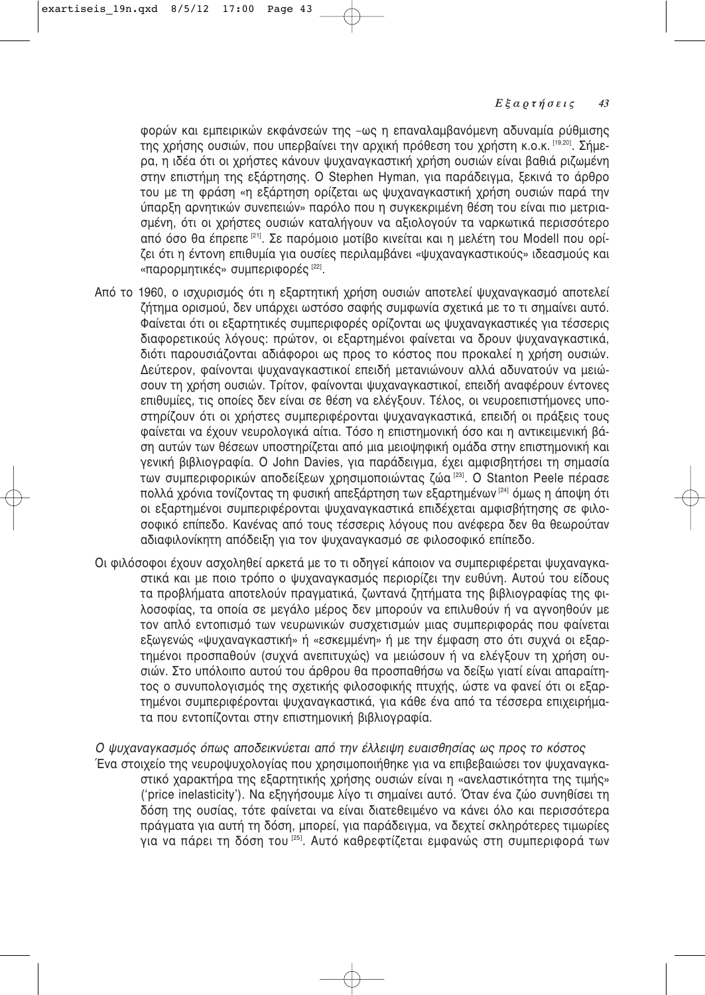φορών και εμπειρικών εκφάνσεών της –ως η επαναλαμβανόμενη αδυναμία ρύθμισης της χρήσης ουσιών, που υπερβαίνει την αρχική πρόθεση του χρήστη κ.ο.κ. [19,20]. Σήμερα, η ιδέα ότι οι χρήστες κάνουν ψυχαναγκαστική χρήση ουσιών είναι βαθιά ριζωμένη στην επιστήμη της εξάρτησης. Ο Stephen Hyman, για παράδειγμα, ξεκινά το άρθρο του με τη φράση «η εξάρτηση ορίζεται ως ψυχαναγκαστική χρήση ουσιών παρά την ύπαρξη αρνητικών συνεπειών» παρόλο που η συγκεκριμένη θέση του είναι πιο μετριασμένη, ότι οι χρήστες ουσιών καταλήγουν να αξιολογούν τα ναρκωτικά περισσότερο από όσο θα έπρεπε <sup>[21]</sup>. Σε παρόμοιο μοτίβο κινείται και η μελέτη του Modell που ορίζει ότι η έντονη επιθυμία για ουσίες περιλαμβάνει «ψυχαναγκαστικούς» ιδεασμούς και «παρορμητικές» συμπεριφορές [22].

- Από το 1960, ο ισχυρισμός ότι η εξαρτητική χρήση ουσιών αποτελεί ψυχαναγκασμό αποτελεί ζήτημα ορισμού, δεν υπάρχει ωστόσο σαφής συμφωνία σχετικά με το τι σημαίνει αυτό. Φαίνεται ότι οι εξαρτητικές συμπεριφορές ορίζονται ως ψυχαναγκαστικές για τέσσερις διαφορετικούς λόγους: πρώτον, οι εξαρτημένοι φαίνεται να δρουν ψυχαναγκαστικά, διότι παρουσιάζονται αδιάφοροι ως προς το κόστος που προκαλεί η χρήση ουσιών. Δεύτερον, φαίνονται ψυχανανκαστικοί επειδή μετανιώνουν αλλά αδυνατούν να μειώσουν τη χρήση ουσιών. Τρίτον, φαίνονται ψυχαναγκαστικοί, επειδή αναφέρουν έντονες επιθυμίες, τις οποίες δεν είναι σε θέση να ελέγξουν. Τέλος, οι νευροεπιστήμονες υποστηρίζουν ότι οι χρήστες συμπεριφέρονται ψυχαναγκαστικά, επειδή οι πράξεις τους φαίνεται να έχουν νευρολογικά αίτια. Τόσο η επιστημονική όσο και η αντικειμενική βάση αυτών των θέσεων υποστηρίζεται από μια μειοψηφική ομάδα στην επιστημονική και γενική βιβλιογραφία. Ο John Davies, για παράδειγμα, έχει αμφισβητήσει τη σημασία των συμπεριφορικών αποδείξεων χρησιμοποιώντας ζώα<sup>[23]</sup>. Ο Stanton Peele πέρασε πολλά χρόνια τονίζοντας τη φυσική απεξάρτηση των εξαρτημένων [24] όμως η άποψη ότι οι εξαρτημένοι συμπεριφέρονται ψυχαναγκαστικά επιδέχεται αμφισβήτησης σε φιλοσοφικό επίπεδο. Κανένας από τους τέσσερις λόγους που ανέφερα δεν θα θεωρούταν αδιαφιλονίκητη απόδειξη για τον ψυχαναγκασμό σε φιλοσοφικό επίπεδο.
- Οι φιλόσοφοι έχουν ασχοληθεί αρκετά με το τι οδηγεί κάποιον να συμπεριφέρεται ψυχαναγκαστικά και με ποιο τρόπο ο ψυχαναγκασμός περιορίζει την ευθύνη. Αυτού του είδους τα προβλήματα αποτελούν πραγματικά, ζωντανά ζητήματα της βιβλιογραφίας της φιλοσοφίας, τα οποία σε μεγάλο μέρος δεν μπορούν να επιλυθούν ή να αγνοηθούν με τον απλό εντοπισμό των νευρωνικών συσχετισμών μιας συμπεριφοράς που φαίνεται εξωγενώς «ψυχαναγκαστική» ή «εσκεμμένη» ή με την έμφαση στο ότι συχνά οι εξαρτημένοι προσπαθούν (συχνά ανεπιτυχώς) να μειώσουν ή να ελέγξουν τη χρήση ουσιών. Στο υπόλοιπο αυτού του άρθρου θα προσπαθήσω να δείξω γιατί είναι απαραίτητος ο συνυπολογισμός της σχετικής φιλοσοφικής πτυχής, ώστε να φανεί ότι οι εξαρτημένοι συμπεριφέρονται ψυχαναγκαστικά, για κάθε ένα από τα τέσσερα επιχειρήματα που εντοπίζονται στην επιστημονική βιβλιονραφία.
- Ο ψυχαναγκασμός όπως αποδεικνύεται από την έλλειψη ευαισθησίας ως προς το κόστος Ένα στοιχείο της νευροψυχολογίας που χρησιμοποιήθηκε για να επιβεβαιώσει τον ψυχαναγκαστικό χαρακτήρα της εξαρτητικής χρήσης ουσιών είναι η «ανελαστικότητα της τιμής» ('price inelasticity'). Να εξηγήσουμε λίγο τι σημαίνει αυτό. Όταν ένα ζώο συνηθίσει τη δόση της ουσίας, τότε φαίνεται να είναι διατεθειμένο να κάνει όλο και περισσότερα πράγματα για αυτή τη δόση, μπορεί, για παράδειγμα, να δεχτεί σκληρότερες τιμωρίες για να πάρει τη δόση του [25]. Αυτό καθρεφτίζεται εμφανώς στη συμπεριφορά των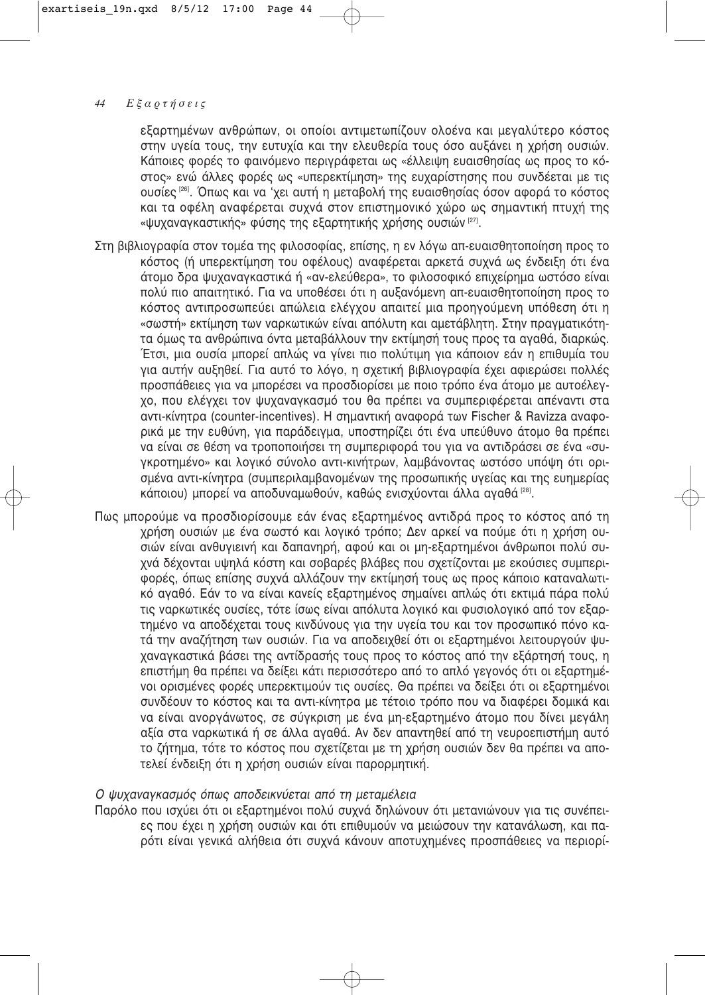εξαρτημένων ανθρώπων, οι οποίοι αντιμετωπίζουν ολοένα και μεγαλύτερο κόστος στην υγεία τους, την ευτυχία και την ελευθερία τους όσο αυξάνει η χρήση ουσιών. Κάποιες φορές το φαινόμενο περιγράφεται ως «έλλειψη ευαισθησίας ως προς το κόστος» ενώ άλλες φορές ως «υπερεκτίμηση» της ευχαρίστησης που συνδέεται με τις ουσίες <sup>[26]</sup>. Όπως και να 'χει αυτή η μεταβολή της ευαισθησίας όσον αφορά το κόστος και τα οφέλη αναφέρεται συχνά στον επιστημονικό χώρο ως σημαντική πτυχή της «ψυχαναγκαστικής» φύσης της εξαρτητικής χρήσης ουσιών<sup>[27]</sup>.

- Στη βιβλιογραφία στον τομέα της φιλοσοφίας, επίσης, η εν λόγω απ-ευαισθητοποίηση προς το κόστος (ή υπερεκτίμηση του οφέλους) αναφέρεται αρκετά συχνά ως ένδειξη ότι ένα άτομο δρα ψυχαναγκαστικά ή «αν-ελεύθερα», το φιλοσοφικό επιχείρημα ωστόσο είναι πολύ πιο απαιτητικό. Για να υποθέσει ότι η αυξανόμενη απ-ευαισθητοποίηση προς το κόστος αντιπροσωπεύει απώλεια ελέγχου απαιτεί μια προηγούμενη υπόθεση ότι η «σωστή» εκτίμηση των ναρκωτικών είναι απόλυτη και αμετάβλητη. Στην πραγματικότητα όμως τα ανθρώπινα όντα μεταβάλλουν την εκτίμησή τους προς τα αγαθά, διαρκώς. Έτσι, μια ουσία μπορεί απλώς να γίνει πιο πολύτιμη για κάποιον εάν η επιθυμία του για αυτήν αυξηθεί. Για αυτό το λόγο, η σχετική βιβλιογραφία έχει αφιερώσει πολλές προσπάθειες για να μπορέσει να προσδιορίσει με ποιο τρόπο ένα άτομο με αυτοέλεγχο, που ελέγχει τον ψυχαναγκασμό του θα πρέπει να συμπεριφέρεται απέναντι στα αντι-κίνητρα (counter-incentives). Η σημαντική αναφορά των Fischer & Ravizza αναφορικά με την ευθύνη, νια παράδεινμα, υποστηρίζει ότι ένα υπεύθυνο άτομο θα πρέπει να είναι σε θέση να τροποποιήσει τη συμπεριφορά του για να αντιδράσει σε ένα «συγκροτημένο» και λογικό σύνολο αντι-κινήτρων, λαμβάνοντας ωστόσο υπόψη ότι ορισμένα αντι-κίνητρα (συμπεριλαμβανομένων της προσωπικής υγείας και της ευημερίας κάποιου) μπορεί να αποδυναμωθούν, καθώς ενισχύονται άλλα αγαθά<sup>[28]</sup>.
- Πως μπορούμε να προσδιορίσουμε εάν ένας εξαρτημένος αντιδρά προς το κόστος από τη χρήση ουσιών με ένα σωστό και λογικό τρόπο; Δεν αρκεί να πούμε ότι η χρήση ουσιών είναι ανθυγιεινή και δαπανηρή, αφού και οι μη-εξαρτημένοι άνθρωποι πολύ συχνά δέχονται υψηλά κόστη και σοβαρές βλάβες που σχετίζονται με εκούσιες συμπεριφορές, όπως επίσης συχνά αλλάζουν την εκτίμησή τους ως προς κάποιο καταναλωτικό αγαθό. Εάν το να είναι κανείς εξαρτημένος σημαίνει απλώς ότι εκτιμά πάρα πολύ τις ναρκωτικές ουσίες, τότε ίσως είναι απόλυτα λογικό και φυσιολογικό από τον εξαρτημένο να αποδέχεται τους κινδύνους για την υγεία του και τον προσωπικό πόνο κατά την αναζήτηση των ουσιών. Για να αποδειχθεί ότι οι εξαρτημένοι λειτουργούν ψυχαναγκαστικά βάσει της αντίδρασής τους προς το κόστος από την εξάρτησή τους, η επιστήμη θα πρέπει να δείξει κάτι περισσότερο από το απλό γεγονός ότι οι εξαρτημένοι ορισμένες φορές υπερεκτιμούν τις ουσίες. Θα πρέπει να δείξει ότι οι εξαρτημένοι συνδέουν το κόστος και τα αντι-κίνητρα με τέτοιο τρόπο που να διαφέρει δομικά και να είναι ανοργάνωτος, σε σύγκριση με ένα μη-εξαρτημένο άτομο που δίνει μεγάλη αξία στα ναρκωτικά ή σε άλλα αγαθά. Αν δεν απαντηθεί από τη νευροεπιστήμη αυτό το ζήτημα, τότε το κόστος που σχετίζεται με τη χρήση ουσιών δεν θα πρέπει να αποτελεί ένδειξη ότι η χρήση ουσιών είναι παρορμητική.

#### Ο ψυχαναγκασμός όπως αποδεικνύεται από τη μεταμέλεια

Παρόλο που ισχύει ότι οι εξαρτημένοι πολύ συχνά δηλώνουν ότι μετανιώνουν για τις συνέπειες που έχει η χρήση ουσιών και ότι επιθυμούν να μειώσουν την κατανάλωση, και παρότι είναι γενικά αλήθεια ότι συχνά κάνουν αποτυχημένες προσπάθειες να περιορί-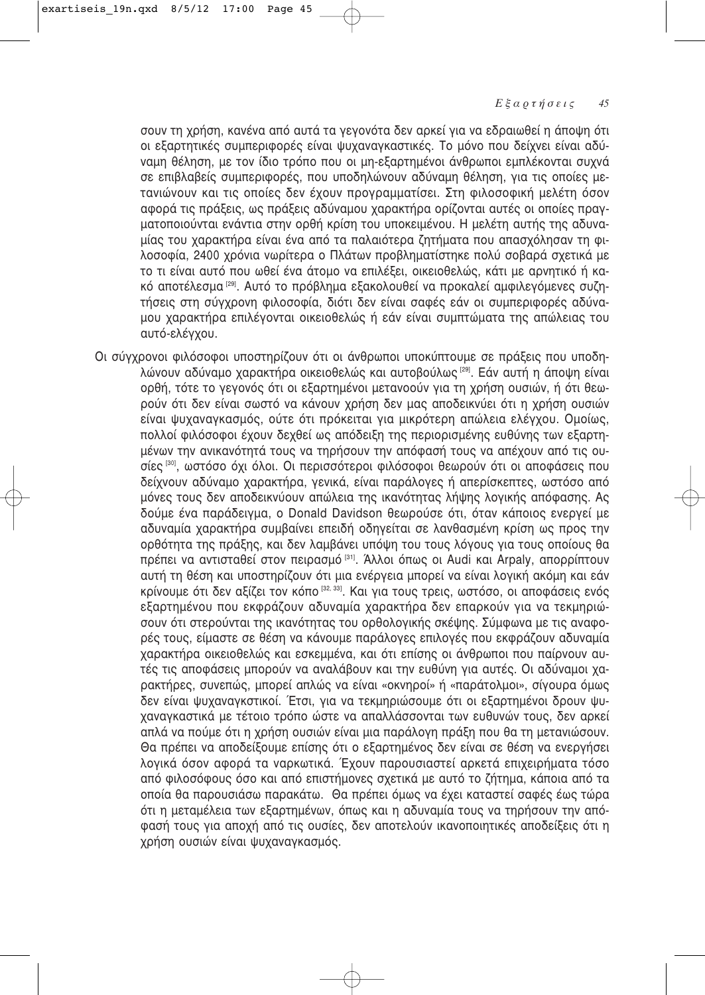σουν τη χρήση, κανένα από αυτά τα γεγονότα δεν αρκεί για να εδραιωθεί η άποψη ότι οι εξαρτητικές συμπεριφορές είναι ψυχανανκαστικές. Το μόνο που δείχνει είναι αδύναμη θέληση, με τον ίδιο τρόπο που οι μη-εξαρτημένοι άνθρωποι εμπλέκονται συχνά σε επιβλαβείς συμπεριφορές, που υποδηλώνουν αδύναμη θέληση, για τις οποίες μετανιώνουν και τις οποίες δεν έχουν προγραμματίσει. Στη φιλοσοφική μελέτη όσον αφορά τις πράξεις, ως πράξεις αδύναμου χαρακτήρα ορίζονται αυτές οι οποίες πρανματοποιούνται ενάντια στην ορθή κρίση του υποκειμένου. Η μελέτη αυτής της αδυναμίας του χαρακτήρα είναι ένα από τα παλαιότερα ζητήματα που απασχόλησαν τη φιλοσοφία, 2400 χρόνια νωρίτερα ο Πλάτων προβληματίστηκε πολύ σοβαρά σχετικά με το τι είναι αυτό που ωθεί ένα άτομο να επιλέξει, οικειοθελώς, κάτι με αρνητικό ή κα-Κό αποτέλεσμα <sup>[29]</sup>. Αυτό το πρόβλημα εξακολουθεί να προκαλεί αμφιλεγόμενες συζητήσεις στη σύγχρονη φιλοσοφία, διότι δεν είναι σαφές εάν οι συμπεριφορές αδύναμου χαρακτήρα επιλέγονται οικειοθελώς ή εάν είναι συμπτώματα της απώλειας του αυτό-ελένχου.

exartiseis 19n.qxd

Οι σύγχρονοι φιλόσοφοι υποστηρίζουν ότι οι άνθρωποι υποκύπτουμε σε πράξεις που υποδηλώνουν αδύναμο χαρακτήρα οικειοθελώς και αυτοβούλως <sup>[29]</sup>. Εάν αυτή η άποψη είναι ορθή, τότε το γεγονός ότι οι εξαρτημένοι μετανοούν για τη χρήση ουσιών, ή ότι θεωρούν ότι δεν είναι σωστό να κάνουν χρήση δεν μας αποδεικνύει ότι η χρήση ουσιών είναι ψυχαναγκασμός, ούτε ότι πρόκειται για μικρότερη απώλεια ελέγχου. Ομοίως, πολλοί φιλόσοφοι έχουν δεχθεί ως απόδειξη της περιορισμένης ευθύνης των εξαρτημένων την ανικανότητά τους να τηρήσουν την απόφασή τους να απέχουν από τις ουσίες [30], ωστόσο όχι όλοι. Οι περισσότεροι φιλόσοφοι θεωρούν ότι οι αποφάσεις που δείχνουν αδύναμο χαρακτήρα, γενικά, είναι παράλογες ή απερίσκεπτες, ωστόσο από μόνες τους δεν αποδεικνύουν απώλεια της ικανότητας λήψης λογικής απόφασης. Ας δούμε ένα παράδειγμα, ο Donald Davidson θεωρούσε ότι, όταν κάποιος ενεργεί με αδυναμία χαρακτήρα συμβαίνει επειδή οδηγείται σε λανθασμένη κρίση ως προς την ορθότητα της πράξης, και δεν λαμβάνει υπόψη του τους λόγους για τους οποίους θα πρέπει να αντισταθεί στον πειρασμό [31]. Άλλοι όπως οι Audi και Arpaly, απορρίπτουν αυτή τη θέση και υποστηρίζουν ότι μια ενέργεια μπορεί να είναι λογική ακόμη και εάν Κρίνουμε ότι δεν αξίζει τον κόπο <sup>[32, 33]</sup>. Και για τους τρεις, ωστόσο, οι αποφάσεις ενός εξαρτημένου που εκφράζουν αδυναμία χαρακτήρα δεν επαρκούν για να τεκμηριώσουν ότι στερούνται της ικανότητας του ορθολογικής σκέψης. Σύμφωνα με τις αναφορές τους, είμαστε σε θέση να κάνουμε παράλογες επιλογές που εκφράζουν αδυναμία χαρακτήρα οικειοθελώς και εσκεμμένα, και ότι επίσης οι άνθρωποι που παίρνουν αυτές τις αποφάσεις μπορούν να αναλάβουν και την ευθύνη για αυτές. Οι αδύναμοι χαρακτήρες, συνεπώς, μπορεί απλώς να είναι «οκνηροί» ή «παράτολμοι», σίγουρα όμως δεν είναι ψυχαναγκστικοί. Έτσι, για να τεκμηριώσουμε ότι οι εξαρτημένοι δρουν ψυχαναγκαστικά με τέτοιο τρόπο ώστε να απαλλάσσονται των ευθυνών τους, δεν αρκεί απλά να πούμε ότι η χρήση ουσιών είναι μια παράλογη πράξη που θα τη μετανιώσουν. Θα πρέπει να αποδείξουμε επίσης ότι ο εξαρτημένος δεν είναι σε θέση να ενεργήσει λογικά όσον αφορά τα ναρκωτικά. Έχουν παρουσιαστεί αρκετά επιχειρήματα τόσο από φιλοσόφους όσο και από επιστήμονες σχετικά με αυτό το ζήτημα, κάποια από τα οποία θα παρουσιάσω παρακάτω. Θα πρέπει όμως να έχει καταστεί σαφές έως τώρα ότι η μεταμέλεια των εξαρτημένων, όπως και η αδυναμία τους να τηρήσουν την από-Φασή τους για αποχή από τις ουσίες, δεν αποτελούν ικανοποιητικές αποδείξεις ότι η χρήση ουσιών είναι ψυχαναγκασμός.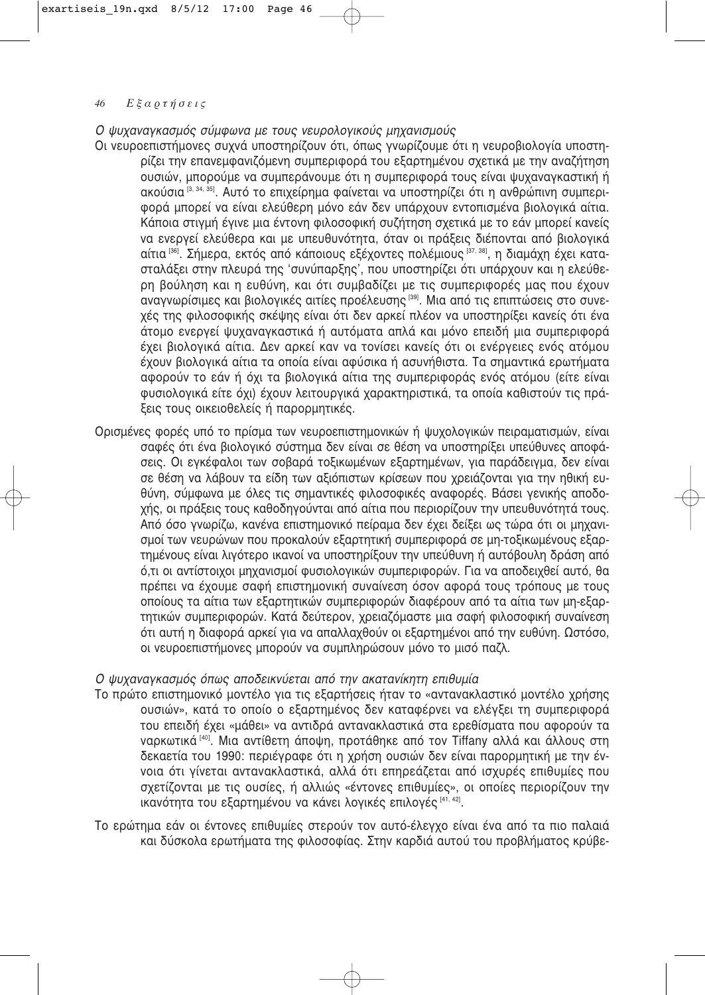Ο ψυχαναγκασμός σύμφωνα με τους νευρολογικούς μηχανισμούς

Οι νευροεπιστήμονες συχνά υποστηρίζουν ότι, όπως γνωρίζουμε ότι η νευροβιολογία υποστηρίζει την επανεμφανιζόμενη συμπεριφορά του εξαρτημένου σχετικά με την αναζήτηση ουσιών, μπορούμε να συμπεράνουμε ότι η συμπεριφορά τους είναι ψυχαναγκαστική ή ακούσια<sup>[3, 34, 35]</sup>. Αυτό το επιχείρημα φαίνεται να υποστηρίζει ότι η ανθρώπινη συμπεριφορά μπορεί να είναι ελεύθερη μόνο εάν δεν υπάρχουν εντοπισμένα βιολογικά αίτια. Κάποια στιγμή έγινε μια έντονη φιλοσοφική συζήτηση σχετικά με το εάν μπορεί κανείς να ενεργεί ελεύθερα και με υπευθυνότητα, όταν οι πράξεις διέπονται από βιολογικά αίτια <sup>[36]</sup>. Σήμερα, εκτός από κάποιους εξέχοντες πολέμιους <sup>[37, 38]</sup>, η διαμάχη έχει κατασταλάξει στην πλευρά της 'συνύπαρξης', που υποστηρίζει ότι υπάρχουν και η ελεύθερη βούληση και η ευθύνη, και ότι συμβαδίζει με τις συμπεριφορές μας που έχουν αναγνωρίσιμες και βιολογικές αιτίες προέλευσης [39]. Μια από τις επιπτώσεις στο συνεχές της φιλοσοφικής σκέψης είναι ότι δεν αρκεί πλέον να υποστηρίξει κανείς ότι ένα άτομο ενεργεί ψυχαναγκαστικά ή αυτόματα απλά και μόνο επειδή μια συμπεριφορά έχει βιολογικά αίτια. Δεν αρκεί καν να τονίσει κανείς ότι οι ενέρνειες ενός ατόμου έχουν βιολογικά αίτια τα οποία είναι αφύσικα ή ασυνήθιστα. Τα σημαντικά ερωτήματα αφορούν το εάν ή όχι τα βιολογικά αίτια της συμπεριφοράς ενός ατόμου (είτε είναι φυσιολογικά είτε όχι) έχουν λειτουργικά χαρακτηριστικά, τα οποία καθιστούν τις πράξεις τους οικειοθελείς ή παρορμητικές.

Ορισμένες φορές υπό το πρίσμα των νευροεπιστημονικών ή ψυχολογικών πειραματισμών, είναι σαφές ότι ένα βιολογικό σύστημα δεν είναι σε θέση να υποστηρίξει υπεύθυνες αποφάσεις. Οι εγκέφαλοι των σοβαρά τοξικωμένων εξαρτημένων, για παράδειγμα, δεν είναι σε θέση να λάβουν τα είδη των αξιόπιστων κρίσεων που χρειάζονται για την ηθική ευθύνη, σύμφωνα με όλες τις σημαντικές φιλοσοφικές αναφορές. Βάσει γενικής αποδοχής, οι πράξεις τους καθοδηγούνται από αίτια που περιορίζουν την υπευθυνότητά τους. Aπό όσο γνωρίζω, κανένα επιστημονικό πείραμα δεν έχει δείξει ως τώρα ότι οι μηχανισμοί των νευρώνων που προκαλούν εξαρτητική συμπεριφορά σε μη-τοξικωμένους εξαρτημένους είναι λιγότερο ικανοί να υποστηρίξουν την υπεύθυνη ή αυτόβουλη δράση από ό,τι οι αντίστοιχοι μηχανισμοί φυσιολογικών συμπεριφορών. Για να αποδειχθεί αυτό, θα πρέπει να έχουμε σαφή επιστημονική συναίνεση όσον αφορά τους τρόπους με τους οποίους τα αίτια των εξαρτητικών συμπεριφορών διαφέρουν από τα αίτια των μη-εξαρτητικών συμπεριφορών. Κατά δεύτερον, χρειαζόμαστε μια σαφή φιλοσοφική συναίνεση ότι αυτή η διαφορά αρκεί για να απαλλαχθούν οι εξαρτημένοι από την ευθύνη. Ωστόσο, οι νευροεπιστήμονες μπορούν να συμπληρώσουν μόνο το μισό παζλ.

#### Ο ψυχαναγκασμός όπως αποδεικνύεται από την ακατανίκητη επιθυμία

Το πρώτο επιστημονικό μοντέλο για τις εξαρτήσεις ήταν το «αντανακλαστικό μοντέλο χρήσης ουσιών», κατά το οποίο ο εξαρτημένος δεν καταφέρνει να ελέγξει τη συμπεριφορά του επειδή έχει «μάθει» να αντιδρά αντανακλαστικά στα ερεθίσματα που αφορούν τα Vαρκωτικά [40]. Μια αντίθετη άποψη, προτάθηκε από τον Tiffany αλλά και άλλους στη δεκαετία του 1990: περιέγραφε ότι η χρήση ουσιών δεν είναι παρορμητική με την έννοια ότι γίνεται αντανακλαστικά, αλλά ότι επηρεάζεται από ισχυρές επιθυμίες που σχετίζονται με τις ουσίες, ή αλλιώς «έντονες επιθυμίες», οι οποίες περιορίζουν την ΙΚανότητα του εξαρτημένου να κάνει λογικές επιλογές [41, 42].

Το ερώτημα εάν οι έντονες επιθυμίες στερούν τον αυτό-έλεγχο είναι ένα από τα πιο παλαιά και δύσκολα ερωτήματα της φιλοσοφίας. Στην καρδιά αυτού του προβλήματος κρύβε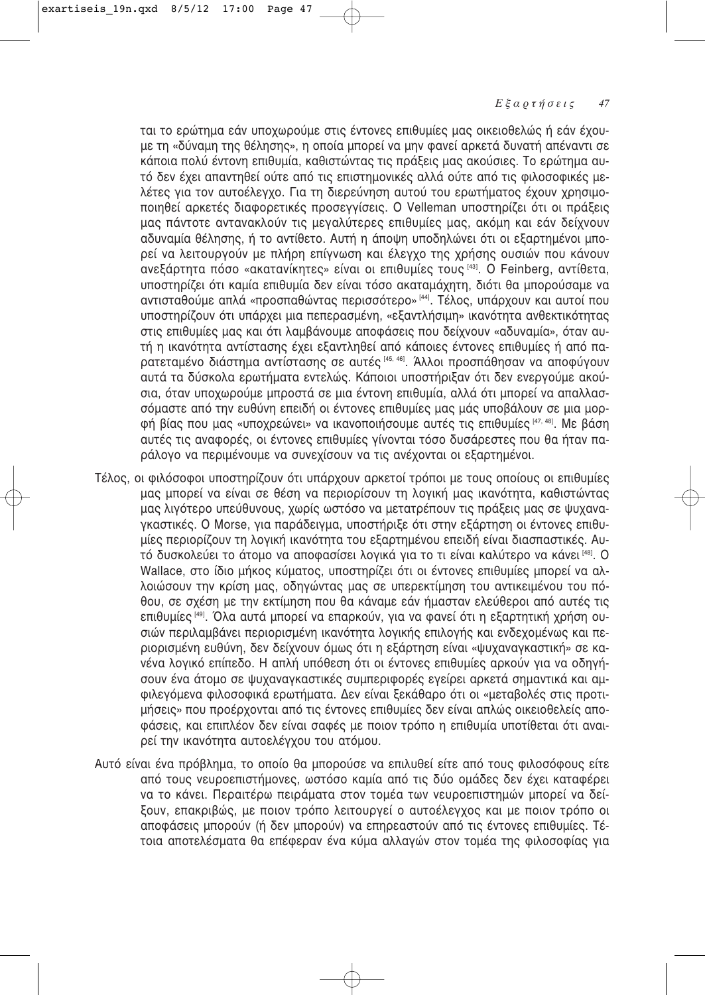ται το ερώτημα εάν υποχωρούμε στις έντονες επιθυμίες μας οικειοθελώς ή εάν έχουμε τη «δύναμη της θέλησης», η οποία μπορεί να μην φανεί αρκετά δυνατή απέναντι σε κάποια πολύ έντονη επιθυμία, καθιστώντας τις πράξεις μας ακούσιες. Το ερώτημα αυτό δεν έχει απαντηθεί ούτε από τις επιστημονικές αλλά ούτε από τις φιλοσοφικές μελέτες για τον αυτοέλεγχο. Για τη διερεύνηση αυτού του ερωτήματος έχουν χρησιμοποιηθεί αρκετές διαφορετικές προσεγγίσεις. Ο Velleman υποστηρίζει ότι οι πράξεις μας πάντοτε αντανακλούν τις μεγαλύτερες επιθυμίες μας, ακόμη και εάν δείχνουν αδυναμία θέλησης, ή το αντίθετο. Αυτή η άποψη υποδηλώνει ότι οι εξαρτημένοι μπορεί να λειτουργούν με πλήρη επίγνωση και έλεγχο της χρήσης ουσιών που κάνουν ανεξάρτητα πόσο «ακατανίκητες» είναι οι επιθυμίες τους [43]. Ο Feinberg, αντίθετα, υποστηρίζει ότι καμία επιθυμία δεν είναι τόσο ακαταμάχητη, διότι θα μπορούσαμε να αντισταθούμε απλά «προσπαθώντας περισσότερο» <sup>[44]</sup>. Τέλος, υπάρχουν και αυτοί που υποστηρίζουν ότι υπάρχει μια πεπερασμένη, «εξαντλήσιμη» ικανότητα ανθεκτικότητας στις επιθυμίες μας και ότι λαμβάνουμε αποφάσεις που δείχνουν «αδυναμία», όταν αυτή η ικανότητα αντίστασης έχει εξαντληθεί από κάποιες έντονες επιθυμίες ή από παρατεταμένο διάστημα αντίστασης σε αυτές [45, 46]. Άλλοι προσπάθησαν να αποφύγουν αυτά τα δύσκολα ερωτήματα εντελώς. Κάποιοι υποστήριξαν ότι δεν ενεργούμε ακούσια, όταν υποχωρούμε μπροστά σε μια έντονη επιθυμία, αλλά ότι μπορεί να απαλλασσόμαστε από την ευθύνη επειδή οι έντονες επιθυμίες μας μάς υποβάλουν σε μια μορ-Φή βίας που μας «υποχρεώνει» να ικανοποιήσουμε αυτές τις επιθυμίες [47, 48]. Με βάση αυτές τις αναφορές, οι έντονες επιθυμίες γίνονται τόσο δυσάρεστες που θα ήταν παράλογο να περιμένουμε να συνεχίσουν να τις ανέχονται οι εξαρτημένοι.

exartiseis 19n.qxd 8/5/12

- Τέλος, οι φιλόσοφοι υποστηρίζουν ότι υπάρχουν αρκετοί τρόποι με τους οποίους οι επιθυμίες μας μπορεί να είναι σε θέση να περιορίσουν τη λογική μας ικανότητα, καθιστώντας μας λιγότερο υπεύθυνους, χωρίς ωστόσο να μετατρέπουν τις πράξεις μας σε ψυχαναγκαστικές. Ο Morse, για παράδειγμα, υποστήριξε ότι στην εξάρτηση οι έντονες επιθυμίες περιορίζουν τη λογική ικανότητα του εξαρτημένου επειδή είναι διασπαστικές. Αυτό δυσκολεύει το άτομο να αποφασίσει λογικά για το τι είναι καλύτερο να κάνει [48]. Ο Wallace, στο ίδιο μήκος κύματος, υποστηρίζει ότι οι έντονες επιθυμίες μπορεί να αλλοιώσουν την κρίση μας, οδηγώντας μας σε υπερεκτίμηση του αντικειμένου του πόθου, σε σχέση με την εκτίμηση που θα κάναμε εάν ήμασταν ελεύθεροι από αυτές τις επιθυμίες [49]. Όλα αυτά μπορεί να επαρκούν, για να φανεί ότι η εξαρτητική χρήση ουσιών περιλαμβάνει περιορισμένη ικανότητα λογικής επιλογής και ενδεχομένως και περιορισμένη ευθύνη, δεν δείχνουν όμως ότι η εξάρτηση είναι «ψυχαναγκαστική» σε κανένα λογικό επίπεδο. Η απλή υπόθεση ότι οι έντονες επιθυμίες αρκούν για να οδηγήσουν ένα άτομο σε ψυχαναγκαστικές συμπεριφορές εγείρει αρκετά σημαντικά και αμφιλεγόμενα φιλοσοφικά ερωτήματα. Δεν είναι ξεκάθαρο ότι οι «μεταβολές στις προτιμήσεις» που προέρχονται από τις έντονες επιθυμίες δεν είναι απλώς οικειοθελείς αποφάσεις, και επιπλέον δεν είναι σαφές με ποιον τρόπο η επιθυμία υποτίθεται ότι αναιρεί την ικανότητα αυτοελέγχου του ατόμου.
- Aυτό είναι ένα πρόβλημα, το οποίο θα μπορούσε να επιλυθεί είτε από τους φιλοσόφους είτε από τους νευροεπιστήμονες, ωστόσο καμία από τις δύο ομάδες δεν έχει καταφέρει να το κάνει. Περαιτέρω πειράματα στον τομέα των νευροεπιστημών μπορεί να δείξουν, επακριβώς, με ποιον τρόπο λειτουργεί ο αυτοέλεγχος και με ποιον τρόπο οι αποφάσεις μπορούν (ή δεν μπορούν) να επηρεαστούν από τις έντονες επιθυμίες. Τέτοια αποτελέσματα θα επέφεραν ένα κύμα αλλαγών στον τομέα της φιλοσοφίας για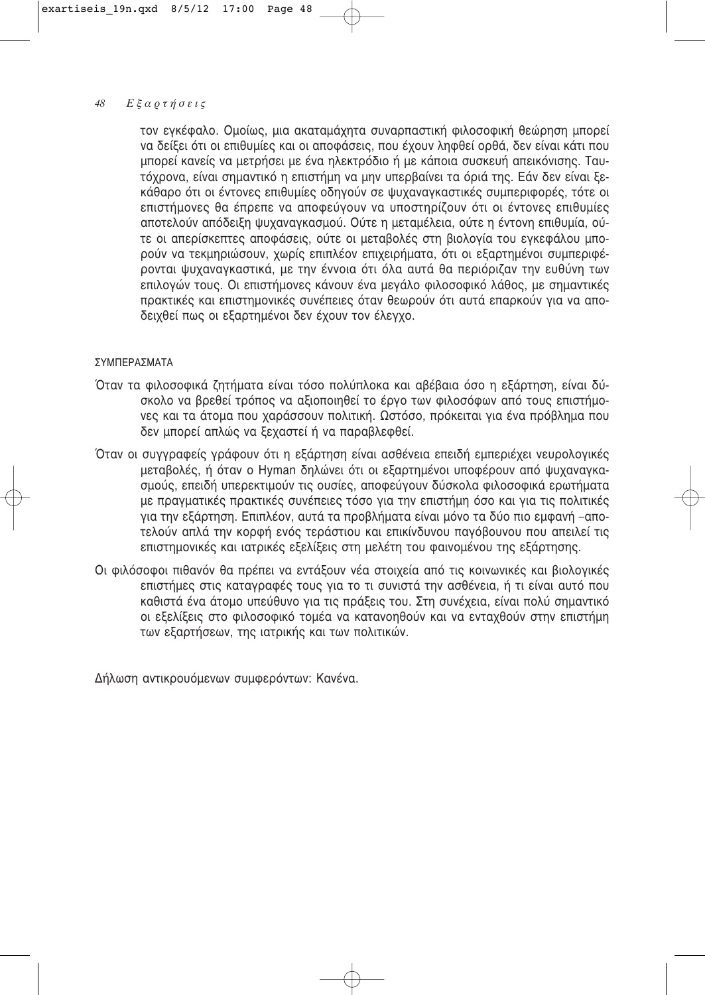τον εγκέφαλο. Ομοίως, μια ακαταμάχητα συναρπαστική φιλοσοφική θεώρηση μπορεί να δείξει ότι οι επιθυμίες και οι αποφάσεις, που έχουν ληφθεί ορθά, δεν είναι κάτι που μπορεί κανείς να μετρήσει με ένα ηλεκτρόδιο ή με κάποια συσκευή απεικόνισης. Ταυτόχρονα, είναι σημαντικό η επιστήμη να μην υπερβαίνει τα όριά της. Εάν δεν είναι ξεκάθαρο ότι οι έντονες επιθυμίες οδηγούν σε ψυχαναγκαστικές συμπεριφορές, τότε οι επιστήμονες θα έπρεπε να αποφεύγουν να υποστηρίζουν ότι οι έντονες επιθυμίες αποτελούν απόδειξη ψυχαναγκασμού. Ούτε η μεταμέλεια, ούτε η έντονη επιθυμία, ούτε οι απερίσκεπτες αποφάσεις, ούτε οι μεταβολές στη βιολογία του εγκεφάλου μπορούν να τεκμηριώσουν, χωρίς επιπλέον επιχειρήματα, ότι οι εξαρτημένοι συμπεριφέρονται ψυχαναγκαστικά, με την έννοια ότι όλα αυτά θα περιόριζαν την ευθύνη των επιλογών τους. Οι επιστήμονες κάνουν ένα μεγάλο φιλοσοφικό λάθος, με σημαντικές πρακτικές και επιστημονικές συνέπειες όταν θεωρούν ότι αυτά επαρκούν για να αποδειχθεί πως οι εξαρτημένοι δεν έχουν τον έλεγχο.

#### **ΣΥΜΠΕΡΑΣΜΑΤΑ**

- Όταν τα φιλοσοφικά ζητήματα είναι τόσο πολύπλοκα και αβέβαια όσο η εξάρτηση, είναι δύσκολο να βρεθεί τρόπος να αξιοποιηθεί το έργο των φιλοσόφων από τους επιστήμονες και τα άτομα που χαράσσουν πολιτική. Ωστόσο, πρόκειται για ένα πρόβλημα που δεν μπορεί απλώς να ξεχαστεί ή να παραβλεφθεί.
- Όταν οι συννραφείς νράφουν ότι η εξάρτηση είναι ασθένεια επειδή εμπεριέχει νευρολονικές μεταβολές, ή όταν ο Hyman δηλώνει ότι οι εξαρτημένοι υποφέρουν από ψυχαναγκασμούς, επειδή υπερεκτιμούν τις ουσίες, αποφεύγουν δύσκολα φιλοσοφικά ερωτήματα με πραγματικές πρακτικές συνέπειες τόσο για την επιστήμη όσο και για τις πολιτικές για την εξάρτηση. Επιπλέον, αυτά τα προβλήματα είναι μόνο τα δύο πιο εμφανή –αποτελούν απλά την κορφή ενός τεράστιου και επικίνδυνου παγόβουνου που απειλεί τις επιστημονικές και ιατρικές εξελίξεις στη μελέτη του φαινομένου της εξάρτησης.
- Οι φιλόσοφοι πιθανόν θα πρέπει να εντάξουν νέα στοιχεία από τις κοινωνικές και βιολογικές επιστήμες στις καταγραφές τους για το τι συνιστά την ασθένεια, ή τι είναι αυτό που καθιστά ένα άτομο υπεύθυνο για τις πράξεις του. Στη συνέχεια, είναι πολύ σημαντικό οι εξελίξεις στο φιλοσοφικό τομέα να κατανοηθούν και να ενταχθούν στην επιστήμη των εξαρτήσεων, της ιατρικής και των πολιτικών.

Δήλωση αντικρουόμενων συμφερόντων: Κανένα.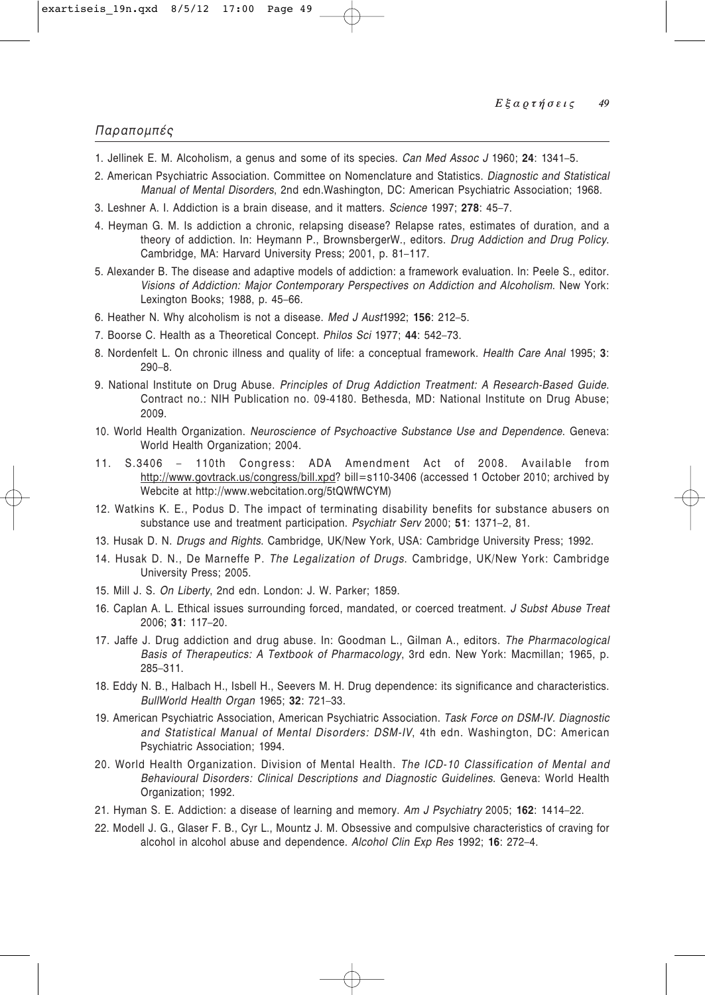#### Παραπομπές

1. Jellinek E. M. Alcoholism, a genus and some of its species. Can Med Assoc J 1960; 24: 1341-5.

- 2. American Psychiatric Association. Committee on Nomenclature and Statistics. Diagnostic and Statistical Manual of Mental Disorders, 2nd edn. Washington, DC: American Psychiatric Association; 1968.
- 3. Leshner A. I. Addiction is a brain disease, and it matters. Science 1997; 278: 45-7.
- 4. Heyman G. M. Is addiction a chronic, relapsing disease? Relapse rates, estimates of duration, and a theory of addiction. In: Heymann P., BrownsbergerW., editors. Drug Addiction and Drug Policy. Cambridge, MA: Harvard University Press; 2001, p. 81-117.
- 5. Alexander B. The disease and adaptive models of addiction: a framework evaluation. In: Peele S., editor. Visions of Addiction: Major Contemporary Perspectives on Addiction and Alcoholism. New York: Lexington Books; 1988, p. 45-66.
- 6. Heather N. Why alcoholism is not a disease. Med J Aust1992; 156: 212-5.
- 7. Boorse C. Health as a Theoretical Concept. Philos Sci 1977; 44: 542-73.
- 8. Nordenfelt L. On chronic illness and quality of life: a conceptual framework. Health Care Anal 1995; 3:  $290 - 8.$
- 9. National Institute on Drug Abuse, Principles of Drug Addiction Treatment: A Research-Based Guide. Contract no.: NIH Publication no. 09-4180. Bethesda, MD: National Institute on Drug Abuse; 2009.
- 10. World Health Organization. Neuroscience of Psychoactive Substance Use and Dependence. Geneva: World Health Organization; 2004.
- 110th Congress: ADA Amendment Act of 2008. Available from 11. S.3406 http://www.govtrack.us/congress/bill.xpd? bill=s110-3406 (accessed 1 October 2010; archived by Webcite at http://www.webcitation.org/5tQWfWCYM)
- 12. Watkins K. E., Podus D. The impact of terminating disability benefits for substance abusers on substance use and treatment participation. Psychiatr Serv 2000; 51: 1371-2, 81.
- 13. Husak D. N. Drugs and Rights. Cambridge, UK/New York, USA: Cambridge University Press; 1992.
- 14. Husak D. N., De Marneffe P. The Legalization of Drugs. Cambridge, UK/New York: Cambridge University Press; 2005.
- 15. Mill J. S. On Liberty, 2nd edn. London: J. W. Parker; 1859.
- 16. Caplan A. L. Ethical issues surrounding forced, mandated, or coerced treatment. J Subst Abuse Treat 2006; 31: 117-20.
- 17. Jaffe J. Drug addiction and drug abuse. In: Goodman L., Gilman A., editors. The Pharmacological Basis of Therapeutics: A Textbook of Pharmacology, 3rd edn. New York: Macmillan; 1965, p. 285-311.
- 18. Eddy N. B., Halbach H., Isbell H., Seevers M. H. Drug dependence: its significance and characteristics. BullWorld Health Organ 1965; 32: 721-33.
- 19. American Psychiatric Association, American Psychiatric Association. Task Force on DSM-IV. Diagnostic and Statistical Manual of Mental Disorders: DSM-IV, 4th edn. Washington, DC: American Psychiatric Association; 1994.
- 20. World Health Organization. Division of Mental Health. The ICD-10 Classification of Mental and Behavioural Disorders: Clinical Descriptions and Diagnostic Guidelines. Geneva: World Health Organization; 1992.
- 21. Hyman S. E. Addiction: a disease of learning and memory. Am J Psychiatry 2005; 162: 1414-22.
- 22. Modell J. G., Glaser F. B., Cyr L., Mountz J. M. Obsessive and compulsive characteristics of craving for alcohol in alcohol abuse and dependence. Alcohol Clin Exp Res 1992; 16: 272-4.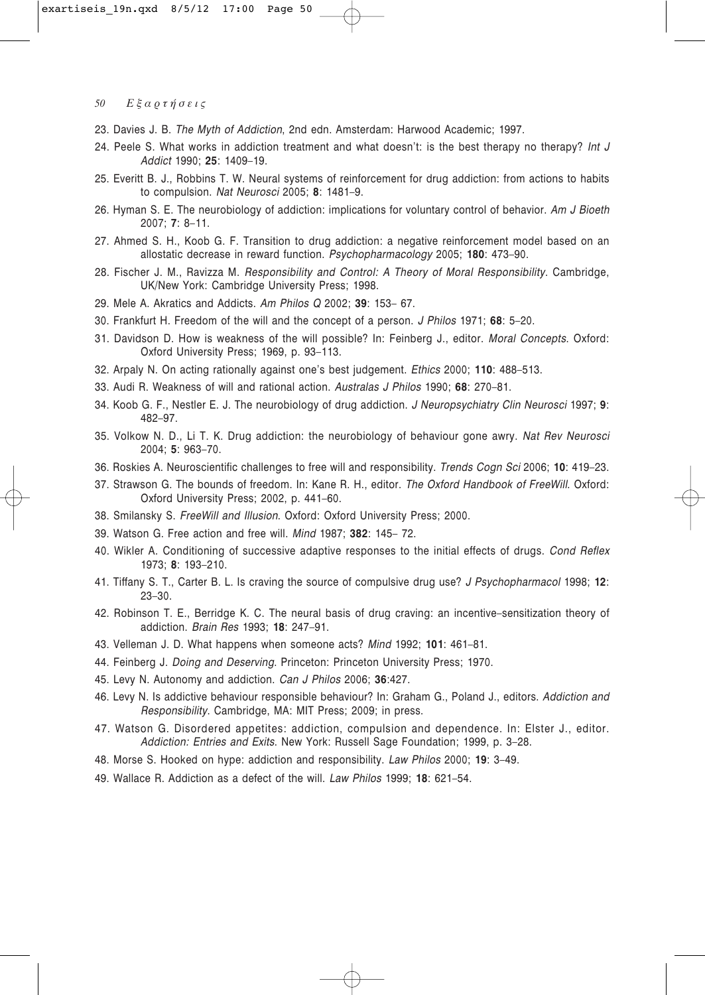- 23. Davies J. B. *The Myth of Addiction*, 2nd edn. Amsterdam: Harwood Academic; 1997.
- 24. Peele S. What works in addiction treatment and what doesn't: is the best therapy no therapy? *Int J Addict* 1990; **25**: 1409–19.
- 25. Everitt B. J., Robbins T. W. Neural systems of reinforcement for drug addiction: from actions to habits to compulsion. *Nat Neurosci* 2005; **8**: 1481–9.
- 26. Hyman S. E. The neurobiology of addiction: implications for voluntary control of behavior. *Am J Bioeth* 2007; **7**: 8–11.
- 27. Ahmed S. H., Koob G. F. Transition to drug addiction: a negative reinforcement model based on an allostatic decrease in reward function. *Psychopharmacology* 2005; **180**: 473–90.
- 28. Fischer J. M., Ravizza M. *Responsibility and Control: A Theory of Moral Responsibility*. Cambridge, UK/New York: Cambridge University Press; 1998.
- 29. Mele A. Akratics and Addicts. *Am Philos Q* 2002; **39**: 153– 67.
- 30. Frankfurt H. Freedom of the will and the concept of a person. *J Philos* 1971; **68**: 5–20.
- 31. Davidson D. How is weakness of the will possible? In: Feinberg J., editor. *Moral Concepts*. Oxford: Oxford University Press; 1969, p. 93–113.
- 32. Arpaly N. On acting rationally against one's best judgement. *Ethics* 2000; **110**: 488–513.
- 33. Audi R. Weakness of will and rational action. *Australas J Philos* 1990; **68**: 270–81.
- 34. Koob G. F., Nestler E. J. The neurobiology of drug addiction. *J Neuropsychiatry Clin Neurosci* 1997; **9**: 482–97.
- 35. Volkow N. D., Li T. K. Drug addiction: the neurobiology of behaviour gone awry. *Nat Rev Neurosci* 2004; **5**: 963–70.
- 36. Roskies A. Neuroscientific challenges to free will and responsibility. *Trends Cogn Sci* 2006; **10**: 419–23.
- 37. Strawson G. The bounds of freedom. In: Kane R. H., editor. *The Oxford Handbook of FreeWill*. Oxford: Oxford University Press; 2002, p. 441–60.
- 38. Smilansky S. *FreeWill and Illusion*. Oxford: Oxford University Press; 2000.
- 39. Watson G. Free action and free will. *Mind* 1987; **382**: 145– 72.
- 40. Wikler A. Conditioning of successive adaptive responses to the initial effects of drugs. *Cond Reflex* 1973; **8**: 193–210.
- 41. Tiffany S. T., Carter B. L. Is craving the source of compulsive drug use? *J Psychopharmacol* 1998; **12**: 23–30.
- 42. Robinson T. E., Berridge K. C. The neural basis of drug craving: an incentive–sensitization theory of addiction. *Brain Res* 1993; **18**: 247–91.
- 43. Velleman J. D. What happens when someone acts? *Mind* 1992; **101**: 461–81.
- 44. Feinberg J. *Doing and Deserving*. Princeton: Princeton University Press; 1970.
- 45. Levy N. Autonomy and addiction. *Can J Philos* 2006; **36**:427.
- 46. Levy N. Is addictive behaviour responsible behaviour? In: Graham G., Poland J., editors. *Addiction and Responsibility*. Cambridge, MA: MIT Press; 2009; in press.
- 47. Watson G. Disordered appetites: addiction, compulsion and dependence. In: Elster J., editor. *Addiction: Entries and Exits*. New York: Russell Sage Foundation; 1999, p. 3–28.
- 48. Morse S. Hooked on hype: addiction and responsibility. *Law Philos* 2000; **19**: 3–49.
- 49. Wallace R. Addiction as a defect of the will. *Law Philos* 1999; **18**: 621–54.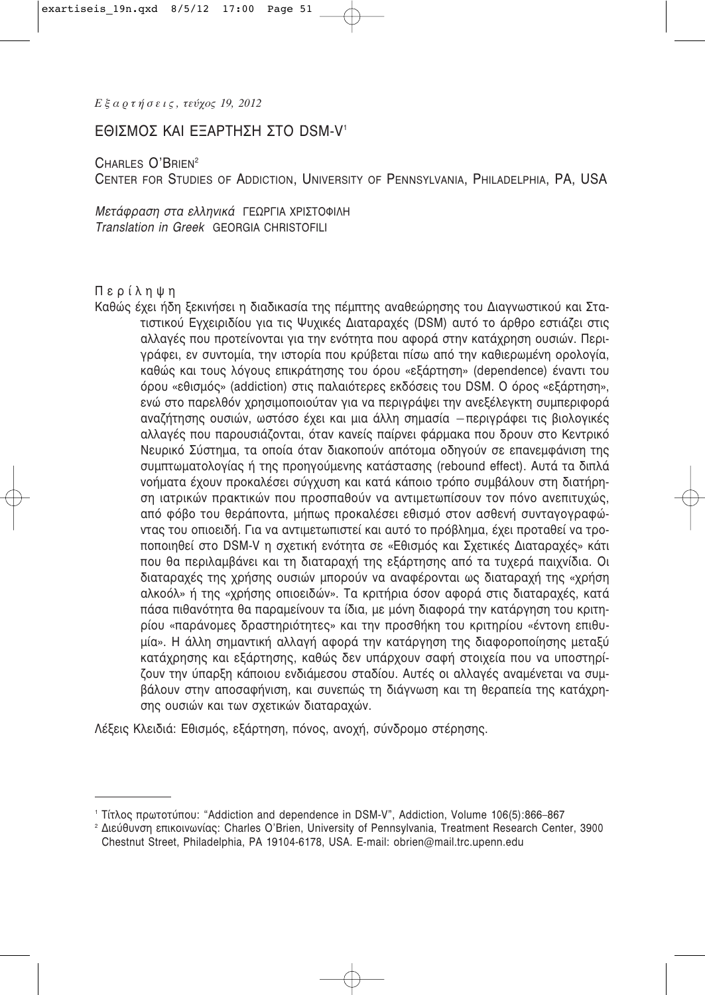*Ε ξ α ρ τ ή σ ε ι ς , τεύχος 19, 2012*

### ΕΘΙΣΜΟΣ ΚΑΙ ΕΞΑΡΤΗΣΗ ΣΤΟ DSM-V<sup>1</sup>

#### CHARLES O'BRIEN<sup>2</sup>

CENTER FOR STUDIES OF ADDICTION, UNIVERSITY OF PENNSYLVANIA, PHILADELPHIA, PA, USA

*Μετάφραση στα ελληνικά* ΓΕΩΡΓΙΑ ΧΡΙΣΤΟΦΙΛΗ *Translation in Greek* GEORGIA CHRISTOFILI

Περίληψη

Καθώς έχει ήδη ξεκινήσει η διαδικασία της πέμπτης αναθεώρησης του Διαγνωστικού και Στατιστικού Εγχειριδίου για τις Ψυχικές Διαταραχές (DSM) αυτό το άρθρο εστιάζει στις αλλαγές που προτείνονται για την ενότητα που αφορά στην κατάχρηση ουσιών. Περιγράφει, εν συντομία, την ιστορία που κρύβεται πίσω από την καθιερωμένη ορολογία, καθώς και τους λόγους επικράτησης του όρου «εξάρτηση» (dependence) έναντι του όρου «εθισμός» (addiction) στις παλαιότερες εκδόσεις του DSM. Ο όρος «εξάρτηση», ενώ στο παρελθόν χρησιμοποιούταν για να περιγράψει την ανεξέλεγκτη συμπεριφορά αναζήτησης ουσιών, ωστόσο έχει και μια άλλη σημασία –περιγράφει τις βιολογικές αλλαγές που παρουσιάζονται, όταν κανείς παίρνει φάρμακα που δρουν στο Κεντρικό Νευρικό Σύστημα, τα οποία όταν διακοπούν απότομα οδηνούν σε επανεμφάνιση της συμπτωματολογίας ή της προηγούμενης κατάστασης (rebound effect). Αυτά τα διπλά νοήματα έχουν προκαλέσει σύγχυση και κατά κάποιο τρόπο συμβάλουν στη διατήρηση ιατρικών πρακτικών που προσπαθούν να αντιμετωπίσουν τον πόνο ανεπιτυχώς, από φόβο του θεράποντα, μήπως προκαλέσει εθισμό στον ασθενή συνταγογραφώντας του οπιοειδή. Για να αντιμετωπιστεί και αυτό το πρόβλημα, έχει προταθεί να τροποποιηθεί στο DSM-V η σχετική ενότητα σε «Εθισμός και Σχετικές Διαταραχές» κάτι που θα περιλαμβάνει και τη διαταραχή της εξάρτησης από τα τυχερά παιχνίδια. Οι διαταραχές της χρήσης ουσιών μπορούν να αναφέρονται ως διαταραχή της «χρήση αλκοόλ» ή της «χρήσης οπιοειδών». Τα κριτήρια όσον αφορά στις διαταραχές, κατά πάσα πιθανότητα θα παραμείνουν τα ίδια, με μόνη διαφορά την κατάργηση του κριτηρίου «παράνομες δραστηριότητες» και την προσθήκη του κριτηρίου «έντονη επιθυμία». Η άλλη σημαντική αλλαγή αφορά την κατάργηση της διαφοροποίησης μεταξύ κατάχρησης και εξάρτησης, καθώς δεν υπάρχουν σαφή στοιχεία που να υποστηρίζουν την ύπαρξη κάποιου ενδιάμεσου σταδίου. Αυτές οι αλλαγές αναμένεται να συμβάλουν στην αποσαφήνιση, και συνεπώς τη διάγνωση και τη θεραπεία της κατάχρησης ουσιών και των σχετικών διαταραχών.

Λέξεις Κλειδιά: Εθισμός, εξάρτηση, πόνος, ανοχή, σύνδρομο στέρησης.

<sup>&</sup>lt;sup>1</sup> Τίτλος πρωτοτύπου: "Addiction and dependence in DSM-V", Addiction, Volume 106(5):866-867

<sup>&</sup>lt;sup>2</sup> Διεύθυνση επικοινωνίας: Charles O'Brien, University of Pennsylvania, Treatment Research Center, 3900 Chestnut Street, Philadelphia, PA 19104-6178, USA. E-mail: obrien@mail.trc.upenn.edu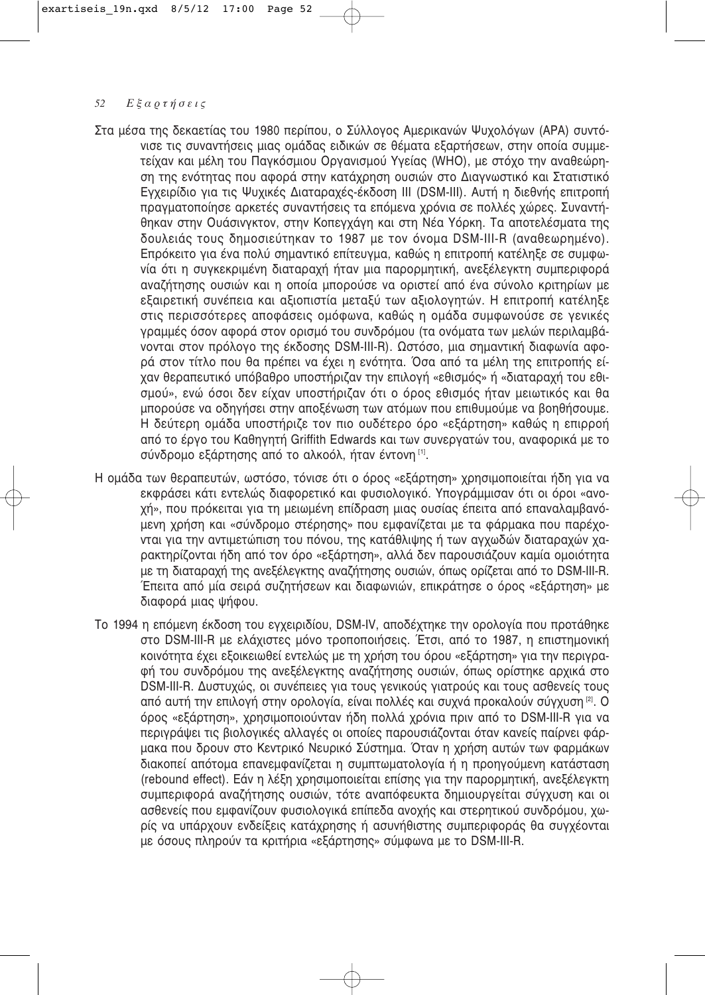- Στα μέσα της δεκαετίας του 1980 περίπου, ο Σύλλογος Αμερικανών Ψυχολόγων (APA) συντό-VΙσε τις συναντήσεις μιας ομάδας ειδικών σε θέματα εξαρτήσεων, στην οποία συμμετείχαν και μέλη του Παγκόσμιου Οργανισμού Υγείας (WHO), με στόχο την αναθεώρηση της ενότητας που αφορά στην κατάχρηση ουσιών στο Διαγνωστικό και Στατιστικό Εγχειρίδιο για τις Ψυχικές Διαταραχές-έκδοση ΙΙΙ (DSM-ΙΙΙ). Αυτή η διεθνής επιτροπή πραγματοποίησε αρκετές συναντήσεις τα επόμενα χρόνια σε πολλές χώρες. Συναντήθηκαν στην Ουάσινγκτον, στην Κοπεγχάγη και στη Νέα Υόρκη. Τα αποτελέσματα της δουλειάς τους δημοσιεύτηκαν το 1987 με τον όνομα DSM-III-R (αναθεωρημένο). Επρόκειτο για ένα πολύ σημαντικό επίτευγμα, καθώς η επιτροπή κατέληξε σε συμφωνία ότι η συγκεκριμένη διαταραχή ήταν μια παρορμητική, ανεξέλεγκτη συμπεριφορά αναζήτησης ουσιών και η οποία μπορούσε να οριστεί από ένα σύνολο κριτηρίων με εξαιρετική συνέπεια και αξιοπιστία μεταξύ των αξιολογητών. Η επιτροπή κατέληξε στις περισσότερες αποφάσεις ομόφωνα, καθώς η ομάδα συμφωνούσε σε γενικές γραμμές όσον αφορά στον ορισμό του συνδρόμου (τα ονόματα των μελών περιλαμβάνονται στον πρόλογο της έκδοσης DSM-III-R). Ωστόσο, μια σημαντική διαφωνία αφορά στον τίτλο που θα πρέπει να έχει η ενότητα. Όσα από τα μέλη της επιτροπής είχαν θεραπευτικό υπόβαθρο υποστήριζαν την επιλογή «εθισμός» ή «διαταραχή του εθισμού», ενώ όσοι δεν είχαν υποστήριζαν ότι ο όρος εθισμός ήταν μειωτικός και θα μπορούσε να οδηγήσει στην αποξένωση των ατόμων που επιθυμούμε να βοηθήσουμε. Η δεύτερη ομάδα υποστήριζε τον πιο ουδέτερο όρο «εξάρτηση» καθώς η επιρροή από το έργο του Καθηγητή Griffith Edwards και των συνεργατών του, αναφορικά με το σύνδρομο εξάρτησης από το αλκοόλ, ήταν έντονη <sup>[1]</sup>.
- Η ομάδα των θεραπευτών, ωστόσο, τόνισε ότι ο όρος «εξάρτηση» χρησιμοποιείται ήδη για να εκφράσει κάτι εντελώς διαφορετικό και φυσιολογικό. Υπογράμμισαν ότι οι όροι «ανοχή», που πρόκειται για τη μειωμένη επίδραση μιας ουσίας έπειτα από επαναλαμβανόμενη χρήση και «σύνδρομο στέρησης» που εμφανίζεται με τα φάρμακα που παρέχο-Vται για την αντιμετώπιση του πόνου, της κατάθλιψης ή των αγχωδών διαταραχών χαρακτηρίζονται ήδη από τον όρο «εξάρτηση», αλλά δεν παρουσιάζουν καμία ομοιότητα με τη διαταραχή της ανεξέλεγκτης αναζήτησης ουσιών, όπως ορίζεται από το DSM-III-R. Έπειτα από μία σειρά συζητήσεων και διαφωνιών, επικράτησε ο όρος «εξάρτηση» με διαφορά μιας ψήφου.
- Το 1994 η επόμενη έκδοση του εγχειριδίου, DSM-IV, αποδέχτηκε την ορολογία που προτάθηκε στο DSM-III-R με ελάχιστες μόνο τροποποιήσεις. Έτσι, από το 1987, η επιστημονική κοινότητα έχει εξοικειωθεί εντελώς με τη χρήση του όρου «εξάρτηση» για την περιγραφή του συνδρόμου της ανεξέλεγκτης αναζήτησης ουσιών, όπως ορίστηκε αρχικά στο DSM-III-R. Δυστυχώς, οι συνέπειες για τους γενικούς γιατρούς και τους ασθενείς τους από αυτή την επιλογή στην ορολογία, είναι πολλές και συχνά προκαλούν σύγχυση<sup>[2]</sup>. Ο όρος «εξάρτηση», χρησιμοποιούνταν ήδη πολλά χρόνια πριν από το DSM-III-R για να περιγράψει τις βιολογικές αλλαγές οι οποίες παρουσιάζονται όταν κανείς παίρνει φάρμακα που δρουν στο Κεντρικό Νευρικό Σύστημα. Όταν η χρήση αυτών των φαρμάκων διακοπεί απότομα επανεμφανίζεται η συμπτωματολογία ή η προηγούμενη κατάσταση (rebound effect). Εάν η λέξη χρησιμοποιείται επίσης για την παρορμητική, ανεξέλεγκτη συμπεριφορά αναζήτησης ουσιών, τότε αναπόφευκτα δημιουργείται σύγχυση και οι ασθενείς που εμφανίζουν φυσιολογικά επίπεδα ανοχής και στερητικού συνδρόμου, χωρίς να υπάρχουν ενδείξεις κατάχρησης ή ασυνήθιστης συμπεριφοράς θα συγχέονται με όσους πληρούν τα κριτήρια «εξάρτησης» σύμφωνα με το DSM-III-R.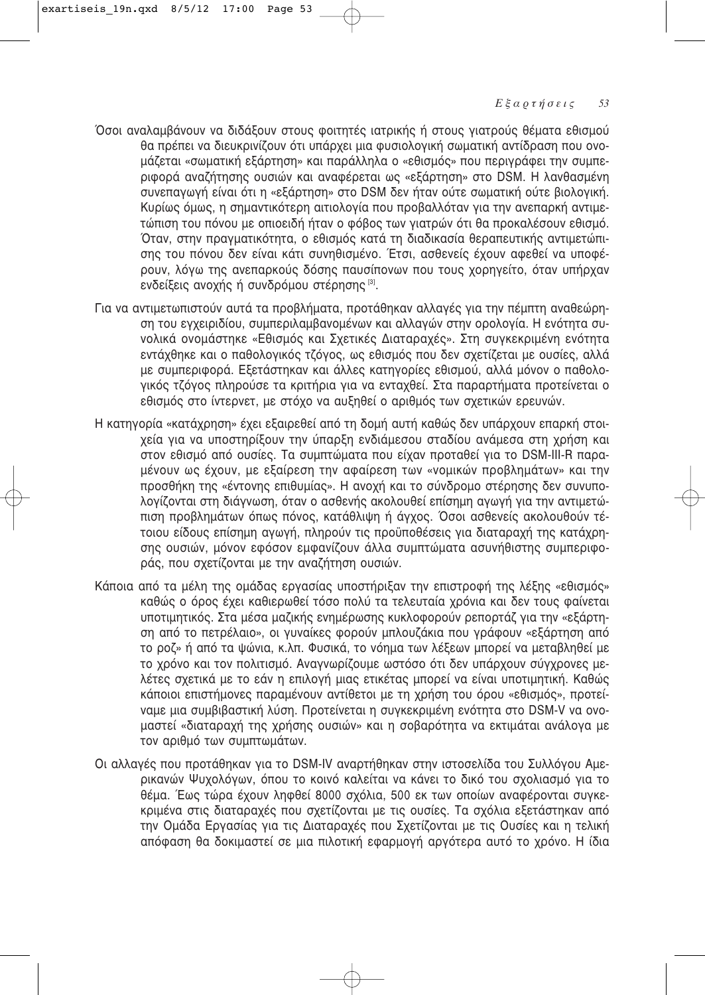Όσοι αναλαμβάνουν να διδάξουν στους φοιτητές ιατρικής ή στους γιατρούς θέματα εθισμού θα πρέπει να διευκρινίζουν ότι υπάρχει μια φυσιολογική σωματική αντίδραση που ονομάζεται «σωματική εξάρτηση» και παράλληλα ο «εθισμός» που περιγράφει την συμπεριφορά αναζήτησης ουσιών και αναφέρεται ως «εξάρτηση» στο DSM. Η λανθασμένη συνεπαγωγή είναι ότι η «εξάρτηση» στο DSM δεν ήταν ούτε σωματική ούτε βιολογική. Κυρίως όμως, η σημαντικότερη αιτιολογία που προβαλλόταν για την ανεπαρκή αντιμετώπιση του πόνου με οπιοειδή ήταν ο φόβος των γιατρών ότι θα προκαλέσουν εθισμό. Όταν, στην πραγματικότητα, ο εθισμός κατά τη διαδικασία θεραπευτικής αντιμετώπισης του πόνου δεν είναι κάτι συνηθισμένο. Έτσι, ασθενείς έχουν αφεθεί να υποφέρουν, λόγω της ανεπαρκούς δόσης παυσίπονων που τους χορηγείτο, όταν υπήρχαν ενδείξεις ανοχής ή συνδρόμου στέρησης [3].

exartiseis\_19n.qxd 8/5/12 17:00 Page 53

- Για να αντιμετωπιστούν αυτά τα προβλήματα, προτάθηκαν αλλαγές για την πέμπτη αναθεώρηση του εγχειριδίου, συμπεριλαμβανομένων και αλλαγών στην ορολογία. Η ενότητα συνολικά ονομάστηκε «Εθισμός και Σχετικές Διαταραχές». Στη συγκεκριμένη ενότητα εντάχθηκε και ο παθολογικός τζόγος, ως εθισμός που δεν σχετίζεται με ουσίες, αλλά με συμπεριφορά. Εξετάστηκαν και άλλες κατηγορίες εθισμού, αλλά μόνον ο παθολογικός τζόγος πληρούσε τα κριτήρια για να ενταχθεί. Στα παραρτήματα προτείνεται ο εθισμός στο ίντερνετ, με στόχο να αυξηθεί ο αριθμός των σχετικών ερευνών.
- Η κατηγορία «κατάχρηση» έχει εξαιρεθεί από τη δομή αυτή καθώς δεν υπάρχουν επαρκή στοιχεία για να υποστηρίξουν την ύπαρξη ενδιάμεσου σταδίου ανάμεσα στη χρήση και στον εθισμό από ουσίες. Τα συμπτώματα που είχαν προταθεί για το DSM-III-R παραμένουν ως έχουν, με εξαίρεση την αφαίρεση των «νομικών προβλημάτων» και την προσθήκη της «έντονης επιθυμίας». Η ανοχή και το σύνδρομο στέρησης δεν συνυπολογίζονται στη διάγνωση, όταν ο ασθενής ακολουθεί επίσημη αγωγή για την αντιμετώπιση προβλημάτων όπως πόνος, κατάθλιψη ή άγχος. Όσοι ασθενείς ακολουθούν τέτοιου είδους επίσημη αγωγή, πληρούν τις προϋποθέσεις για διαταραχή της κατάχρησης ουσιών, μόνον εφόσον εμφανίζουν άλλα συμπτώματα ασυνήθιστης συμπεριφοράς, που σχετίζονται με την αναζήτηση ουσιών.
- Κάποια από τα μέλη της ομάδας εργασίας υποστήριξαν την επιστροφή της λέξης «εθισμός» καθώς ο όρος έχει καθιερωθεί τόσο πολύ τα τελευταία χρόνια και δεν τους φαίνεται υποτιμητικός. Στα μέσα μαζικής ενημέρωσης κυκλοφορούν ρεπορτάζ για την «εξάρτηση από το πετρέλαιο», οι γυναίκες φορούν μπλουζάκια που γράφουν «εξάρτηση από το ροζ» ή από τα ψώνια, κ.λπ. Φυσικά, το νόημα των λέξεων μπορεί να μεταβληθεί με το χρόνο και τον πολιτισμό. Αναγνωρίζουμε ωστόσο ότι δεν υπάρχουν σύγχρονες μελέτες σχετικά με το εάν η επιλογή μιας ετικέτας μπορεί να είναι υποτιμητική. Καθώς κάποιοι επιστήμονες παραμένουν αντίθετοι με τη χρήση του όρου «εθισμός», προτείvαμε μια συμβιβαστική λύση. Προτείνεται η συγκεκριμένη ενότητα στο DSM-V να ονομαστεί «διαταραχή της χρήσης ουσιών» και η σοβαρότητα να εκτιμάται ανάλογα με τον αριθμό των συμπτωμάτων.
- Οι αλλαγές που προτάθηκαν για το DSM-IV αναρτήθηκαν στην ιστοσελίδα του Συλλόγου Αμερικανών Ψυχολόγων, όπου το κοινό καλείται να κάνει το δικό του σχολιασμό για το θέμα. Έως τώρα έχουν ληφθεί 8000 σχόλια, 500 εκ των οποίων αναφέρονται συγκεκριμένα στις διαταραχές που σχετίζονται με τις ουσίες. Τα σχόλια εξετάστηκαν από την Ομάδα Εργασίας για τις Διαταραχές που Σχετίζονται με τις Ουσίες και η τελική απόφαση θα δοκιμαστεί σε μια πιλοτική εφαρμογή αργότερα αυτό το χρόνο. Η ίδια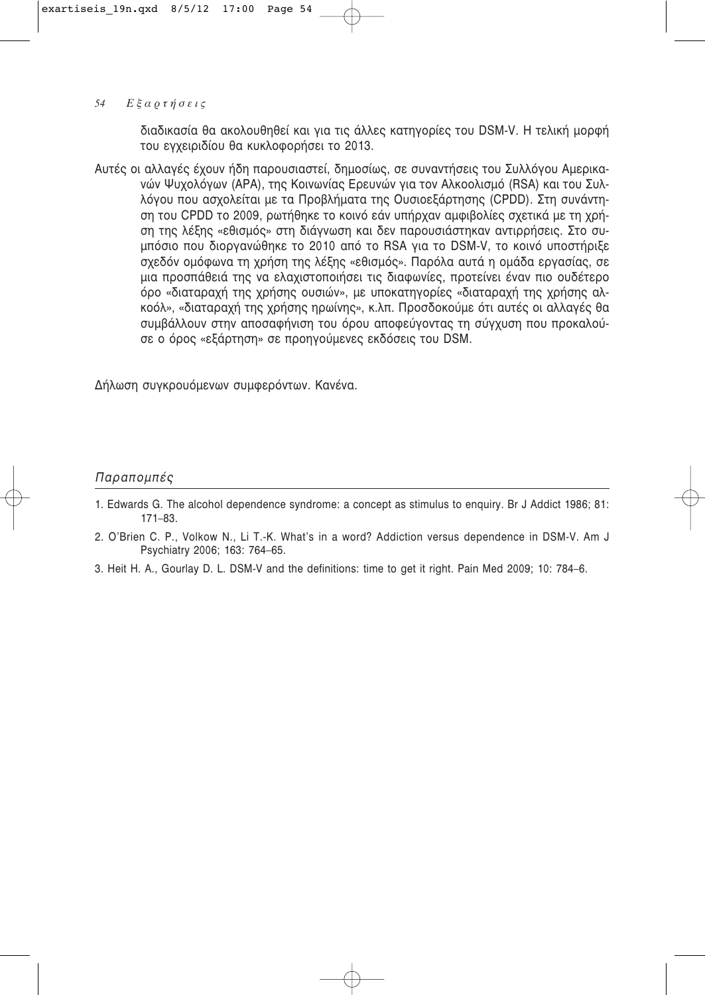διαδικασία θα ακολουθηθεί και για τις άλλες κατηγορίες του DSM-V. Η τελική μορφή του εγχειριδίου θα κυκλοφορήσει το 2013.

Αυτές οι αλλαγές έχουν ήδη παρουσιαστεί, δημοσίως, σε συναντήσεις του Συλλόγου Αμερικανών Ψυχολόγων (APA), της Κοινωνίας Ερευνών για τον Αλκοολισμό (RSA) και του Συλλόγου που ασχολείται με τα Προβλήματα της Ουσιοεξάρτησης (CPDD). Στη συνάντηση του CPDD το 2009, ρωτήθηκε το κοινό εάν υπήρχαν αμφιβολίες σχετικά με τη χρήση της λέξης «εθισμός» στη διάγνωση και δεν παρουσιάστηκαν αντιρρήσεις. Στο συμπόσιο που διοργανώθηκε το 2010 από το RSA για το DSM-V, το κοινό υποστήριξε σχεδόν ομόφωνα τη χρήση της λέξης «εθισμός». Παρόλα αυτά η ομάδα εργασίας, σε μια προσπάθειά της να ελαχιστοποιήσει τις διαφωνίες, προτείνει έναν πιο ουδέτερο όρο «διαταραχή της χρήσης ουσιών», με υποκατηγορίες «διαταραχή της χρήσης αλ- $K$ οόλ», «διαταραχή της χρήσης ηρωίνης», κ.λπ. Προσδοκούμε ότι αυτές οι αλλαγές θα συμβάλλουν στην αποσαφήνιση του όρου αποφεύγοντας τη σύγχυση που προκαλούσε ο όρος «εξάρτηση» σε προηγούμενες εκδόσεις του DSM.

Δήλωση συγκρουόμενων συμφερόντων. Κανένα.

#### *Παραπομπές*

- 1. Edwards G. The alcohol dependence syndrome: a concept as stimulus to enquiry. Br J Addict 1986; 81: 171–83.
- 2. O'Brien C. P., Volkow N., Li T.-K. What's in a word? Addiction versus dependence in DSM-V. Am J Psychiatry 2006; 163: 764–65.
- 3. Heit H. A., Gourlay D. L. DSM-V and the definitions: time to get it right. Pain Med 2009; 10: 784–6.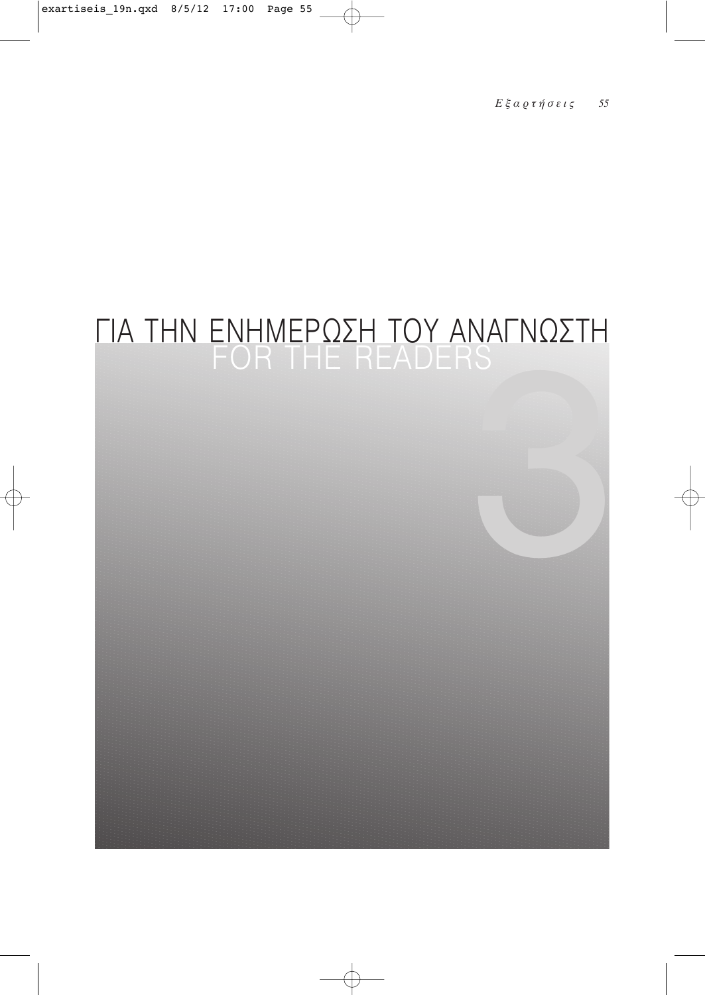## ΓΙΑ ΤΗΝ ΕΝΗΜΕΡΩΣΗ ΤΟΥ ΑΝΑΓΝΩΣΤΗ<br>FOR THE READERS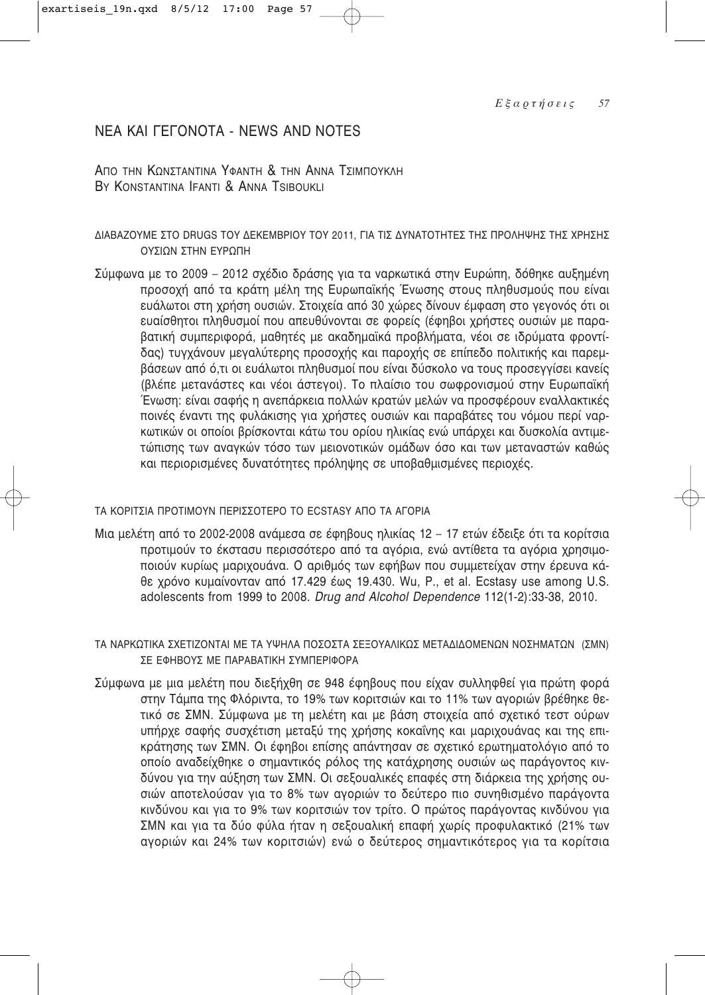#### exartiseis  $19n.qxd$   $8/5/12$  17:00

## NEA KAI FEFONOTA - NEWS AND NOTES

AΠΟ ΤΗΝ ΚΟΝΣΤΑΝΤΙΝΑ ΥΦΑΝΤΗ & THN ANNA ΤΣΙΜΠΟΥΚΛΗ BY KONSTANTINA IFANTI & ANNA TSIBOUKLI

#### ΔΙΑΒΑΖΟΥΜΕ ΣΤΟ DRUGS ΤΟΥ ΔΕΚΕΜΒΡΙΟΥ ΤΟΥ 2011, ΓΙΑ ΤΙΣ ΔΥΝΑΤΟΤΗΤΕΣ ΤΗΣ ΠΡΟΛΗΨΗΣ ΤΗΣ ΧΡΗΣΗΣ ΟΥΣΙΩΝ ΣΤΗΝ ΕΥΡΩΠΗ

Σύμφωνα με το 2009 - 2012 σχέδιο δράσης για τα ναρκωτικά στην Ευρώπη, δόθηκε αυξημένη προσοχή από τα κράτη μέλη της Ευρωπαϊκής Ένωσης στους πληθυσμούς που είναι ευάλωτοι στη χρήση ουσιών. Στοιχεία από 30 χώρες δίνουν έμφαση στο γεγονός ότι οι ευαίσθητοι πληθυσμοί που απευθύνονται σε φορείς (έφηβοι χρήστες ουσιών με παραβατική συμπεριφορά, μαθητές με ακαδημαϊκά προβλήματα, νέοι σε ιδρύματα φροντίδας) τυγχάνουν μεγαλύτερης προσοχής και παροχής σε επίπεδο πολιτικής και παρεμβάσεων από ό,τι οι ευάλωτοι πληθυσμοί που είναι δύσκολο να τους προσεγγίσει κανείς (βλέπε μετανάστες και νέοι άστεγοι). Το πλαίσιο του σωφρονισμού στην Ευρωπαϊκή Ένωση: είναι σαφής η ανεπάρκεια πολλών κρατών μελών να προσφέρουν εναλλακτικές ποινές έναντι της φυλάκισης για χρήστες ουσιών και παραβάτες του νόμου περί ναρκωτικών οι οποίοι βρίσκονται κάτω του ορίου ηλικίας ενώ υπάρχει και δυσκολία αντιμετώπισης των αναγκών τόσο των μειονοτικών ομάδων όσο και των μεταναστών καθώς και περιορισμένες δυνατότητες πρόληψης σε υποβαθμισμένες περιοχές.

#### ΤΑ ΚΟΡΙΤΣΙΑ ΠΡΟΤΙΜΟΥΝ ΠΕΡΙΣΣΟΤΕΡΟ ΤΟ ECSTASY ΑΠΟ ΤΑ ΑΓΟΡΙΑ

- Μια μελέτη από το 2002-2008 ανάμεσα σε έφηβους ηλικίας 12 17 ετών έδειξε ότι τα κορίτσια προτιμούν το έκστασυ περισσότερο από τα αγόρια, ενώ αντίθετα τα αγόρια χρησιμοποιούν κυρίως μαριχουάνα. Ο αριθμός των εφήβων που συμμετείχαν στην έρευνα κάθε χρόνο κυμαίνονταν από 17.429 έως 19.430. Wu, P., et al. Ecstasy use among U.S. adolescents from 1999 to 2008. *Drug and Alcohol Dependence* 112(1-2):33-38, 2010.
- ΤΑ ΝΑΡΚΩΤΙΚΑ ΣΧΕΤΙΖΟΝΤΑΙ ΜΕ ΤΑ ΥΨΗΛΑ ΠΟΣΟΣΤΑ ΣΕΞΟΥΑΛΙΚΩΣ ΜΕΤΑΔΙΔΟΜΕΝΩΝ ΝΟΣΗΜΑΤΩΝ (ΣΜΝ) ΣΕ ΕΦΗΒΟΥΣ ΜΕ ΠΑΡΑΒΑΤΙΚΗ ΣΥΜΠΕΡΙΦΟΡΑ
- Σύμφωνα με μια μελέτη που διεξήχθη σε 948 έφηβους που είχαν συλληφθεί για πρώτη φορά στην Τάμπα της Φλόριντα, το 19% των κοριτσιών και το 11% των αγοριών βρέθηκε θετικό σε ΣΜΝ. Σύμφωνα με τη μελέτη και με βάση στοιχεία από σχετικό τεστ ούρων υπήρχε σαφής συσχέτιση μεταξύ της χρήσης κοκαΐνης και μαριχουάνας και της επικράτησης των ΣΜΝ. Οι έφηβοι επίσης απάντησαν σε σχετικό ερωτηματολόγιο από το οποίο αναδείχθηκε ο σημαντικός ρόλος της κατάχρησης ουσιών ως παράγοντος κινδύνου για την αύξηση των ΣΜΝ. Οι σεξουαλικές επαφές στη διάρκεια της χρήσης ουσιών αποτελούσαν για το 8% των αγοριών το δεύτερο πιο συνηθισμένο παράγοντα κινδύνου και για το 9% των κοριτσιών τον τρίτο. Ο πρώτος παράγοντας κινδύνου για ΣΜΝ και για τα δύο φύλα ήταν η σεξουαλική επαφή χωρίς προφυλακτικό (21% των αγοριών και 24% των κοριτσιών) ενώ ο δεύτερος σημαντικότερος για τα κορίτσια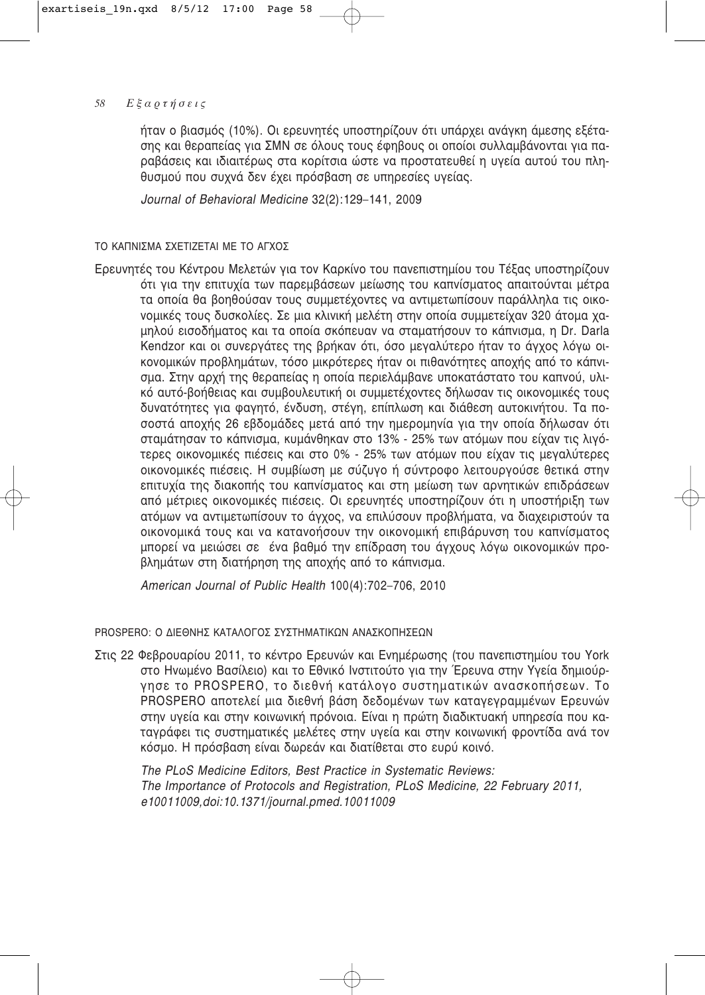ήταν ο βιασμός (10%). Οι ερευνητές υποστηρίζουν ότι υπάρχει ανάγκη άμεσης εξέτασης και θεραπείας για ΣΜΝ σε όλους τους έφηβους οι οποίοι συλλαμβάνονται για παραβάσεις και ιδιαιτέρως στα κορίτσια ώστε να προστατευθεί η υγεία αυτού του πληθυσμού που συχνά δεν έχει πρόσβαση σε υπηρεσίες υγείας.

*Journal of Behavioral Medicine* 32(2):129–141, 2009

#### ΤΟ ΚΑΠΝΙΣΜΑ ΣΧΕΤΙΖΕΤΑΙ ΜΕ ΤΟ ΑΓΧΟΣ

Ερευνητές του Κέντρου Μελετών για τον Καρκίνο του πανεπιστημίου του Τέξας υποστηρίζουν ότι για την επιτυχία των παρεμβάσεων μείωσης του καπνίσματος απαιτούνται μέτρα τα οποία θα βοηθούσαν τους συμμετέχοντες να αντιμετωπίσουν παράλληλα τις οικο-VOμικές τους δυσκολίες. Σε μια κλινική μελέτη στην οποία συμμετείχαν 320 άτομα χαμηλού εισοδήματος και τα οποία σκόπευαν να σταματήσουν το κάπνισμα, η Dr. Darla Kendzor και οι συνεργάτες της βρήκαν ότι, όσο μεγαλύτερο ήταν το άγχος λόγω οικονομικών προβλημάτων, τόσο μικρότερες ήταν οι πιθανότητες αποχής από το κάπνισμα. Στην αρχή της θεραπείας η οποία περιελάμβανε υποκατάστατο του καπνού, υλικό αυτό-βοήθειας και συμβουλευτική οι συμμετέχοντες δήλωσαν τις οικονομικές τους δυνατότητες για φαγητό, ένδυση, στέγη, επίπλωση και διάθεση αυτοκινήτου. Τα ποσοστά αποχής 26 εβδομάδες μετά από την ημερομηνία για την οποία δήλωσαν ότι σταμάτησαν το κάπνισμα, κυμάνθηκαν στο 13% - 25% των ατόμων που είχαν τις λιγότερες οικονομικές πιέσεις και στο 0% - 25% των ατόμων που είχαν τις μεναλύτερες οικονομικές πιέσεις. Η συμβίωση με σύζυγο ή σύντροφο λειτουργούσε θετικά στην επιτυχία της διακοπής του καπνίσματος και στη μείωση των αρνητικών επιδράσεων από μέτριες οικονομικές πιέσεις. Οι ερευνητές υποστηρίζουν ότι η υποστήριξη των ατόμων να αντιμετωπίσουν το άγχος, να επιλύσουν προβλήματα, να διαχειριστούν τα οικονομικά τους και να κατανοήσουν την οικονομική επιβάρυνση του καπνίσματος μπορεί να μειώσει σε ένα βαθμό την επίδραση του άγχους λόγω οικονομικών προβλημάτων στη διατήρηση της αποχής από το κάπνισμα.

*American Journal of Public Health* 100(4):702–706, 2010

#### ΡROSPERO: Ο ΔΙΕΘΝΗΣ ΚΑΤΑΛΟΓΟΣ ΣΥΣΤΗΜΑΤΙΚΩΝ ΑΝΑΣΚΟΠΗΣΕΩΝ

Στις 22 Φεβρουαρίου 2011, το κέντρο Ερευνών και Ενημέρωσης (του πανεπιστημίου του York στο Ηνωμένο Βασίλειο) και το Εθνικό Ινστιτούτο για την Έρευνα στην Υγεία δημιούργησε το PROSPERO, το διεθνή κατάλογο συστηματικών ανασκοπήσεων. Το PROSPERO αποτελεί μια διεθνή βάση δεδομένων των καταγεγραμμένων Ερευνών στην υγεία και στην κοινωνική πρόνοια. Είναι η πρώτη διαδικτυακή υπηρεσία που καταγράφει τις συστηματικές μελέτες στην υγεία και στην κοινωνική φροντίδα ανά τον κόσμο. Η πρόσβαση είναι δωρεάν και διατίθεται στο ευρύ κοινό.

*The PLoS Medicine Editors, Best Practice in Systematic Reviews: The Importance of Protocols and Registration, PLoS Medicine, 22 February 2011, e10011009,doi:10.1371/journal.pmed.10011009*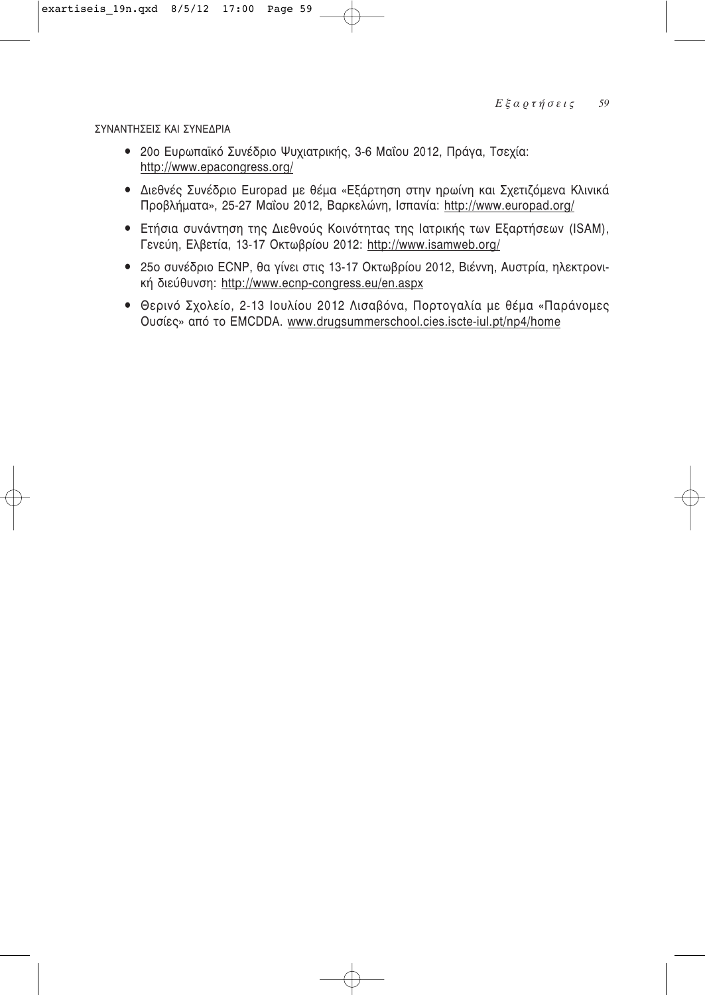#### ΣΥΝΑΝΤΗΣΕΙΣ ΚΑΙ ΣΥΝΕΔΡΙΑ

- 20ο Ευρωπαϊκό Συνέδριο Ψυχιατρικής, 3-6 Μαΐου 2012, Πράγα, Τσεχία: http://www.epacongress.org/
- Διεθνές Συνέδριο Europad με θέμα «Εξάρτηση στην ηρωίνη και Σχετιζόμενα Κλινικά Προβλήματα», 25-27 Μαΐου 2012, Βαρκελώνη, Ισπανία: http://www.europad.org/
- Ετήσια συνάντηση της Διεθνούς Κοινότητας της Ιατρικής των Εξαρτήσεων (ISAM), Γενεύη, Ελβετία, 13-17 Οκτωβρίου 2012: http://www.isamweb.org/
- 25ο συνέδριο ECNP, θα γίνει στις 13-17 Οκτωβρίου 2012, Βιέννη, Αυστρία, ηλεκτρονική διεύθυνση: http://www.ecnp-congress.eu/en.aspx
- Θερινό Σχολείο, 2-13 Ιουλίου 2012 Λισαβόνα, Πορτογαλία με θέμα «Παράνομες Oυσίες» από το EMCDDA. www.drugsummerschool.cies.iscte-iul.pt/np4/home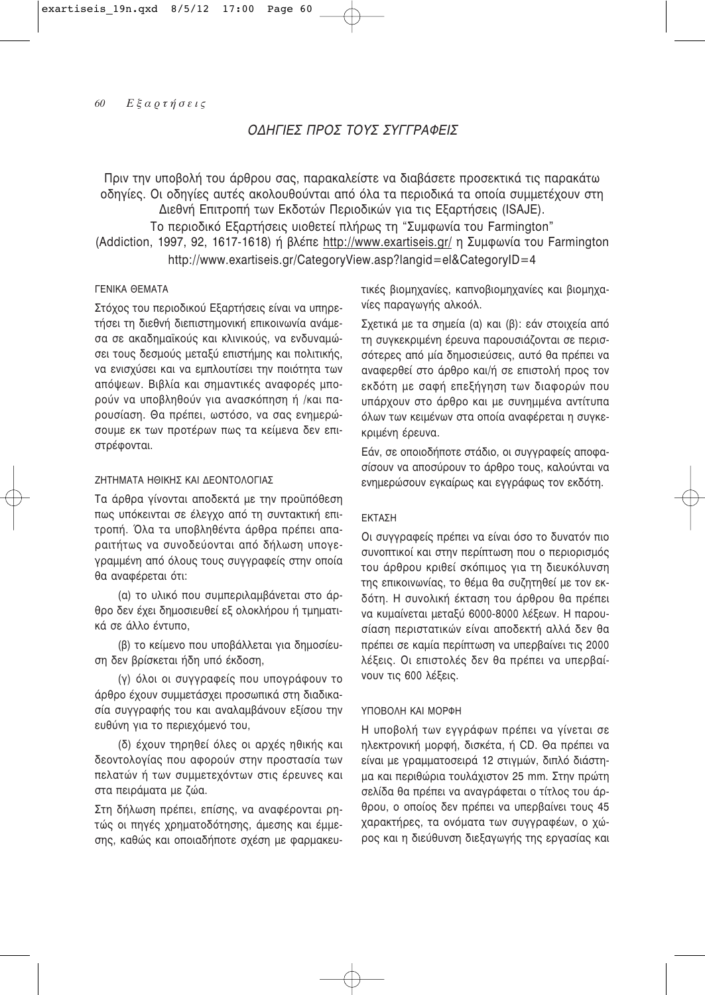#### $ΗΓΙΕΣ ΠΡΟΣ ΤΟΥΣ ΣΥΓΓΡΑΦΕΙΣ$

Пριν την υποβολή του άρθρου σας, παρακαλείστε να διαβάσετε προσεκτικά τις παρακάτω οδηγίες. Οι οδηγίες αυτές ακολουθούνται από όλα τα περιοδικά τα οποία συμμετέχουν στη Διεθνή Επιτροπή των Εκδοτών Περιοδικών για τις Εξαρτήσεις (ISAJE).

Το περιοδικό Εξαρτήσεις υιοθετεί πλήρως τη "Συμφωνία του Farmington" (Addiction, 1997, 92, 1617-1618) ή βλέπε http://www.exartiseis.gr/ η Συμφωνία του Farmington http://www.exartiseis.gr/CategoryView.asp?langid=el&CategoryID=4

#### ΓΕΝΙΚΑ ΘΕΜΑΤΑ

Στόχος του περιοδικού Εξαρτήσεις είναι να υπηρετήσει τη διεθνή διεπιστημονική επικοινωνία ανάμεσα σε ακαδημαϊκούς και κλινικούς, να ενδυναμώσει τους δεσμούς μεταξύ επιστήμης και πολιτικής, να ενισχύσει και να εμπλουτίσει την ποιότητα των απόψεων. Βιβλία και σημαντικές αναφορές μπορούν να υποβληθούν για ανασκόπηση ή /και παρουσίαση. Θα πρέπει, ωστόσο, να σας ενημερώσουμε εκ των προτέρων πως τα κείμενα δεν επιστρέφονται.

#### ΖΗΤΗΜΑΤΑ ΗΘΙΚΗΣ ΚΑΙ ΔΕΟΝΤΟΛΟΓΙΑΣ

Τα άρθρα γίνονται αποδεκτά με την προϋπόθεση πως υπόκεινται σε έλεγχο από τη συντακτική επιτροπή. Όλα τα υποβληθέντα άρθρα πρέπει απαραιτήτως να συνοδεύονται από δήλωση υπογεγραμμένη από όλους τους συγγραφείς στην οποία θα αναφέρεται ότι:

(α) το υλικό που συμπεριλαμβάνεται στο άρθρο δεν έχει δημοσιευθεί εξ ολοκλήρου ή τμηματικά σε άλλο έντυπο,

(β) το κείμενο που υποβάλλεται για δημοσίευση δεν βρίσκεται ήδη υπό έκδοση,

(γ) όλοι οι συγγραφείς που υπογράφουν το άρθρο έχουν συμμετάσχει προσωπικά στη διαδικασία συγγραφής του και αναλαμβάνουν εξίσου την ευθύνη για το περιεχόμενό του,

(δ) έχουν τηρηθεί όλες οι αρχές ηθικής και δεοντολογίας που αφορούν στην προστασία των πελατών ή των συμμετεχόντων στις έρευνες και στα πειράματα με ζώα.

Στη δήλωση πρέπει, επίσης, να αναφέρονται ρητώς οι πηγές χρηματοδότησης, άμεσης και έμμεσης, καθώς και οποιαδήποτε σχέση με φαρμακευτικές βιομηχανίες, καπνοβιομηχανίες και βιομηχανίες παραγωγής αλκοόλ.

Σχετικά με τα σημεία (α) και (β): εάν στοιχεία από τη συγκεκριμένη έρευνα παρουσιάζονται σε περισσότερες από μία δημοσιεύσεις, αυτό θα πρέπει να αναφερθεί στο άρθρο και/ή σε επιστολή προς τον εκδότη με σαφή επεξήγηση των διαφορών που υπάρχουν στο άρθρο και με συνημμένα αντίτυπα όλων των κειμένων στα οποία αναφέρεται η συγκεκριμένη έρευνα.

Εάν, σε οποιοδήποτε στάδιο, οι συγγραφείς αποφασίσουν να αποσύρουν το άρθρο τους, καλούνται να ενημερώσουν εγκαίρως και εγγράφως τον εκδότη.

#### EΚΤΑΣΗ

Οι συγγραφείς πρέπει να είναι όσο το δυνατόν πιο *συνοπτικοί και στην περίπτωση που ο περιορισμός* του άρθρου κριθεί σκόπιμος για τη διευκόλυνση της επικοινωνίας, το θέμα θα συζητηθεί με τον εκδότη. Η συνολική έκταση του άρθρου θα πρέπει να κυμαίνεται μεταξύ 6000-8000 λέξεων. Η παρουσίαση περιστατικών είναι αποδεκτή αλλά δεν θα πρέπει σε καμία περίπτωση να υπερβαίνει τις 2000 λέξεις. Οι επιστολές δεν θα πρέπει να υπερβαίνουν τις 600 λέξεις.

#### ΥΠΟΒΟΛΗ ΚΑΙ ΜΟΡΦΗ

Η υποβολή των εγγράφων πρέπει να γίνεται σε ηλεκτρονική μορφή, δισκέτα, ή CD. Θα πρέπει να είναι με γραμματοσειρά 12 στιγμών, διπλό διάστημα και περιθώρια τουλάχιστον 25 mm. Στην πρώτη σελίδα θα πρέπει να αναγράφεται ο τίτλος του άρθρου, ο οποίος δεν πρέπει να υπερβαίνει τους 45 χαρακτήρες, τα ονόματα των συγγραφέων, ο χώρος και η διεύθυνση διεξαγωγής της εργασίας και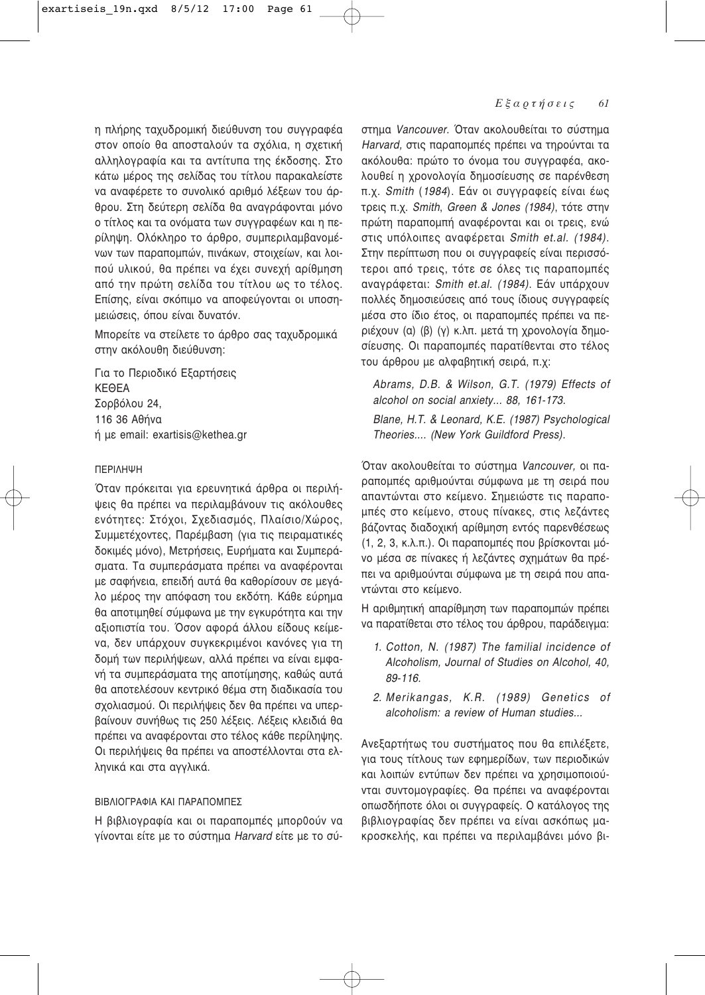η πλήρης ταχυδρομική διεύθυνση του συγγραφέα στον οποίο θα αποσταλούν τα σχόλια, η σχετική αλληλογραφία και τα αντίτυπα της έκδοσης. Στο κάτω μέρος της σελίδας του τίτλου παρακαλείστε να αναφέρετε το συνολικό αριθμό λέξεων του άρθρου. Στη δεύτερη σελίδα θα αναγράφονται μόνο ο τίτλος και τα ονόματα των συγγραφέων και η περίληψη. Ολόκληρο το άρθρο, συμπεριλαμβανομένων των παραπομπών, πινάκων, στοιχείων, και λοιπού υλικού, θα πρέπει να έχει συνεχή αρίθμηση από την πρώτη σελίδα του τίτλου ως το τέλος. Επίσης, είναι σκόπιμο να αποφεύγονται οι υποσημειώσεις, όπου είναι δυνατόν.

Μπορείτε να στείλετε το άρθρο σας ταχυδρομικά στην ακόλουθη διεύθυνση:

Για το Περιοδικό Εξαρτήσεις **KEOEA** Σορβόλου 24, 116 36 Αθήνα ή με email: exartisis@kethea.gr

#### ПЕРІЛНФН

Όταν πρόκειται για ερευνητικά άρθρα οι περιλήψεις θα πρέπει να περιλαμβάνουν τις ακόλουθες ενότητες: Στόχοι, Σχεδιασμός, Πλαίσιο/Χώρος, Συμμετέχοντες, Παρέμβαση (για τις πειραματικές δοκιμές μόνο), Μετρήσεις, Ευρήματα και Συμπεράσματα. Τα συμπεράσματα πρέπει να αναφέρονται με σαφήνεια, επειδή αυτά θα καθορίσουν σε μεγάλο μέρος την απόφαση του εκδότη. Κάθε εύρημα θα αποτιμηθεί σύμφωνα με την εγκυρότητα και την αξιοπιστία του. Όσον αφορά άλλου είδους κείμενα, δεν υπάρχουν συγκεκριμένοι κανόνες για τη δομή των περιλήψεων, αλλά πρέπει να είναι εμφανή τα συμπεράσματα της αποτίμησης, καθώς αυτά θα αποτελέσουν κεντρικό θέμα στη διαδικασία του σχολιασμού. Οι περιλήψεις δεν θα πρέπει να υπερβαίνουν συνήθως τις 250 λέξεις. Λέξεις κλειδιά θα πρέπει να αναφέρονται στο τέλος κάθε περίληψης. Οι περιλήψεις θα πρέπει να αποστέλλονται στα ελληνικά και στα αγγλικά.

#### ΒΙΒΛΙΟΓΡΑΦΙΑ ΚΑΙ ΠΑΡΑΠΟΜΠΕΣ

Η βιβλιογραφία και οι παραπομπές μπορθούν να γίνονται είτε με το σύστημα Harvard είτε με το σύ-

#### Εξαρτήσεις 61

στημα Vancouver. Όταν ακολουθείται το σύστημα Harvard, στις παραπομπές πρέπει να τηρούνται τα ακόλουθα: πρώτο το όνομα του συγγραφέα, ακολουθεί η χρονολογία δημοσίευσης σε παρένθεση π.χ. Smith (1984). Εάν οι συγγραφείς είναι έως τρεις π.χ. Smith, Green & Jones (1984), τότε στην πρώτη παραπομπή αναφέρονται και οι τρεις, ενώ στις υπόλοιπες αναφέρεται Smith et.al. (1984). Στην περίπτωση που οι συγγραφείς είναι περισσότεροι από τρεις, τότε σε όλες τις παραπομπές αναγράφεται: Smith et.al. (1984). Εάν υπάρχουν πολλές δημοσιεύσεις από τους ίδιους συγγραφείς μέσα στο ίδιο έτος, οι παραπομπές πρέπει να περιέχουν (α) (β) (γ) κ.λπ. μετά τη χρονολογία δημοσίευσης. Οι παραπομπές παρατίθενται στο τέλος του άρθρου με αλφαβητική σειρά, π.χ:

Abrams, D.B. & Wilson, G.T. (1979) Effects of alcohol on social anxiety... 88, 161-173. Blane, H.T. & Leonard, K.E. (1987) Psychological Theories.... (New York Guildford Press).

Όταν ακολουθείται το σύστημα Vancouver, οι παραπομπές αριθμούνται σύμφωνα με τη σειρά που απαντώνται στο κείμενο. Σημειώστε τις παραπομπές στο κείμενο, στους πίνακες, στις λεζάντες βάζοντας διαδοχική αρίθμηση εντός παρενθέσεως (1, 2, 3, κ.λ.π.). Οι παραπομπές που βρίσκονται μόνο μέσα σε πίνακες ή λεζάντες σχημάτων θα πρέπει να αριθμούνται σύμφωνα με τη σειρά που απαντώνται στο κείμενο.

Η αριθμητική απαρίθμηση των παραπομπών πρέπει να παρατίθεται στο τέλος του άρθρου, παράδειγμα:

- 1. Cotton, N. (1987) The familial incidence of Alcoholism, Journal of Studies on Alcohol, 40, 89-116.
- 2. Merikangas, K.R. (1989) Genetics of alcoholism: a review of Human studies...

Ανεξαρτήτως του συστήματος που θα επιλέξετε, για τους τίτλους των εφημερίδων, των περιοδικών και λοιπών εντύπων δεν πρέπει να χρησιμοποιούνται συντομογραφίες. Θα πρέπει να αναφέρονται οπωσδήποτε όλοι οι συγγραφείς. Ο κατάλογος της βιβλιογραφίας δεν πρέπει να είναι ασκόπως μακροσκελής, και πρέπει να περιλαμβάνει μόνο βι-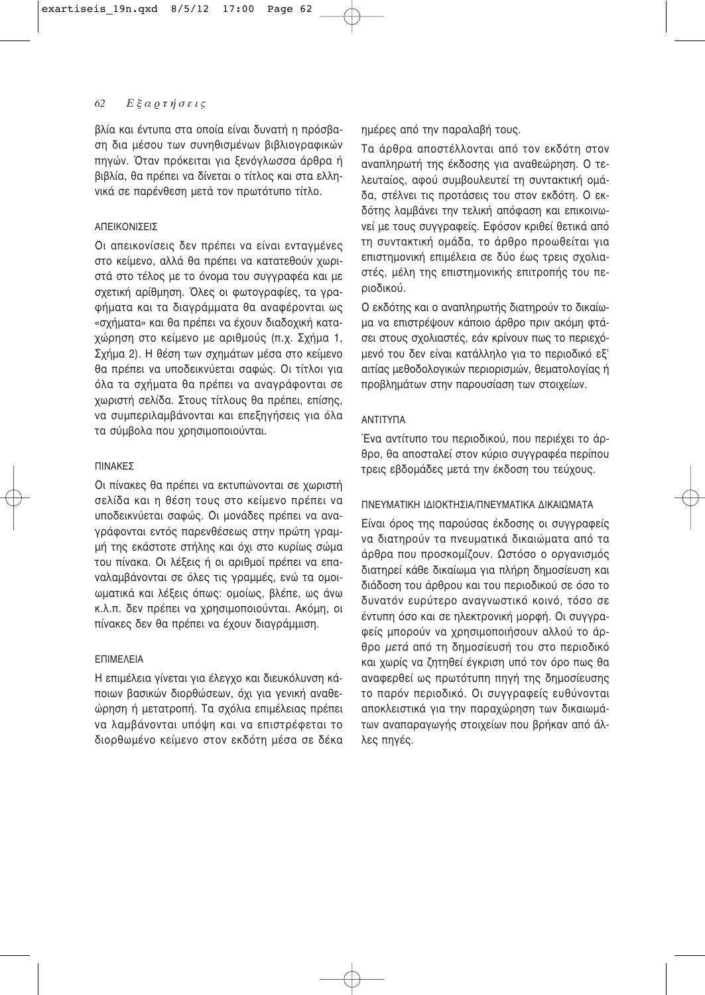βλία και έντυπα στα οποία είναι δυνατή η πρόσβαση δια μέσου των συνηθισμένων βιβλιογραφικών πηγών. Όταν πρόκειται για ξενόγλωσσα άρθρα ή βιβλία, θα πρέπει να δίνεται ο τίτλος και στα ελληνικά σε παρένθεση μετά τον πρωτότυπο τίτλο.

#### ΑΠΕΙΚΟΝΙΣΕΙΣ

Οι απεικονίσεις δεν πρέπει να είναι ενταγμένες στο κείμενο, αλλά θα πρέπει να κατατεθούν χωριστά στο τέλος με το όνομα του συγγραφέα και με σχετική αρίθμηση. Όλες οι φωτογραφίες, τα γραφήματα και τα διαγράμματα θα αναφέρονται ως «σχήματα» και θα πρέπει να έχουν διαδοχική καταχώρηση στο κείμενο με αριθμούς (π.χ. Σχήμα 1, Σχήμα 2). Η θέση των σχημάτων μέσα στο κείμενο θα πρέπει να υποδεικνύεται σαφώς. Οι τίτλοι για όλα τα σχήματα θα πρέπει να αναγράφονται σε χωριστή σελίδα. Στους τίτλους θα πρέπει, επίσης, να συμπεριλαμβάνονται και επεξηγήσεις για όλα τα σύμβολα που χρησιμοποιούνται.

#### ΠΙΝΑΚΕΣ

Οι πίνακες θα πρέπει να εκτυπώνονται σε χωριστή σελίδα και η θέση τους στο κείμενο πρέπει να υποδεικνύεται σαφώς. Οι μονάδες πρέπει να αναγράφονται εντός παρενθέσεως στην πρώτη γραμμή της εκάστοτε στήλης και όχι στο κυρίως σώμα του πίνακα. Οι λέξεις ή οι αριθμοί πρέπει να επαναλαμβάνονται σε όλες τις γραμμές, ενώ τα ομοιωματικά και λέξεις όπως: ομοίως, βλέπε, ως άνω κ.λ.π. δεν πρέπει να χρησιμοποιούνται. Ακόμη, οι πίνακες δεν θα πρέπει να έχουν διαγράμμιση.

#### ΕΠΙΜΕΛΕΙΑ

Η επιμέλεια γίνεται για έλεγχο και διευκόλυνση κάποιων βασικών διορθώσεων, όχι για γενική αναθεώρηση ή μετατροπή. Τα σχόλια επιμέλειας πρέπει να λαμβάνονται υπόψη και να επιστρέφεται το διορθωμένο κείμενο στον εκδότη μέσα σε δέκα ημέρες από την παραλαβή τους.

Τα άρθρα αποστέλλονται από τον εκδότη στον αναπληρωτή της έκδοσης για αναθεώρηση. Ο τελευταίος, αφού συμβουλευτεί τη συντακτική ομάδα, στέλνει τις προτάσεις του στον εκδότη. Ο εκδότης λαμβάνει την τελική απόφαση και επικοινωνεί με τους συγγραφείς. Εφόσον κριθεί θετικά από τη συντακτική ομάδα, το άρθρο προωθείται για επιστημονική επιμέλεια σε δύο έως τρεις σχολιαστές, μέλη της επιστημονικής επιτροπής του περιοδικού.

Ο εκδότης και ο αναπληρωτής διατηρούν το δικαίωμα να επιστρέψουν κάποιο άρθρο πριν ακόμη φτάσει στους σχολιαστές, εάν κρίνουν πως το περιεχόμενό του δεν είναι κατάλληλο για το περιοδικό εξ' αιτίας μεθοδολογικών περιορισμών, θεματολογίας ή προβλημάτων στην παρουσίαση των στοιχείων.

#### ΑΝΤΙΤΥΠΑ

Ένα αντίτυπο του περιοδικού, που περιέχει το άρθρο, θα αποσταλεί στον κύριο συγγραφέα περίπου τρεις εβδομάδες μετά την έκδοση του τεύχους.

#### ΠΝΕΥΜΑΤΙΚΗ ΙΔΙΟΚΤΗΣΙΑ/ΠΝΕΥΜΑΤΙΚΑ ΔΙΚΑΙΩΜΑΤΑ

Είναι όρος της παρούσας έκδοσης οι συγγραφείς να διατηρούν τα πνευματικά δικαιώματα από τα άρθρα που προσκομίζουν. Ωστόσο ο οργανισμός διατηρεί κάθε δικαίωμα για πλήρη δημοσίευση και διάδοση του άρθρου και του περιοδικού σε όσο το δυνατόν ευρύτερο αναγνωστικό κοινό, τόσο σε έντυπη όσο και σε ηλεκτρονική μορφή. Οι συγγραφείς μπορούν να χρησιμοποιήσουν αλλού το άρθρο μετά από τη δημοσίευσή του στο περιοδικό και χωρίς να ζητηθεί έγκριση υπό τον όρο πως θα αναφερθεί ως πρωτότυπη πηγή της δημοσίευσης το παρόν περιοδικό. Οι συγγραφείς ευθύνονται αποκλειστικά για την παραχώρηση των δικαιωμάτων αναπαραγωγής στοιχείων που βρήκαν από άλλες πηγές.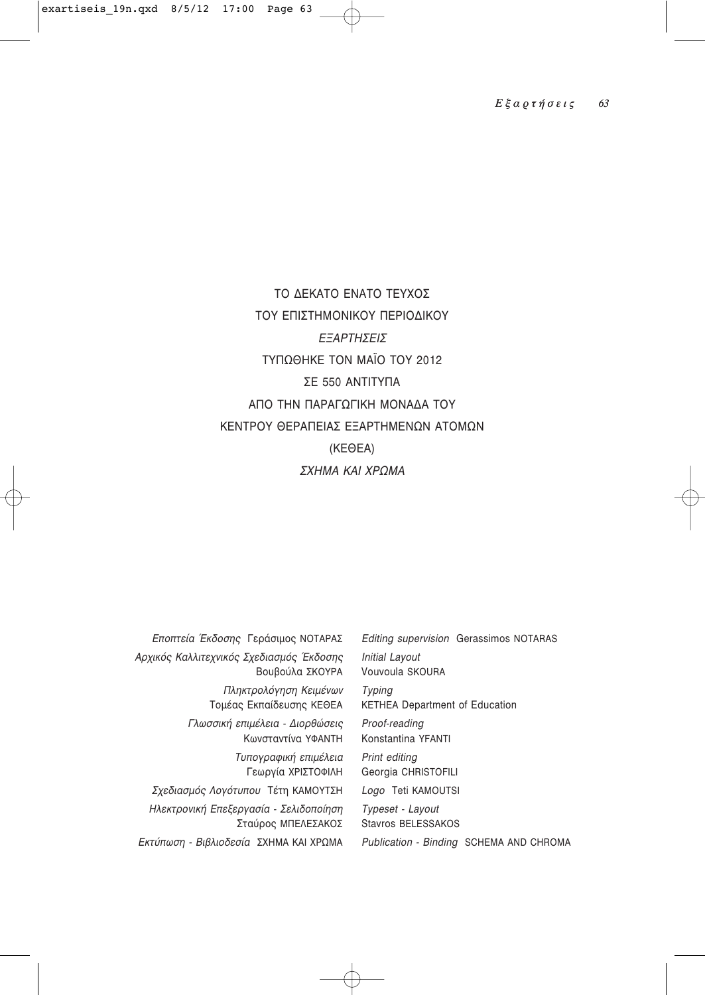exartiseis\_19n.qxd 8/5/12 17:00 Page 63

ΤΟ ΔΕΚΑΤΟ ΕΝΑΤΟ ΤΕΥΧΟΣ ΤΟΥ ΕΠΙΣΤΗΜΟΝΙΚΟΥ ΠΕΡΙΟΔΙΚΟΥ ΕΞΑΡΤΗΣΕΙΣ ΤΥΠΩΘΗΚΕ ΤΟΝ ΜΑΪΟ ΤΟΥ 2012 ΣE 550 ANTITYΠA ΑΠΟ ΤΗΝ ΠΑΡΑΓΩΓΙΚΗ ΜΟΝΑΔΑ ΤΟΥ ΚΕΝΤΡΟΥ ΘΕΡΑΠΕΙΑΣ ΕΞΑΡΤΗΜΕΝΩΝ ΑΤΟΜΩΝ  $(KE $\Theta$ E $A$ )$ ΣΧΗΜΑ ΚΑΙ ΧΡΩΜΑ

| Εποπτεία Έκδοσης Γεράσιμος ΝΟΤΑΡΑΣ       | Editing supervision Gerassimos NOTARAS  |
|------------------------------------------|-----------------------------------------|
| Αρχικός Καλλιτεχνικός Σχεδιασμός Έκδοσης | <b>Initial Layout</b>                   |
| Βουβούλα ΣΚΟΥΡΑ                          | Vouvoula SKOURA                         |
| Πληκτρολόγηση Κειμένων                   | Typing                                  |
| Τομέας Εκπαίδευσης ΚΕΘΕΑ                 | <b>KETHEA Department of Education</b>   |
| Γλωσσική επιμέλεια - Διορθώσεις          | Proof-reading                           |
| Κωνσταντίνα ΥΦΑΝΤΗ                       | Konstantina YFANTI                      |
| Τυπογραφική επιμέλεια                    | Print editing                           |
| Γεωργία ΧΡΙΣΤΟΦΙΛΗ                       | Georgia CHRISTOFILI                     |
| Σχεδιασμός Λογότυπου Τέτη ΚΑΜΟΥΤΣΗ       | Logo Teti KAMOUTSI                      |
| Ηλεκτρονική Επεξεργασία - Σελιδοποίηση   | Typeset - Layout                        |
| Σταύρος ΜΠΕΛΕΣΑΚΟΣ                       | Stavros BELESSAKOS                      |
| Εκτύπωση - Βιβλιοδεσία ΣΧΗΜΑ ΚΑΙ ΧΡΩΜΑ   | Publication - Binding SCHEMA AND CHROMA |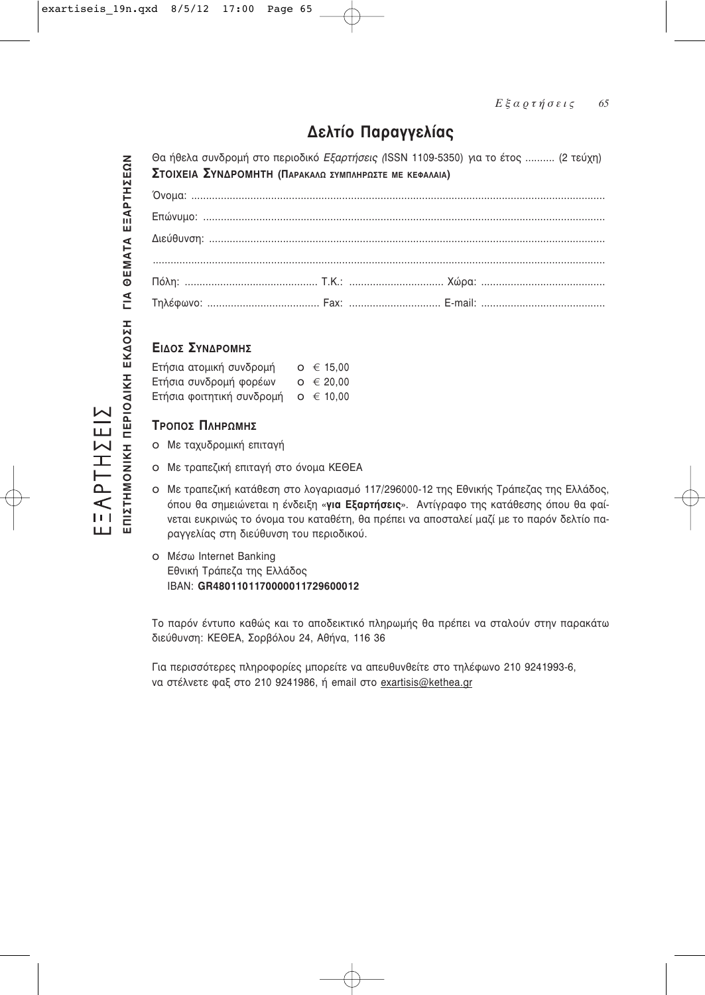## Δελτίο Παραγγελίας

Θα ήθελα συνδρομή στο περιοδικό Εξαρτήσεις (ISSN 1109-5350) για το έτος .......... (2 τεύχη) ΣΤΟΙΧΕΙΑ ΣΥΝΔΡΟΜΗΤΗ (ΠΑΡΑΚΑΛΩ ΣΥΜΠΛΗΡΩΣΤΕ ΜΕ ΚΕΦΑΛΑΙΑ) 

#### ΕΙΔΟΣ ΣΥΝΔΡΟΜΗΣ

| Ετήσια ατομική συνδρομή   | $o \t∈ 15,00$ |
|---------------------------|---------------|
| Ετήσια συνδρομή φορέων    | $o \t∈ 20.00$ |
| Ετήσια φοιτητική συνδρομή | $o \t∈ 10,00$ |

#### **ΤΡΟΠΟΣ ΠΛΗΡΩΜΗΣ**

- ο Με ταχυδρομική επιταγή
- ο Με τραπεζική επιταγή στο όνομα ΚΕΘΕΑ
- ο Με τραπεζική κατάθεση στο λογαριασμό 117/296000-12 της Εθνικής Τράπεζας της Ελλάδος, όπου θα σημειώνεται η ένδειξη «για Εξαρτήσεις». Αντίγραφο της κατάθεσης όπου θα φαίνεται ευκρινώς το όνομα του καταθέτη, θα πρέπει να αποσταλεί μαζί με το παρόν δελτίο παραγγελίας στη διεύθυνση του περιοδικού.
- ο Μέσω Internet Banking Εθνική Τράπεζα της Ελλάδος IBAN: GR4801101170000011729600012

Το παρόν έντυπο καθώς και το αποδεικτικό πληρωμής θα πρέπει να σταλούν στην παρακάτω διεύθυνση: ΚΕΘΕΑ, Σορβόλου 24, Αθήνα, 116 36

Για περισσότερες πληροφορίες μπορείτε να απευθυνθείτε στο τηλέφωνο 210 9241993-6, να στέλνετε φαξ στο 210 9241986, ή email στο exartisis@kethea.gr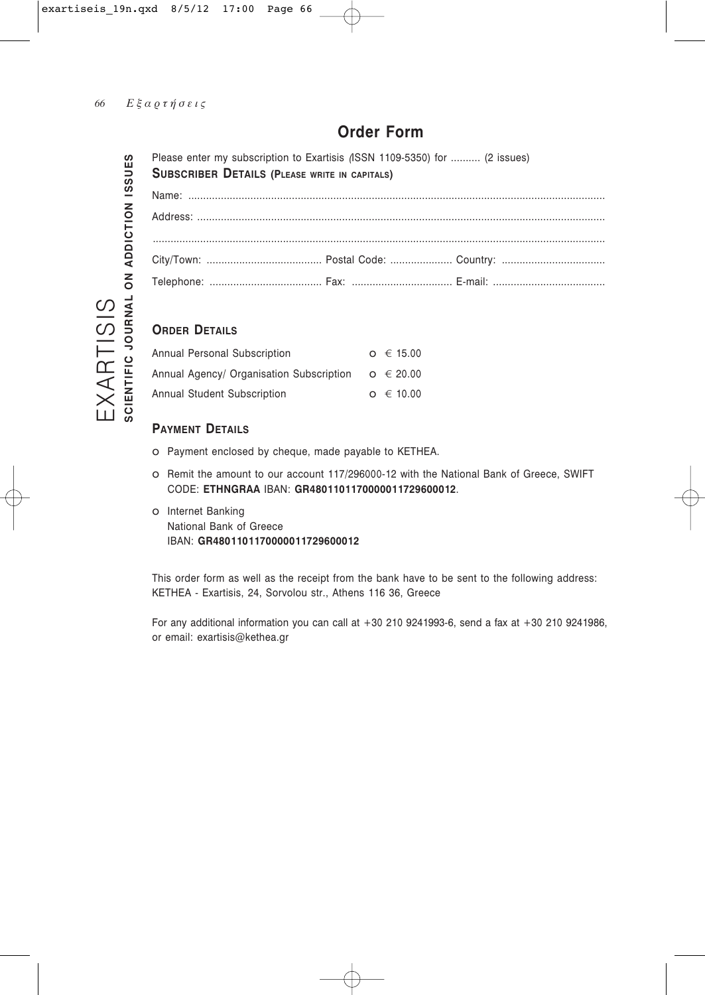## **Order Form**

| Please enter my subscription to Exartisis (ISSN 1109-5350) for  (2 issues)<br><b>SUBSCRIBER DETAILS (PLEASE WRITE IN CAPITALS)</b> |  |
|------------------------------------------------------------------------------------------------------------------------------------|--|
|                                                                                                                                    |  |
|                                                                                                                                    |  |
|                                                                                                                                    |  |
|                                                                                                                                    |  |
|                                                                                                                                    |  |
|                                                                                                                                    |  |

#### **ORDER DETAILS**

| Annual Personal Subscription             | $\circ$ € 15.00 |
|------------------------------------------|-----------------|
| Annual Agency/ Organisation Subscription | $\circ$ € 20.00 |
| Annual Student Subscription              | $\circ$ € 10.00 |

#### **PAYMENT DETAILS**

- o Payment enclosed by cheque, made payable to KETHEA.
- o Remit the amount to our account 117/296000-12 with the National Bank of Greece, SWIFT CODE: **ETHNGRAA** IBAN: **GR4801101170000011729600012**.
- o Internet Banking National Bank of Greece IBAN: **GR4801101170000011729600012**

This order form as well as the receipt from the bank have to be sent to the following address: KETHEA - Exartisis, 24, Sorvolou str., Athens 116 36, Greece

For any additional information you can call at +30 210 9241993-6, send a fax at +30 210 9241986, or email: exartisis@kethea.gr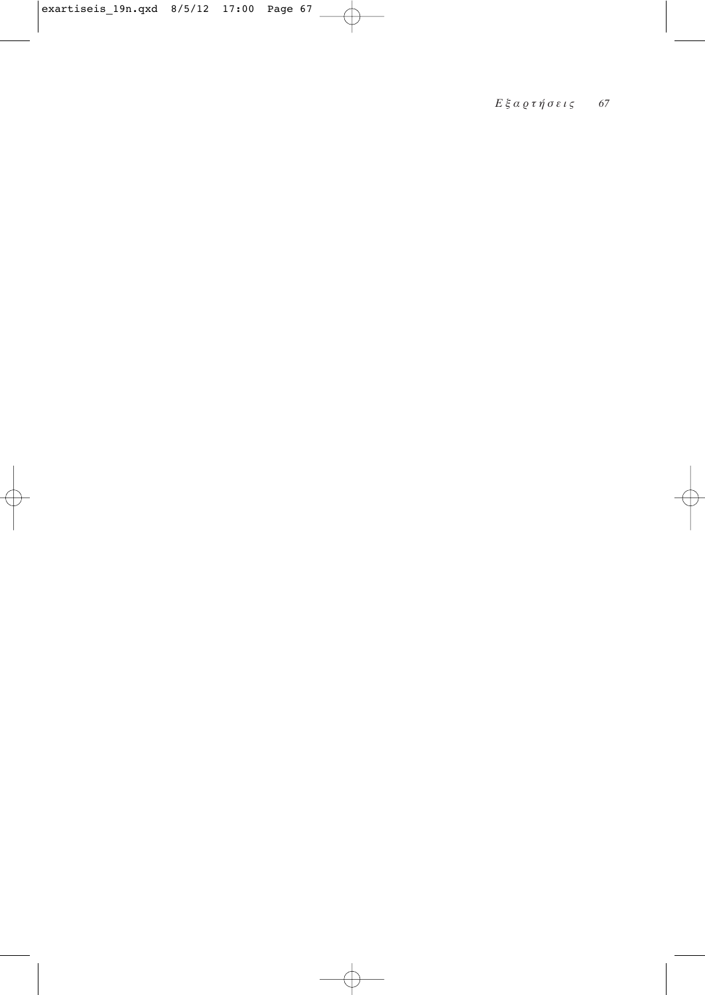$\Big|\text{exartiseis\_19n.qxd}$  8/5/12 17:00 Page 67

€

*Εξαρτήσεις 67*